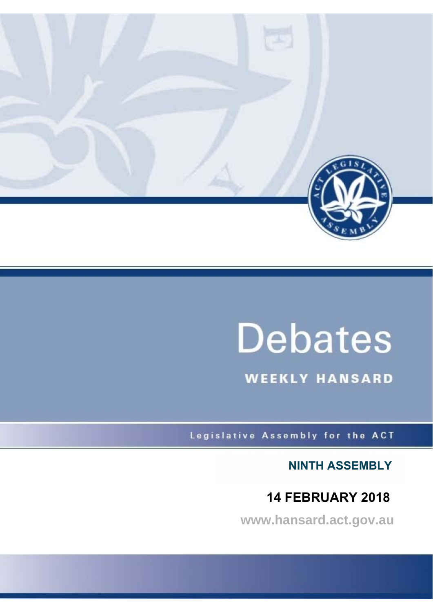

# **Debates**

**WEEKLY HANSARD** 

Legislative Assembly for the ACT

**NINTH ASSEMBLY**

## **14 FEBRUARY 2018**

**www.hansard.act.gov.au**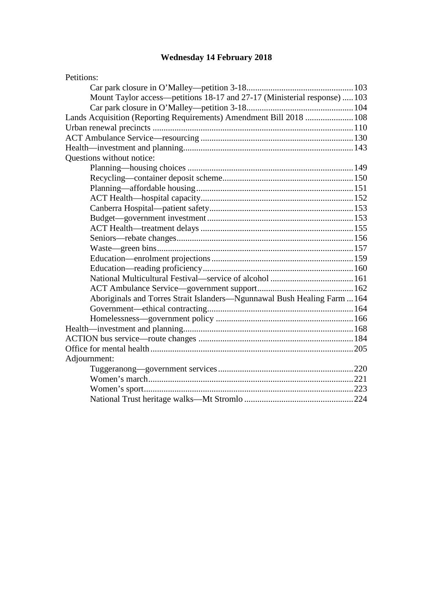## **[Wednesday 14 February 2018](#page-2-0)**

| Petitions:                                                                |  |
|---------------------------------------------------------------------------|--|
|                                                                           |  |
| Mount Taylor access—petitions 18-17 and 27-17 (Ministerial response)  103 |  |
|                                                                           |  |
| Lands Acquisition (Reporting Requirements) Amendment Bill 2018  108       |  |
|                                                                           |  |
|                                                                           |  |
|                                                                           |  |
| Questions without notice:                                                 |  |
|                                                                           |  |
|                                                                           |  |
|                                                                           |  |
|                                                                           |  |
|                                                                           |  |
|                                                                           |  |
|                                                                           |  |
|                                                                           |  |
|                                                                           |  |
|                                                                           |  |
|                                                                           |  |
|                                                                           |  |
|                                                                           |  |
| Aboriginals and Torres Strait Islanders—Ngunnawal Bush Healing Farm  164  |  |
|                                                                           |  |
|                                                                           |  |
|                                                                           |  |
|                                                                           |  |
|                                                                           |  |
| Adjournment:                                                              |  |
|                                                                           |  |
|                                                                           |  |
|                                                                           |  |
|                                                                           |  |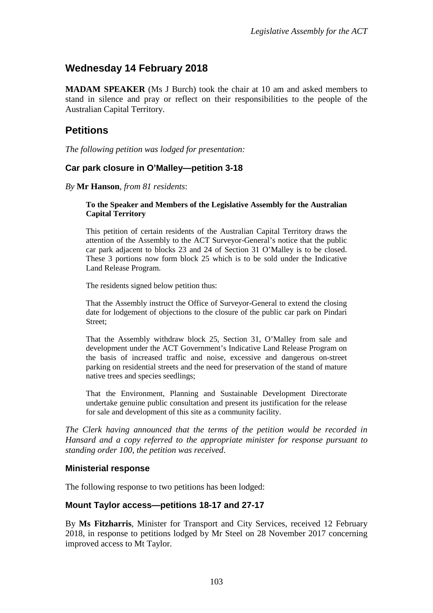## <span id="page-2-0"></span>**Wednesday 14 February 2018**

**MADAM SPEAKER** (Ms J Burch) took the chair at 10 am and asked members to stand in silence and pray or reflect on their responsibilities to the people of the Australian Capital Territory.

## <span id="page-2-1"></span>**Petitions**

*The following petition was lodged for presentation:*

#### <span id="page-2-2"></span>**Car park closure in O'Malley—petition 3-18**

*By* **Mr Hanson**, *from 81 residents*:

#### **To the Speaker and Members of the Legislative Assembly for the Australian Capital Territory**

This petition of certain residents of the Australian Capital Territory draws the attention of the Assembly to the ACT Surveyor-General's notice that the public car park adjacent to blocks 23 and 24 of Section 31 O'Malley is to be closed. These 3 portions now form block 25 which is to be sold under the Indicative Land Release Program.

The residents signed below petition thus:

That the Assembly instruct the Office of Surveyor-General to extend the closing date for lodgement of objections to the closure of the public car park on Pindari Street;

That the Assembly withdraw block 25, Section 31, O'Malley from sale and development under the ACT Government's Indicative Land Release Program on the basis of increased traffic and noise, excessive and dangerous on-street parking on residential streets and the need for preservation of the stand of mature native trees and species seedlings;

That the Environment, Planning and Sustainable Development Directorate undertake genuine public consultation and present its justification for the release for sale and development of this site as a community facility.

*The Clerk having announced that the terms of the petition would be recorded in Hansard and a copy referred to the appropriate minister for response pursuant to standing order 100, the petition was received*.

#### **Ministerial response**

The following response to two petitions has been lodged:

#### <span id="page-2-3"></span>**Mount Taylor access—petitions 18-17 and 27-17**

By **Ms Fitzharris**, Minister for Transport and City Services, received 12 February 2018, in response to petitions lodged by Mr Steel on 28 November 2017 concerning improved access to Mt Taylor.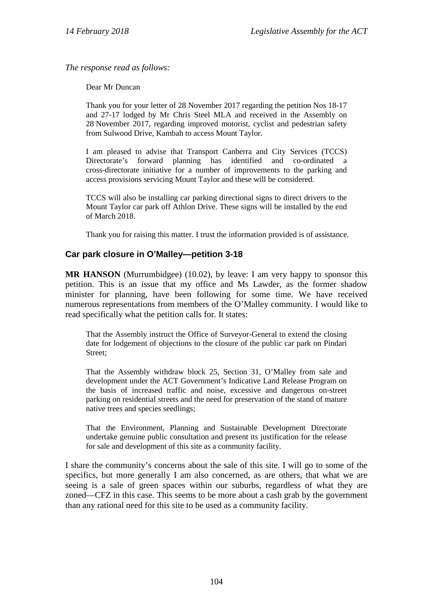*The response read as follows:*

Dear Mr Duncan

Thank you for your letter of 28 November 2017 regarding the petition Nos 18-17 and 27-17 lodged by Mr Chris Steel MLA and received in the Assembly on 28 November 2017, regarding improved motorist, cyclist and pedestrian safety from Sulwood Drive, Kambah to access Mount Taylor.

I am pleased to advise that Transport Canberra and City Services (TCCS) Directorate's forward planning has identified and co-ordinated a cross-directorate initiative for a number of improvements to the parking and access provisions servicing Mount Taylor and these will be considered.

TCCS will also be installing car parking directional signs to direct drivers to the Mount Taylor car park off Athlon Drive. These signs will be installed by the end of March 2018.

Thank you for raising this matter. I trust the information provided is of assistance.

#### <span id="page-3-0"></span>**Car park closure in O'Malley—petition 3-18**

**MR HANSON** (Murrumbidgee) (10.02), by leave: I am very happy to sponsor this petition. This is an issue that my office and Ms Lawder, as the former shadow minister for planning, have been following for some time. We have received numerous representations from members of the O'Malley community. I would like to read specifically what the petition calls for. It states:

That the Assembly instruct the Office of Surveyor-General to extend the closing date for lodgement of objections to the closure of the public car park on Pindari Street;

That the Assembly withdraw block 25, Section 31, O'Malley from sale and development under the ACT Government's Indicative Land Release Program on the basis of increased traffic and noise, excessive and dangerous on-street parking on residential streets and the need for preservation of the stand of mature native trees and species seedlings;

That the Environment, Planning and Sustainable Development Directorate undertake genuine public consultation and present its justification for the release for sale and development of this site as a community facility.

I share the community's concerns about the sale of this site. I will go to some of the specifics, but more generally I am also concerned, as are others, that what we are seeing is a sale of green spaces within our suburbs, regardless of what they are zoned—CFZ in this case. This seems to be more about a cash grab by the government than any rational need for this site to be used as a community facility.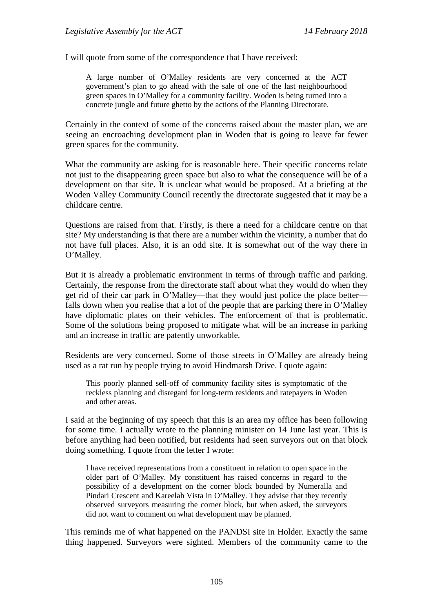I will quote from some of the correspondence that I have received:

A large number of O'Malley residents are very concerned at the ACT government's plan to go ahead with the sale of one of the last neighbourhood green spaces in O'Malley for a community facility. Woden is being turned into a concrete jungle and future ghetto by the actions of the Planning Directorate.

Certainly in the context of some of the concerns raised about the master plan, we are seeing an encroaching development plan in Woden that is going to leave far fewer green spaces for the community.

What the community are asking for is reasonable here. Their specific concerns relate not just to the disappearing green space but also to what the consequence will be of a development on that site. It is unclear what would be proposed. At a briefing at the Woden Valley Community Council recently the directorate suggested that it may be a childcare centre.

Questions are raised from that. Firstly, is there a need for a childcare centre on that site? My understanding is that there are a number within the vicinity, a number that do not have full places. Also, it is an odd site. It is somewhat out of the way there in O'Malley.

But it is already a problematic environment in terms of through traffic and parking. Certainly, the response from the directorate staff about what they would do when they get rid of their car park in O'Malley—that they would just police the place better falls down when you realise that a lot of the people that are parking there in O'Malley have diplomatic plates on their vehicles. The enforcement of that is problematic. Some of the solutions being proposed to mitigate what will be an increase in parking and an increase in traffic are patently unworkable.

Residents are very concerned. Some of those streets in O'Malley are already being used as a rat run by people trying to avoid Hindmarsh Drive. I quote again:

This poorly planned sell-off of community facility sites is symptomatic of the reckless planning and disregard for long-term residents and ratepayers in Woden and other areas.

I said at the beginning of my speech that this is an area my office has been following for some time. I actually wrote to the planning minister on 14 June last year. This is before anything had been notified, but residents had seen surveyors out on that block doing something. I quote from the letter I wrote:

I have received representations from a constituent in relation to open space in the older part of O'Malley. My constituent has raised concerns in regard to the possibility of a development on the corner block bounded by Numeralla and Pindari Crescent and Kareelah Vista in O'Malley. They advise that they recently observed surveyors measuring the corner block, but when asked, the surveyors did not want to comment on what development may be planned.

This reminds me of what happened on the PANDSI site in Holder. Exactly the same thing happened. Surveyors were sighted. Members of the community came to the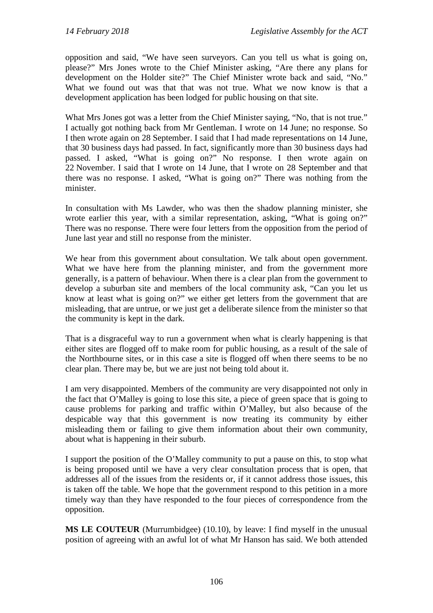opposition and said, "We have seen surveyors. Can you tell us what is going on, please?" Mrs Jones wrote to the Chief Minister asking, "Are there any plans for development on the Holder site?" The Chief Minister wrote back and said, "No." What we found out was that that was not true. What we now know is that a development application has been lodged for public housing on that site.

What Mrs Jones got was a letter from the Chief Minister saying, "No, that is not true." I actually got nothing back from Mr Gentleman. I wrote on 14 June; no response. So I then wrote again on 28 September. I said that I had made representations on 14 June, that 30 business days had passed. In fact, significantly more than 30 business days had passed. I asked, "What is going on?" No response. I then wrote again on 22 November. I said that I wrote on 14 June, that I wrote on 28 September and that there was no response. I asked, "What is going on?" There was nothing from the minister.

In consultation with Ms Lawder, who was then the shadow planning minister, she wrote earlier this year, with a similar representation, asking, "What is going on?" There was no response. There were four letters from the opposition from the period of June last year and still no response from the minister.

We hear from this government about consultation. We talk about open government. What we have here from the planning minister, and from the government more generally, is a pattern of behaviour. When there is a clear plan from the government to develop a suburban site and members of the local community ask, "Can you let us know at least what is going on?" we either get letters from the government that are misleading, that are untrue, or we just get a deliberate silence from the minister so that the community is kept in the dark.

That is a disgraceful way to run a government when what is clearly happening is that either sites are flogged off to make room for public housing, as a result of the sale of the Northbourne sites, or in this case a site is flogged off when there seems to be no clear plan. There may be, but we are just not being told about it.

I am very disappointed. Members of the community are very disappointed not only in the fact that O'Malley is going to lose this site, a piece of green space that is going to cause problems for parking and traffic within O'Malley, but also because of the despicable way that this government is now treating its community by either misleading them or failing to give them information about their own community, about what is happening in their suburb.

I support the position of the O'Malley community to put a pause on this, to stop what is being proposed until we have a very clear consultation process that is open, that addresses all of the issues from the residents or, if it cannot address those issues, this is taken off the table. We hope that the government respond to this petition in a more timely way than they have responded to the four pieces of correspondence from the opposition.

**MS LE COUTEUR** (Murrumbidgee) (10.10), by leave: I find myself in the unusual position of agreeing with an awful lot of what Mr Hanson has said. We both attended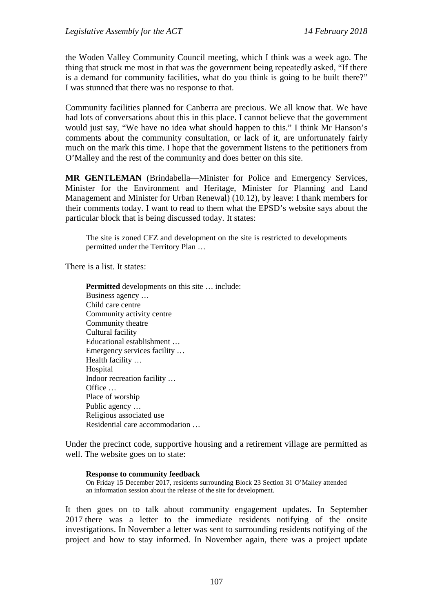the Woden Valley Community Council meeting, which I think was a week ago. The thing that struck me most in that was the government being repeatedly asked, "If there is a demand for community facilities, what do you think is going to be built there?" I was stunned that there was no response to that.

Community facilities planned for Canberra are precious. We all know that. We have had lots of conversations about this in this place. I cannot believe that the government would just say, "We have no idea what should happen to this." I think Mr Hanson's comments about the community consultation, or lack of it, are unfortunately fairly much on the mark this time. I hope that the government listens to the petitioners from O'Malley and the rest of the community and does better on this site.

**MR GENTLEMAN** (Brindabella—Minister for Police and Emergency Services, Minister for the Environment and Heritage, Minister for Planning and Land Management and Minister for Urban Renewal) (10.12), by leave: I thank members for their comments today. I want to read to them what the EPSD's website says about the particular block that is being discussed today. It states:

The site is zoned CFZ and development on the site is restricted to developments permitted under the Territory Plan …

There is a list. It states:

**Permitted** developments on this site … include: Business agency … Child care centre Community activity centre Community theatre Cultural facility Educational establishment … Emergency services facility … Health facility … Hospital Indoor recreation facility … Office … Place of worship Public agency … Religious associated use Residential care accommodation …

Under the precinct code, supportive housing and a retirement village are permitted as well. The website goes on to state:

#### **Response to community feedback**

On Friday 15 December 2017, residents surrounding Block 23 Section 31 O'Malley attended an information session about the release of the site for development.

It then goes on to talk about community engagement updates. In September 2017 there was a letter to the immediate residents notifying of the onsite investigations. In November a letter was sent to surrounding residents notifying of the project and how to stay informed. In November again, there was a project update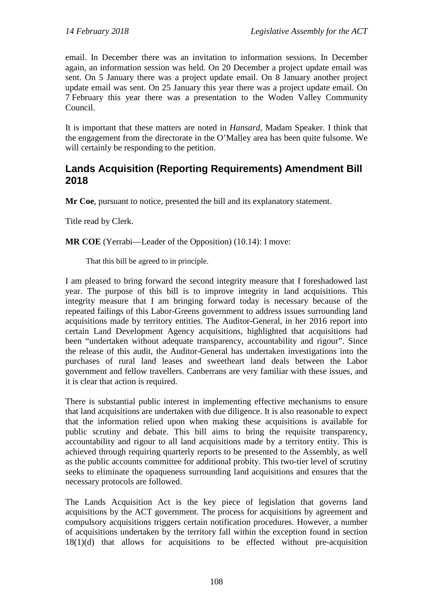email. In December there was an invitation to information sessions. In December again, an information session was held. On 20 December a project update email was sent. On 5 January there was a project update email. On 8 January another project update email was sent. On 25 January this year there was a project update email. On 7 February this year there was a presentation to the Woden Valley Community Council.

It is important that these matters are noted in *Hansard*, Madam Speaker. I think that the engagement from the directorate in the O'Malley area has been quite fulsome. We will certainly be responding to the petition.

## <span id="page-7-0"></span>**Lands Acquisition (Reporting Requirements) Amendment Bill 2018**

**Mr Coe**, pursuant to notice, presented the bill and its explanatory statement.

Title read by Clerk.

**MR COE** (Yerrabi—Leader of the Opposition) (10.14): I move:

That this bill be agreed to in principle.

I am pleased to bring forward the second integrity measure that I foreshadowed last year. The purpose of this bill is to improve integrity in land acquisitions. This integrity measure that I am bringing forward today is necessary because of the repeated failings of this Labor-Greens government to address issues surrounding land acquisitions made by territory entities. The Auditor-General, in her 2016 report into certain Land Development Agency acquisitions, highlighted that acquisitions had been "undertaken without adequate transparency, accountability and rigour". Since the release of this audit, the Auditor-General has undertaken investigations into the purchases of rural land leases and sweetheart land deals between the Labor government and fellow travellers. Canberrans are very familiar with these issues, and it is clear that action is required.

There is substantial public interest in implementing effective mechanisms to ensure that land acquisitions are undertaken with due diligence. It is also reasonable to expect that the information relied upon when making these acquisitions is available for public scrutiny and debate. This bill aims to bring the requisite transparency, accountability and rigour to all land acquisitions made by a territory entity. This is achieved through requiring quarterly reports to be presented to the Assembly, as well as the public accounts committee for additional probity. This two-tier level of scrutiny seeks to eliminate the opaqueness surrounding land acquisitions and ensures that the necessary protocols are followed.

The Lands Acquisition Act is the key piece of legislation that governs land acquisitions by the ACT government. The process for acquisitions by agreement and compulsory acquisitions triggers certain notification procedures. However, a number of acquisitions undertaken by the territory fall within the exception found in section 18(1)(d) that allows for acquisitions to be effected without pre-acquisition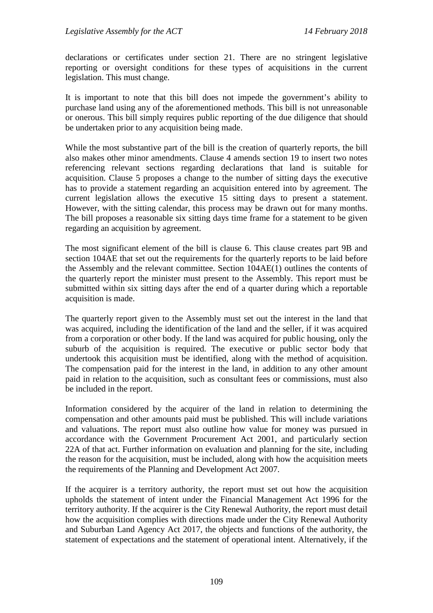declarations or certificates under section 21. There are no stringent legislative reporting or oversight conditions for these types of acquisitions in the current legislation. This must change.

It is important to note that this bill does not impede the government's ability to purchase land using any of the aforementioned methods. This bill is not unreasonable or onerous. This bill simply requires public reporting of the due diligence that should be undertaken prior to any acquisition being made.

While the most substantive part of the bill is the creation of quarterly reports, the bill also makes other minor amendments. Clause 4 amends section 19 to insert two notes referencing relevant sections regarding declarations that land is suitable for acquisition. Clause 5 proposes a change to the number of sitting days the executive has to provide a statement regarding an acquisition entered into by agreement. The current legislation allows the executive 15 sitting days to present a statement. However, with the sitting calendar, this process may be drawn out for many months. The bill proposes a reasonable six sitting days time frame for a statement to be given regarding an acquisition by agreement.

The most significant element of the bill is clause 6. This clause creates part 9B and section 104AE that set out the requirements for the quarterly reports to be laid before the Assembly and the relevant committee. Section 104AE(1) outlines the contents of the quarterly report the minister must present to the Assembly. This report must be submitted within six sitting days after the end of a quarter during which a reportable acquisition is made.

The quarterly report given to the Assembly must set out the interest in the land that was acquired, including the identification of the land and the seller, if it was acquired from a corporation or other body. If the land was acquired for public housing, only the suburb of the acquisition is required. The executive or public sector body that undertook this acquisition must be identified, along with the method of acquisition. The compensation paid for the interest in the land, in addition to any other amount paid in relation to the acquisition, such as consultant fees or commissions, must also be included in the report.

Information considered by the acquirer of the land in relation to determining the compensation and other amounts paid must be published. This will include variations and valuations. The report must also outline how value for money was pursued in accordance with the Government Procurement Act 2001, and particularly section 22A of that act. Further information on evaluation and planning for the site, including the reason for the acquisition, must be included, along with how the acquisition meets the requirements of the Planning and Development Act 2007.

If the acquirer is a territory authority, the report must set out how the acquisition upholds the statement of intent under the Financial Management Act 1996 for the territory authority. If the acquirer is the City Renewal Authority, the report must detail how the acquisition complies with directions made under the City Renewal Authority and Suburban Land Agency Act 2017, the objects and functions of the authority, the statement of expectations and the statement of operational intent. Alternatively, if the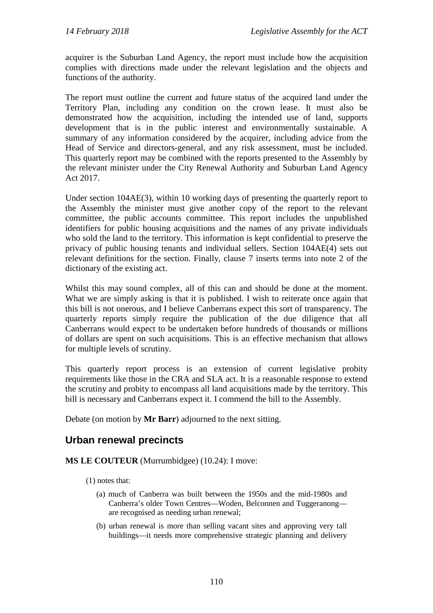acquirer is the Suburban Land Agency, the report must include how the acquisition complies with directions made under the relevant legislation and the objects and functions of the authority.

The report must outline the current and future status of the acquired land under the Territory Plan, including any condition on the crown lease. It must also be demonstrated how the acquisition, including the intended use of land, supports development that is in the public interest and environmentally sustainable. A summary of any information considered by the acquirer, including advice from the Head of Service and directors-general, and any risk assessment, must be included. This quarterly report may be combined with the reports presented to the Assembly by the relevant minister under the City Renewal Authority and Suburban Land Agency Act 2017.

Under section 104AE(3), within 10 working days of presenting the quarterly report to the Assembly the minister must give another copy of the report to the relevant committee, the public accounts committee. This report includes the unpublished identifiers for public housing acquisitions and the names of any private individuals who sold the land to the territory. This information is kept confidential to preserve the privacy of public housing tenants and individual sellers. Section 104AE(4) sets out relevant definitions for the section. Finally, clause 7 inserts terms into note 2 of the dictionary of the existing act.

Whilst this may sound complex, all of this can and should be done at the moment. What we are simply asking is that it is published. I wish to reiterate once again that this bill is not onerous, and I believe Canberrans expect this sort of transparency. The quarterly reports simply require the publication of the due diligence that all Canberrans would expect to be undertaken before hundreds of thousands or millions of dollars are spent on such acquisitions. This is an effective mechanism that allows for multiple levels of scrutiny.

This quarterly report process is an extension of current legislative probity requirements like those in the CRA and SLA act. It is a reasonable response to extend the scrutiny and probity to encompass all land acquisitions made by the territory. This bill is necessary and Canberrans expect it. I commend the bill to the Assembly.

Debate (on motion by **Mr Barr**) adjourned to the next sitting.

## <span id="page-9-0"></span>**Urban renewal precincts**

#### **MS LE COUTEUR** (Murrumbidgee) (10.24): I move:

- (1) notes that:
	- (a) much of Canberra was built between the 1950s and the mid-1980s and Canberra's older Town Centres—Woden, Belconnen and Tuggeranong are recognised as needing urban renewal;
	- (b) urban renewal is more than selling vacant sites and approving very tall buildings—it needs more comprehensive strategic planning and delivery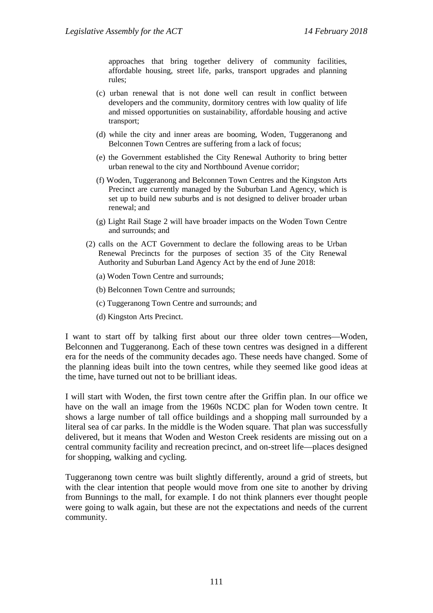approaches that bring together delivery of community facilities, affordable housing, street life, parks, transport upgrades and planning rules;

- (c) urban renewal that is not done well can result in conflict between developers and the community, dormitory centres with low quality of life and missed opportunities on sustainability, affordable housing and active transport;
- (d) while the city and inner areas are booming, Woden, Tuggeranong and Belconnen Town Centres are suffering from a lack of focus;
- (e) the Government established the City Renewal Authority to bring better urban renewal to the city and Northbound Avenue corridor;
- (f) Woden, Tuggeranong and Belconnen Town Centres and the Kingston Arts Precinct are currently managed by the Suburban Land Agency, which is set up to build new suburbs and is not designed to deliver broader urban renewal; and
- (g) Light Rail Stage 2 will have broader impacts on the Woden Town Centre and surrounds; and
- (2) calls on the ACT Government to declare the following areas to be Urban Renewal Precincts for the purposes of section 35 of the City Renewal Authority and Suburban Land Agency Act by the end of June 2018:
	- (a) Woden Town Centre and surrounds;
	- (b) Belconnen Town Centre and surrounds;
	- (c) Tuggeranong Town Centre and surrounds; and
	- (d) Kingston Arts Precinct.

I want to start off by talking first about our three older town centres—Woden, Belconnen and Tuggeranong. Each of these town centres was designed in a different era for the needs of the community decades ago. These needs have changed. Some of the planning ideas built into the town centres, while they seemed like good ideas at the time, have turned out not to be brilliant ideas.

I will start with Woden, the first town centre after the Griffin plan. In our office we have on the wall an image from the 1960s NCDC plan for Woden town centre. It shows a large number of tall office buildings and a shopping mall surrounded by a literal sea of car parks. In the middle is the Woden square. That plan was successfully delivered, but it means that Woden and Weston Creek residents are missing out on a central community facility and recreation precinct, and on-street life—places designed for shopping, walking and cycling.

Tuggeranong town centre was built slightly differently, around a grid of streets, but with the clear intention that people would move from one site to another by driving from Bunnings to the mall, for example. I do not think planners ever thought people were going to walk again, but these are not the expectations and needs of the current community.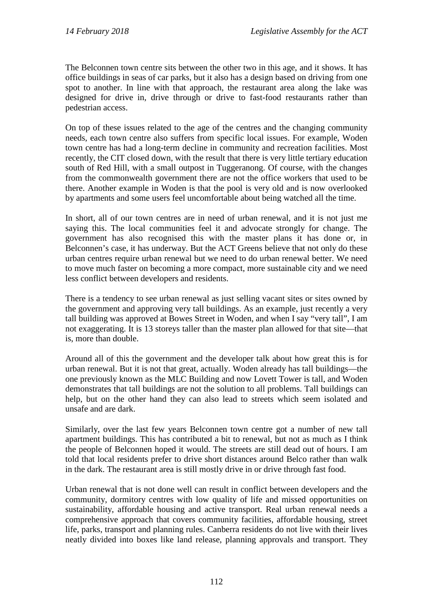The Belconnen town centre sits between the other two in this age, and it shows. It has office buildings in seas of car parks, but it also has a design based on driving from one spot to another. In line with that approach, the restaurant area along the lake was designed for drive in, drive through or drive to fast-food restaurants rather than pedestrian access.

On top of these issues related to the age of the centres and the changing community needs, each town centre also suffers from specific local issues. For example, Woden town centre has had a long-term decline in community and recreation facilities. Most recently, the CIT closed down, with the result that there is very little tertiary education south of Red Hill, with a small outpost in Tuggeranong. Of course, with the changes from the commonwealth government there are not the office workers that used to be there. Another example in Woden is that the pool is very old and is now overlooked by apartments and some users feel uncomfortable about being watched all the time.

In short, all of our town centres are in need of urban renewal, and it is not just me saying this. The local communities feel it and advocate strongly for change. The government has also recognised this with the master plans it has done or, in Belconnen's case, it has underway. But the ACT Greens believe that not only do these urban centres require urban renewal but we need to do urban renewal better. We need to move much faster on becoming a more compact, more sustainable city and we need less conflict between developers and residents.

There is a tendency to see urban renewal as just selling vacant sites or sites owned by the government and approving very tall buildings. As an example, just recently a very tall building was approved at Bowes Street in Woden, and when I say "very tall", I am not exaggerating. It is 13 storeys taller than the master plan allowed for that site—that is, more than double.

Around all of this the government and the developer talk about how great this is for urban renewal. But it is not that great, actually. Woden already has tall buildings—the one previously known as the MLC Building and now Lovett Tower is tall, and Woden demonstrates that tall buildings are not the solution to all problems. Tall buildings can help, but on the other hand they can also lead to streets which seem isolated and unsafe and are dark.

Similarly, over the last few years Belconnen town centre got a number of new tall apartment buildings. This has contributed a bit to renewal, but not as much as I think the people of Belconnen hoped it would. The streets are still dead out of hours. I am told that local residents prefer to drive short distances around Belco rather than walk in the dark. The restaurant area is still mostly drive in or drive through fast food.

Urban renewal that is not done well can result in conflict between developers and the community, dormitory centres with low quality of life and missed opportunities on sustainability, affordable housing and active transport. Real urban renewal needs a comprehensive approach that covers community facilities, affordable housing, street life, parks, transport and planning rules. Canberra residents do not live with their lives neatly divided into boxes like land release, planning approvals and transport. They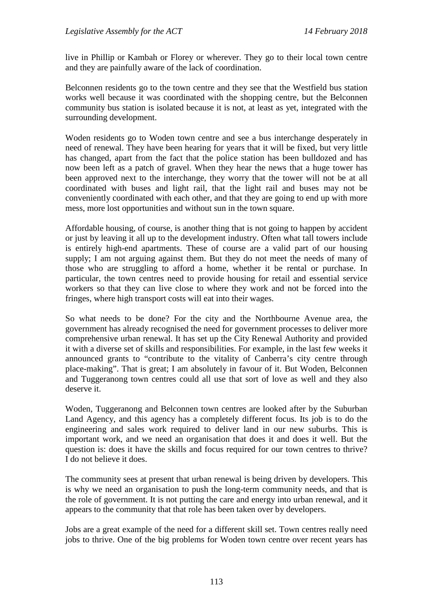live in Phillip or Kambah or Florey or wherever. They go to their local town centre and they are painfully aware of the lack of coordination.

Belconnen residents go to the town centre and they see that the Westfield bus station works well because it was coordinated with the shopping centre, but the Belconnen community bus station is isolated because it is not, at least as yet, integrated with the surrounding development.

Woden residents go to Woden town centre and see a bus interchange desperately in need of renewal. They have been hearing for years that it will be fixed, but very little has changed, apart from the fact that the police station has been bulldozed and has now been left as a patch of gravel. When they hear the news that a huge tower has been approved next to the interchange, they worry that the tower will not be at all coordinated with buses and light rail, that the light rail and buses may not be conveniently coordinated with each other, and that they are going to end up with more mess, more lost opportunities and without sun in the town square.

Affordable housing, of course, is another thing that is not going to happen by accident or just by leaving it all up to the development industry. Often what tall towers include is entirely high-end apartments. These of course are a valid part of our housing supply; I am not arguing against them. But they do not meet the needs of many of those who are struggling to afford a home, whether it be rental or purchase. In particular, the town centres need to provide housing for retail and essential service workers so that they can live close to where they work and not be forced into the fringes, where high transport costs will eat into their wages.

So what needs to be done? For the city and the Northbourne Avenue area, the government has already recognised the need for government processes to deliver more comprehensive urban renewal. It has set up the City Renewal Authority and provided it with a diverse set of skills and responsibilities. For example, in the last few weeks it announced grants to "contribute to the vitality of Canberra's city centre through place-making". That is great; I am absolutely in favour of it. But Woden, Belconnen and Tuggeranong town centres could all use that sort of love as well and they also deserve it.

Woden, Tuggeranong and Belconnen town centres are looked after by the Suburban Land Agency, and this agency has a completely different focus. Its job is to do the engineering and sales work required to deliver land in our new suburbs. This is important work, and we need an organisation that does it and does it well. But the question is: does it have the skills and focus required for our town centres to thrive? I do not believe it does.

The community sees at present that urban renewal is being driven by developers. This is why we need an organisation to push the long-term community needs, and that is the role of government. It is not putting the care and energy into urban renewal, and it appears to the community that that role has been taken over by developers.

Jobs are a great example of the need for a different skill set. Town centres really need jobs to thrive. One of the big problems for Woden town centre over recent years has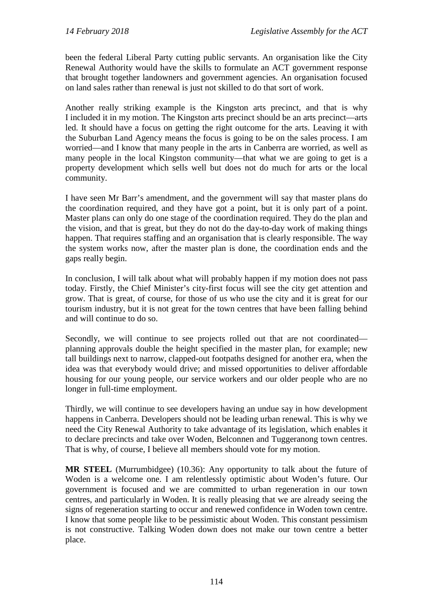been the federal Liberal Party cutting public servants. An organisation like the City Renewal Authority would have the skills to formulate an ACT government response that brought together landowners and government agencies. An organisation focused on land sales rather than renewal is just not skilled to do that sort of work.

Another really striking example is the Kingston arts precinct, and that is why I included it in my motion. The Kingston arts precinct should be an arts precinct—arts led. It should have a focus on getting the right outcome for the arts. Leaving it with the Suburban Land Agency means the focus is going to be on the sales process. I am worried—and I know that many people in the arts in Canberra are worried, as well as many people in the local Kingston community—that what we are going to get is a property development which sells well but does not do much for arts or the local community.

I have seen Mr Barr's amendment, and the government will say that master plans do the coordination required, and they have got a point, but it is only part of a point. Master plans can only do one stage of the coordination required. They do the plan and the vision, and that is great, but they do not do the day-to-day work of making things happen. That requires staffing and an organisation that is clearly responsible. The way the system works now, after the master plan is done, the coordination ends and the gaps really begin.

In conclusion, I will talk about what will probably happen if my motion does not pass today. Firstly, the Chief Minister's city-first focus will see the city get attention and grow. That is great, of course, for those of us who use the city and it is great for our tourism industry, but it is not great for the town centres that have been falling behind and will continue to do so.

Secondly, we will continue to see projects rolled out that are not coordinated planning approvals double the height specified in the master plan, for example; new tall buildings next to narrow, clapped-out footpaths designed for another era, when the idea was that everybody would drive; and missed opportunities to deliver affordable housing for our young people, our service workers and our older people who are no longer in full-time employment.

Thirdly, we will continue to see developers having an undue say in how development happens in Canberra. Developers should not be leading urban renewal. This is why we need the City Renewal Authority to take advantage of its legislation, which enables it to declare precincts and take over Woden, Belconnen and Tuggeranong town centres. That is why, of course, I believe all members should vote for my motion.

**MR STEEL** (Murrumbidgee) (10.36): Any opportunity to talk about the future of Woden is a welcome one. I am relentlessly optimistic about Woden's future. Our government is focused and we are committed to urban regeneration in our town centres, and particularly in Woden. It is really pleasing that we are already seeing the signs of regeneration starting to occur and renewed confidence in Woden town centre. I know that some people like to be pessimistic about Woden. This constant pessimism is not constructive. Talking Woden down does not make our town centre a better place.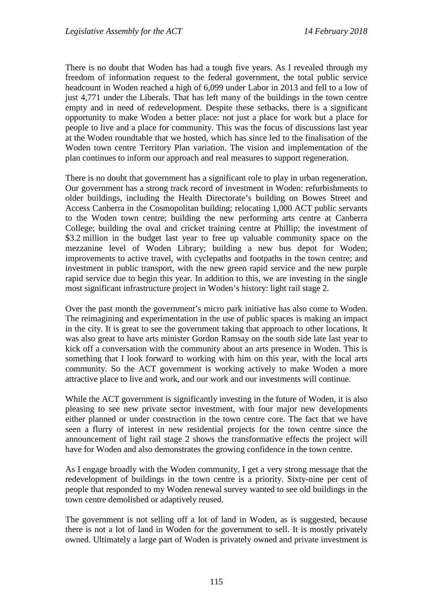There is no doubt that Woden has had a tough five years. As I revealed through my freedom of information request to the federal government, the total public service headcount in Woden reached a high of 6,099 under Labor in 2013 and fell to a low of just 4,771 under the Liberals. That has left many of the buildings in the town centre empty and in need of redevelopment. Despite these setbacks, there is a significant opportunity to make Woden a better place: not just a place for work but a place for people to live and a place for community. This was the focus of discussions last year at the Woden roundtable that we hosted, which has since led to the finalisation of the Woden town centre Territory Plan variation. The vision and implementation of the plan continues to inform our approach and real measures to support regeneration.

There is no doubt that government has a significant role to play in urban regeneration. Our government has a strong track record of investment in Woden: refurbishments to older buildings, including the Health Directorate's building on Bowes Street and Access Canberra in the Cosmopolitan building; relocating 1,000 ACT public servants to the Woden town centre; building the new performing arts centre at Canberra College; building the oval and cricket training centre at Phillip; the investment of \$3.2 million in the budget last year to free up valuable community space on the mezzanine level of Woden Library; building a new bus depot for Woden; improvements to active travel, with cyclepaths and footpaths in the town centre; and investment in public transport, with the new green rapid service and the new purple rapid service due to begin this year. In addition to this, we are investing in the single most significant infrastructure project in Woden's history: light rail stage 2.

Over the past month the government's micro park initiative has also come to Woden. The reimagining and experimentation in the use of public spaces is making an impact in the city. It is great to see the government taking that approach to other locations. It was also great to have arts minister Gordon Ramsay on the south side late last year to kick off a conversation with the community about an arts presence in Woden. This is something that I look forward to working with him on this year, with the local arts community. So the ACT government is working actively to make Woden a more attractive place to live and work, and our work and our investments will continue.

While the ACT government is significantly investing in the future of Woden, it is also pleasing to see new private sector investment, with four major new developments either planned or under construction in the town centre core. The fact that we have seen a flurry of interest in new residential projects for the town centre since the announcement of light rail stage 2 shows the transformative effects the project will have for Woden and also demonstrates the growing confidence in the town centre.

As I engage broadly with the Woden community, I get a very strong message that the redevelopment of buildings in the town centre is a priority. Sixty-nine per cent of people that responded to my Woden renewal survey wanted to see old buildings in the town centre demolished or adaptively reused.

The government is not selling off a lot of land in Woden, as is suggested, because there is not a lot of land in Woden for the government to sell. It is mostly privately owned. Ultimately a large part of Woden is privately owned and private investment is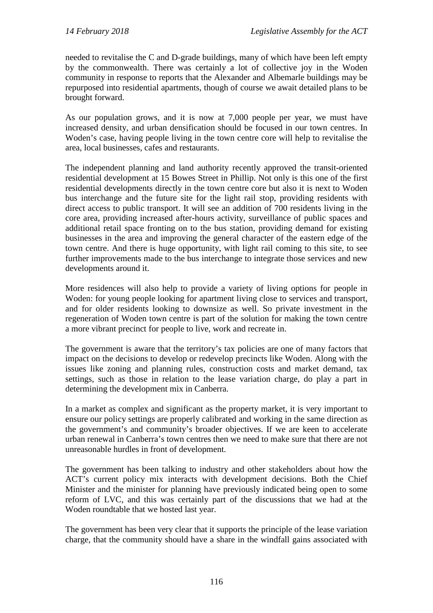needed to revitalise the C and D-grade buildings, many of which have been left empty by the commonwealth. There was certainly a lot of collective joy in the Woden community in response to reports that the Alexander and Albemarle buildings may be repurposed into residential apartments, though of course we await detailed plans to be brought forward.

As our population grows, and it is now at 7,000 people per year, we must have increased density, and urban densification should be focused in our town centres. In Woden's case, having people living in the town centre core will help to revitalise the area, local businesses, cafes and restaurants.

The independent planning and land authority recently approved the transit-oriented residential development at 15 Bowes Street in Phillip. Not only is this one of the first residential developments directly in the town centre core but also it is next to Woden bus interchange and the future site for the light rail stop, providing residents with direct access to public transport. It will see an addition of 700 residents living in the core area, providing increased after-hours activity, surveillance of public spaces and additional retail space fronting on to the bus station, providing demand for existing businesses in the area and improving the general character of the eastern edge of the town centre. And there is huge opportunity, with light rail coming to this site, to see further improvements made to the bus interchange to integrate those services and new developments around it.

More residences will also help to provide a variety of living options for people in Woden: for young people looking for apartment living close to services and transport, and for older residents looking to downsize as well. So private investment in the regeneration of Woden town centre is part of the solution for making the town centre a more vibrant precinct for people to live, work and recreate in.

The government is aware that the territory's tax policies are one of many factors that impact on the decisions to develop or redevelop precincts like Woden. Along with the issues like zoning and planning rules, construction costs and market demand, tax settings, such as those in relation to the lease variation charge, do play a part in determining the development mix in Canberra.

In a market as complex and significant as the property market, it is very important to ensure our policy settings are properly calibrated and working in the same direction as the government's and community's broader objectives. If we are keen to accelerate urban renewal in Canberra's town centres then we need to make sure that there are not unreasonable hurdles in front of development.

The government has been talking to industry and other stakeholders about how the ACT's current policy mix interacts with development decisions. Both the Chief Minister and the minister for planning have previously indicated being open to some reform of LVC, and this was certainly part of the discussions that we had at the Woden roundtable that we hosted last year.

The government has been very clear that it supports the principle of the lease variation charge, that the community should have a share in the windfall gains associated with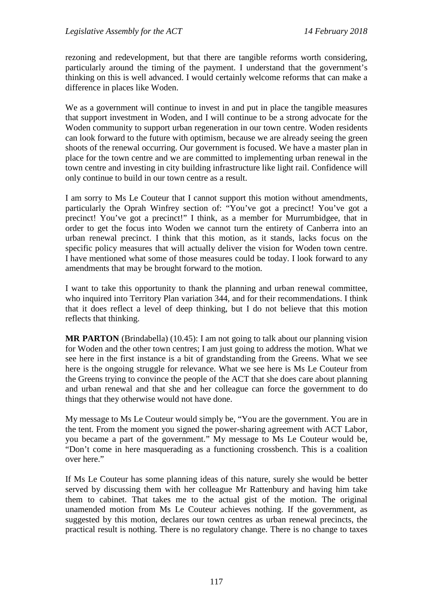rezoning and redevelopment, but that there are tangible reforms worth considering, particularly around the timing of the payment. I understand that the government's thinking on this is well advanced. I would certainly welcome reforms that can make a difference in places like Woden.

We as a government will continue to invest in and put in place the tangible measures that support investment in Woden, and I will continue to be a strong advocate for the Woden community to support urban regeneration in our town centre. Woden residents can look forward to the future with optimism, because we are already seeing the green shoots of the renewal occurring. Our government is focused. We have a master plan in place for the town centre and we are committed to implementing urban renewal in the town centre and investing in city building infrastructure like light rail. Confidence will only continue to build in our town centre as a result.

I am sorry to Ms Le Couteur that I cannot support this motion without amendments, particularly the Oprah Winfrey section of: "You've got a precinct! You've got a precinct! You've got a precinct!" I think, as a member for Murrumbidgee, that in order to get the focus into Woden we cannot turn the entirety of Canberra into an urban renewal precinct. I think that this motion, as it stands, lacks focus on the specific policy measures that will actually deliver the vision for Woden town centre. I have mentioned what some of those measures could be today. I look forward to any amendments that may be brought forward to the motion.

I want to take this opportunity to thank the planning and urban renewal committee, who inquired into Territory Plan variation 344, and for their recommendations. I think that it does reflect a level of deep thinking, but I do not believe that this motion reflects that thinking.

**MR PARTON** (Brindabella) (10.45): I am not going to talk about our planning vision for Woden and the other town centres; I am just going to address the motion. What we see here in the first instance is a bit of grandstanding from the Greens. What we see here is the ongoing struggle for relevance. What we see here is Ms Le Couteur from the Greens trying to convince the people of the ACT that she does care about planning and urban renewal and that she and her colleague can force the government to do things that they otherwise would not have done.

My message to Ms Le Couteur would simply be, "You are the government. You are in the tent. From the moment you signed the power-sharing agreement with ACT Labor, you became a part of the government." My message to Ms Le Couteur would be, "Don't come in here masquerading as a functioning crossbench. This is a coalition over here."

If Ms Le Couteur has some planning ideas of this nature, surely she would be better served by discussing them with her colleague Mr Rattenbury and having him take them to cabinet. That takes me to the actual gist of the motion. The original unamended motion from Ms Le Couteur achieves nothing. If the government, as suggested by this motion, declares our town centres as urban renewal precincts, the practical result is nothing. There is no regulatory change. There is no change to taxes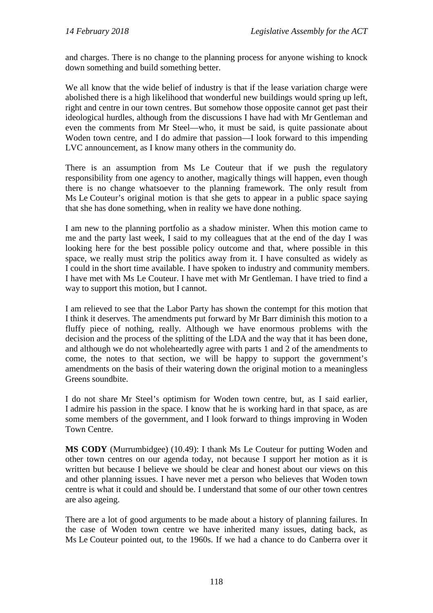and charges. There is no change to the planning process for anyone wishing to knock down something and build something better.

We all know that the wide belief of industry is that if the lease variation charge were abolished there is a high likelihood that wonderful new buildings would spring up left, right and centre in our town centres. But somehow those opposite cannot get past their ideological hurdles, although from the discussions I have had with Mr Gentleman and even the comments from Mr Steel—who, it must be said, is quite passionate about Woden town centre, and I do admire that passion—I look forward to this impending LVC announcement, as I know many others in the community do.

There is an assumption from Ms Le Couteur that if we push the regulatory responsibility from one agency to another, magically things will happen, even though there is no change whatsoever to the planning framework. The only result from Ms Le Couteur's original motion is that she gets to appear in a public space saying that she has done something, when in reality we have done nothing.

I am new to the planning portfolio as a shadow minister. When this motion came to me and the party last week, I said to my colleagues that at the end of the day I was looking here for the best possible policy outcome and that, where possible in this space, we really must strip the politics away from it. I have consulted as widely as I could in the short time available. I have spoken to industry and community members. I have met with Ms Le Couteur. I have met with Mr Gentleman. I have tried to find a way to support this motion, but I cannot.

I am relieved to see that the Labor Party has shown the contempt for this motion that I think it deserves. The amendments put forward by Mr Barr diminish this motion to a fluffy piece of nothing, really. Although we have enormous problems with the decision and the process of the splitting of the LDA and the way that it has been done, and although we do not wholeheartedly agree with parts 1 and 2 of the amendments to come, the notes to that section, we will be happy to support the government's amendments on the basis of their watering down the original motion to a meaningless Greens soundbite.

I do not share Mr Steel's optimism for Woden town centre, but, as I said earlier, I admire his passion in the space. I know that he is working hard in that space, as are some members of the government, and I look forward to things improving in Woden Town Centre.

**MS CODY** (Murrumbidgee) (10.49): I thank Ms Le Couteur for putting Woden and other town centres on our agenda today, not because I support her motion as it is written but because I believe we should be clear and honest about our views on this and other planning issues. I have never met a person who believes that Woden town centre is what it could and should be. I understand that some of our other town centres are also ageing.

There are a lot of good arguments to be made about a history of planning failures. In the case of Woden town centre we have inherited many issues, dating back, as Ms Le Couteur pointed out, to the 1960s. If we had a chance to do Canberra over it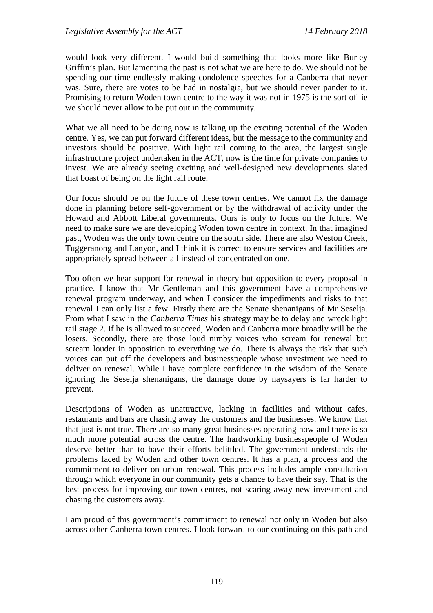would look very different. I would build something that looks more like Burley Griffin's plan. But lamenting the past is not what we are here to do. We should not be spending our time endlessly making condolence speeches for a Canberra that never was. Sure, there are votes to be had in nostalgia, but we should never pander to it. Promising to return Woden town centre to the way it was not in 1975 is the sort of lie we should never allow to be put out in the community.

What we all need to be doing now is talking up the exciting potential of the Woden centre. Yes, we can put forward different ideas, but the message to the community and investors should be positive. With light rail coming to the area, the largest single infrastructure project undertaken in the ACT, now is the time for private companies to invest. We are already seeing exciting and well-designed new developments slated that boast of being on the light rail route.

Our focus should be on the future of these town centres. We cannot fix the damage done in planning before self-government or by the withdrawal of activity under the Howard and Abbott Liberal governments. Ours is only to focus on the future. We need to make sure we are developing Woden town centre in context. In that imagined past, Woden was the only town centre on the south side. There are also Weston Creek, Tuggeranong and Lanyon, and I think it is correct to ensure services and facilities are appropriately spread between all instead of concentrated on one.

Too often we hear support for renewal in theory but opposition to every proposal in practice. I know that Mr Gentleman and this government have a comprehensive renewal program underway, and when I consider the impediments and risks to that renewal I can only list a few. Firstly there are the Senate shenanigans of Mr Seselja. From what I saw in the *Canberra Times* his strategy may be to delay and wreck light rail stage 2. If he is allowed to succeed, Woden and Canberra more broadly will be the losers. Secondly, there are those loud nimby voices who scream for renewal but scream louder in opposition to everything we do. There is always the risk that such voices can put off the developers and businesspeople whose investment we need to deliver on renewal. While I have complete confidence in the wisdom of the Senate ignoring the Seselja shenanigans, the damage done by naysayers is far harder to prevent.

Descriptions of Woden as unattractive, lacking in facilities and without cafes, restaurants and bars are chasing away the customers and the businesses. We know that that just is not true. There are so many great businesses operating now and there is so much more potential across the centre. The hardworking businesspeople of Woden deserve better than to have their efforts belittled. The government understands the problems faced by Woden and other town centres. It has a plan, a process and the commitment to deliver on urban renewal. This process includes ample consultation through which everyone in our community gets a chance to have their say. That is the best process for improving our town centres, not scaring away new investment and chasing the customers away.

I am proud of this government's commitment to renewal not only in Woden but also across other Canberra town centres. I look forward to our continuing on this path and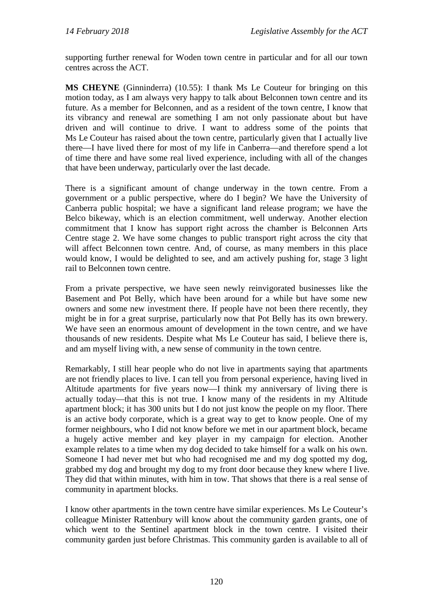supporting further renewal for Woden town centre in particular and for all our town centres across the ACT.

**MS CHEYNE** (Ginninderra) (10.55): I thank Ms Le Couteur for bringing on this motion today, as I am always very happy to talk about Belconnen town centre and its future. As a member for Belconnen, and as a resident of the town centre, I know that its vibrancy and renewal are something I am not only passionate about but have driven and will continue to drive. I want to address some of the points that Ms Le Couteur has raised about the town centre, particularly given that I actually live there—I have lived there for most of my life in Canberra—and therefore spend a lot of time there and have some real lived experience, including with all of the changes that have been underway, particularly over the last decade.

There is a significant amount of change underway in the town centre. From a government or a public perspective, where do I begin? We have the University of Canberra public hospital; we have a significant land release program; we have the Belco bikeway, which is an election commitment, well underway. Another election commitment that I know has support right across the chamber is Belconnen Arts Centre stage 2. We have some changes to public transport right across the city that will affect Belconnen town centre. And, of course, as many members in this place would know, I would be delighted to see, and am actively pushing for, stage 3 light rail to Belconnen town centre.

From a private perspective, we have seen newly reinvigorated businesses like the Basement and Pot Belly, which have been around for a while but have some new owners and some new investment there. If people have not been there recently, they might be in for a great surprise, particularly now that Pot Belly has its own brewery. We have seen an enormous amount of development in the town centre, and we have thousands of new residents. Despite what Ms Le Couteur has said, I believe there is, and am myself living with, a new sense of community in the town centre.

Remarkably, I still hear people who do not live in apartments saying that apartments are not friendly places to live. I can tell you from personal experience, having lived in Altitude apartments for five years now—I think my anniversary of living there is actually today—that this is not true. I know many of the residents in my Altitude apartment block; it has 300 units but I do not just know the people on my floor. There is an active body corporate, which is a great way to get to know people. One of my former neighbours, who I did not know before we met in our apartment block, became a hugely active member and key player in my campaign for election. Another example relates to a time when my dog decided to take himself for a walk on his own. Someone I had never met but who had recognised me and my dog spotted my dog, grabbed my dog and brought my dog to my front door because they knew where I live. They did that within minutes, with him in tow. That shows that there is a real sense of community in apartment blocks.

I know other apartments in the town centre have similar experiences. Ms Le Couteur's colleague Minister Rattenbury will know about the community garden grants, one of which went to the Sentinel apartment block in the town centre. I visited their community garden just before Christmas. This community garden is available to all of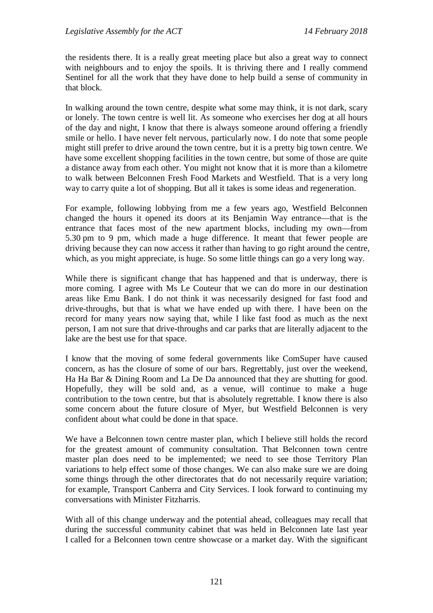the residents there. It is a really great meeting place but also a great way to connect with neighbours and to enjoy the spoils. It is thriving there and I really commend Sentinel for all the work that they have done to help build a sense of community in that block.

In walking around the town centre, despite what some may think, it is not dark, scary or lonely. The town centre is well lit. As someone who exercises her dog at all hours of the day and night, I know that there is always someone around offering a friendly smile or hello. I have never felt nervous, particularly now. I do note that some people might still prefer to drive around the town centre, but it is a pretty big town centre. We have some excellent shopping facilities in the town centre, but some of those are quite a distance away from each other. You might not know that it is more than a kilometre to walk between Belconnen Fresh Food Markets and Westfield. That is a very long way to carry quite a lot of shopping. But all it takes is some ideas and regeneration.

For example, following lobbying from me a few years ago, Westfield Belconnen changed the hours it opened its doors at its Benjamin Way entrance—that is the entrance that faces most of the new apartment blocks, including my own—from 5.30 pm to 9 pm, which made a huge difference. It meant that fewer people are driving because they can now access it rather than having to go right around the centre, which, as you might appreciate, is huge. So some little things can go a very long way.

While there is significant change that has happened and that is underway, there is more coming. I agree with Ms Le Couteur that we can do more in our destination areas like Emu Bank. I do not think it was necessarily designed for fast food and drive-throughs, but that is what we have ended up with there. I have been on the record for many years now saying that, while I like fast food as much as the next person, I am not sure that drive-throughs and car parks that are literally adjacent to the lake are the best use for that space.

I know that the moving of some federal governments like ComSuper have caused concern, as has the closure of some of our bars. Regrettably, just over the weekend, Ha Ha Bar & Dining Room and La De Da announced that they are shutting for good. Hopefully, they will be sold and, as a venue, will continue to make a huge contribution to the town centre, but that is absolutely regrettable. I know there is also some concern about the future closure of Myer, but Westfield Belconnen is very confident about what could be done in that space.

We have a Belconnen town centre master plan, which I believe still holds the record for the greatest amount of community consultation. That Belconnen town centre master plan does need to be implemented; we need to see those Territory Plan variations to help effect some of those changes. We can also make sure we are doing some things through the other directorates that do not necessarily require variation; for example, Transport Canberra and City Services. I look forward to continuing my conversations with Minister Fitzharris.

With all of this change underway and the potential ahead, colleagues may recall that during the successful community cabinet that was held in Belconnen late last year I called for a Belconnen town centre showcase or a market day. With the significant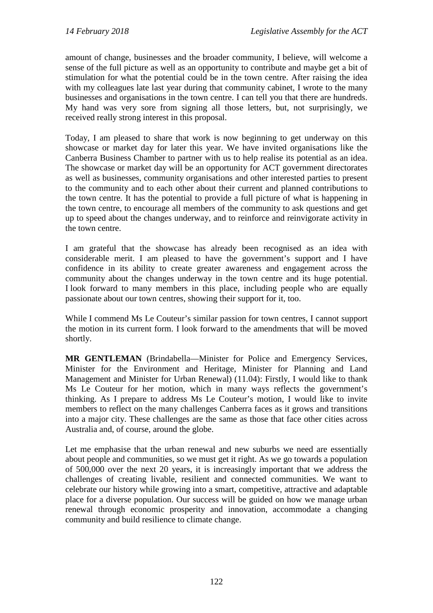amount of change, businesses and the broader community, I believe, will welcome a sense of the full picture as well as an opportunity to contribute and maybe get a bit of stimulation for what the potential could be in the town centre. After raising the idea with my colleagues late last year during that community cabinet, I wrote to the many businesses and organisations in the town centre. I can tell you that there are hundreds. My hand was very sore from signing all those letters, but, not surprisingly, we received really strong interest in this proposal.

Today, I am pleased to share that work is now beginning to get underway on this showcase or market day for later this year. We have invited organisations like the Canberra Business Chamber to partner with us to help realise its potential as an idea. The showcase or market day will be an opportunity for ACT government directorates as well as businesses, community organisations and other interested parties to present to the community and to each other about their current and planned contributions to the town centre. It has the potential to provide a full picture of what is happening in the town centre, to encourage all members of the community to ask questions and get up to speed about the changes underway, and to reinforce and reinvigorate activity in the town centre.

I am grateful that the showcase has already been recognised as an idea with considerable merit. I am pleased to have the government's support and I have confidence in its ability to create greater awareness and engagement across the community about the changes underway in the town centre and its huge potential. I look forward to many members in this place, including people who are equally passionate about our town centres, showing their support for it, too.

While I commend Ms Le Couteur's similar passion for town centres, I cannot support the motion in its current form. I look forward to the amendments that will be moved shortly.

**MR GENTLEMAN** (Brindabella—Minister for Police and Emergency Services, Minister for the Environment and Heritage, Minister for Planning and Land Management and Minister for Urban Renewal) (11.04): Firstly, I would like to thank Ms Le Couteur for her motion, which in many ways reflects the government's thinking. As I prepare to address Ms Le Couteur's motion, I would like to invite members to reflect on the many challenges Canberra faces as it grows and transitions into a major city. These challenges are the same as those that face other cities across Australia and, of course, around the globe.

Let me emphasise that the urban renewal and new suburbs we need are essentially about people and communities, so we must get it right. As we go towards a population of 500,000 over the next 20 years, it is increasingly important that we address the challenges of creating livable, resilient and connected communities. We want to celebrate our history while growing into a smart, competitive, attractive and adaptable place for a diverse population. Our success will be guided on how we manage urban renewal through economic prosperity and innovation, accommodate a changing community and build resilience to climate change.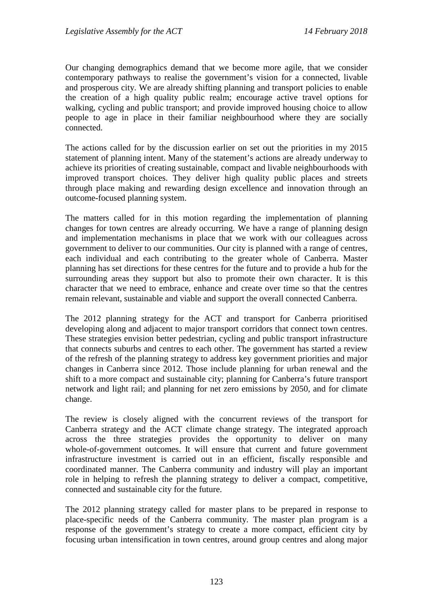Our changing demographics demand that we become more agile, that we consider contemporary pathways to realise the government's vision for a connected, livable and prosperous city. We are already shifting planning and transport policies to enable the creation of a high quality public realm; encourage active travel options for walking, cycling and public transport; and provide improved housing choice to allow people to age in place in their familiar neighbourhood where they are socially connected.

The actions called for by the discussion earlier on set out the priorities in my 2015 statement of planning intent. Many of the statement's actions are already underway to achieve its priorities of creating sustainable, compact and livable neighbourhoods with improved transport choices. They deliver high quality public places and streets through place making and rewarding design excellence and innovation through an outcome-focused planning system.

The matters called for in this motion regarding the implementation of planning changes for town centres are already occurring. We have a range of planning design and implementation mechanisms in place that we work with our colleagues across government to deliver to our communities. Our city is planned with a range of centres, each individual and each contributing to the greater whole of Canberra. Master planning has set directions for these centres for the future and to provide a hub for the surrounding areas they support but also to promote their own character. It is this character that we need to embrace, enhance and create over time so that the centres remain relevant, sustainable and viable and support the overall connected Canberra.

The 2012 planning strategy for the ACT and transport for Canberra prioritised developing along and adjacent to major transport corridors that connect town centres. These strategies envision better pedestrian, cycling and public transport infrastructure that connects suburbs and centres to each other. The government has started a review of the refresh of the planning strategy to address key government priorities and major changes in Canberra since 2012. Those include planning for urban renewal and the shift to a more compact and sustainable city; planning for Canberra's future transport network and light rail; and planning for net zero emissions by 2050, and for climate change.

The review is closely aligned with the concurrent reviews of the transport for Canberra strategy and the ACT climate change strategy. The integrated approach across the three strategies provides the opportunity to deliver on many whole-of-government outcomes. It will ensure that current and future government infrastructure investment is carried out in an efficient, fiscally responsible and coordinated manner. The Canberra community and industry will play an important role in helping to refresh the planning strategy to deliver a compact, competitive, connected and sustainable city for the future.

The 2012 planning strategy called for master plans to be prepared in response to place-specific needs of the Canberra community. The master plan program is a response of the government's strategy to create a more compact, efficient city by focusing urban intensification in town centres, around group centres and along major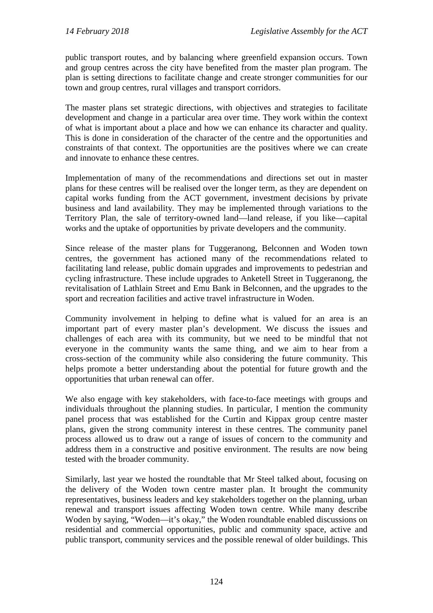public transport routes, and by balancing where greenfield expansion occurs. Town and group centres across the city have benefited from the master plan program. The plan is setting directions to facilitate change and create stronger communities for our town and group centres, rural villages and transport corridors.

The master plans set strategic directions, with objectives and strategies to facilitate development and change in a particular area over time. They work within the context of what is important about a place and how we can enhance its character and quality. This is done in consideration of the character of the centre and the opportunities and constraints of that context. The opportunities are the positives where we can create and innovate to enhance these centres.

Implementation of many of the recommendations and directions set out in master plans for these centres will be realised over the longer term, as they are dependent on capital works funding from the ACT government, investment decisions by private business and land availability. They may be implemented through variations to the Territory Plan, the sale of territory-owned land—land release, if you like—capital works and the uptake of opportunities by private developers and the community.

Since release of the master plans for Tuggeranong, Belconnen and Woden town centres, the government has actioned many of the recommendations related to facilitating land release, public domain upgrades and improvements to pedestrian and cycling infrastructure. These include upgrades to Anketell Street in Tuggeranong, the revitalisation of Lathlain Street and Emu Bank in Belconnen, and the upgrades to the sport and recreation facilities and active travel infrastructure in Woden.

Community involvement in helping to define what is valued for an area is an important part of every master plan's development. We discuss the issues and challenges of each area with its community, but we need to be mindful that not everyone in the community wants the same thing, and we aim to hear from a cross-section of the community while also considering the future community. This helps promote a better understanding about the potential for future growth and the opportunities that urban renewal can offer.

We also engage with key stakeholders, with face-to-face meetings with groups and individuals throughout the planning studies. In particular, I mention the community panel process that was established for the Curtin and Kippax group centre master plans, given the strong community interest in these centres. The community panel process allowed us to draw out a range of issues of concern to the community and address them in a constructive and positive environment. The results are now being tested with the broader community.

Similarly, last year we hosted the roundtable that Mr Steel talked about, focusing on the delivery of the Woden town centre master plan. It brought the community representatives, business leaders and key stakeholders together on the planning, urban renewal and transport issues affecting Woden town centre. While many describe Woden by saying, "Woden—it's okay," the Woden roundtable enabled discussions on residential and commercial opportunities, public and community space, active and public transport, community services and the possible renewal of older buildings. This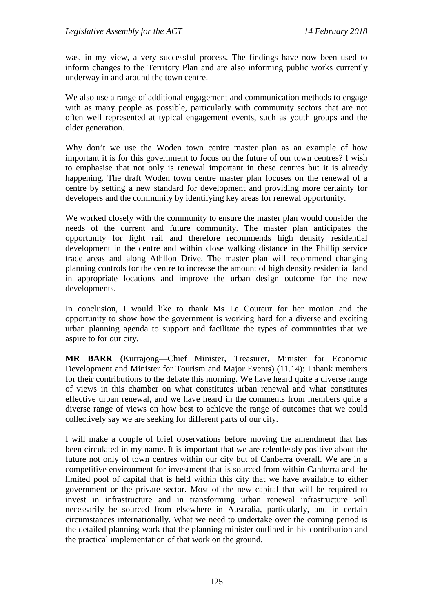was, in my view, a very successful process. The findings have now been used to inform changes to the Territory Plan and are also informing public works currently underway in and around the town centre.

We also use a range of additional engagement and communication methods to engage with as many people as possible, particularly with community sectors that are not often well represented at typical engagement events, such as youth groups and the older generation.

Why don't we use the Woden town centre master plan as an example of how important it is for this government to focus on the future of our town centres? I wish to emphasise that not only is renewal important in these centres but it is already happening. The draft Woden town centre master plan focuses on the renewal of a centre by setting a new standard for development and providing more certainty for developers and the community by identifying key areas for renewal opportunity.

We worked closely with the community to ensure the master plan would consider the needs of the current and future community. The master plan anticipates the opportunity for light rail and therefore recommends high density residential development in the centre and within close walking distance in the Phillip service trade areas and along Athllon Drive. The master plan will recommend changing planning controls for the centre to increase the amount of high density residential land in appropriate locations and improve the urban design outcome for the new developments.

In conclusion, I would like to thank Ms Le Couteur for her motion and the opportunity to show how the government is working hard for a diverse and exciting urban planning agenda to support and facilitate the types of communities that we aspire to for our city.

**MR BARR** (Kurrajong—Chief Minister, Treasurer, Minister for Economic Development and Minister for Tourism and Major Events) (11.14): I thank members for their contributions to the debate this morning. We have heard quite a diverse range of views in this chamber on what constitutes urban renewal and what constitutes effective urban renewal, and we have heard in the comments from members quite a diverse range of views on how best to achieve the range of outcomes that we could collectively say we are seeking for different parts of our city.

I will make a couple of brief observations before moving the amendment that has been circulated in my name. It is important that we are relentlessly positive about the future not only of town centres within our city but of Canberra overall. We are in a competitive environment for investment that is sourced from within Canberra and the limited pool of capital that is held within this city that we have available to either government or the private sector. Most of the new capital that will be required to invest in infrastructure and in transforming urban renewal infrastructure will necessarily be sourced from elsewhere in Australia, particularly, and in certain circumstances internationally. What we need to undertake over the coming period is the detailed planning work that the planning minister outlined in his contribution and the practical implementation of that work on the ground.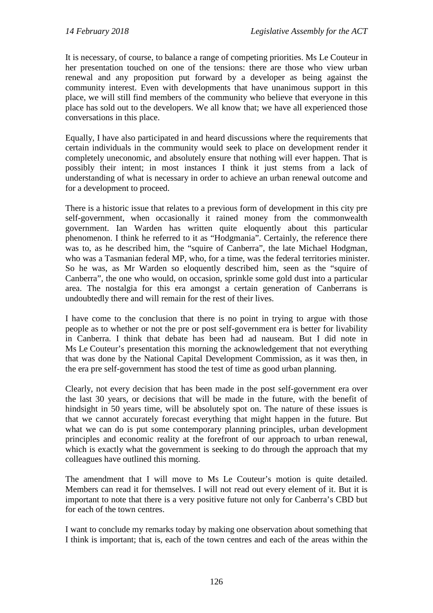It is necessary, of course, to balance a range of competing priorities. Ms Le Couteur in her presentation touched on one of the tensions: there are those who view urban renewal and any proposition put forward by a developer as being against the community interest. Even with developments that have unanimous support in this place, we will still find members of the community who believe that everyone in this place has sold out to the developers. We all know that; we have all experienced those conversations in this place.

Equally, I have also participated in and heard discussions where the requirements that certain individuals in the community would seek to place on development render it completely uneconomic, and absolutely ensure that nothing will ever happen. That is possibly their intent; in most instances I think it just stems from a lack of understanding of what is necessary in order to achieve an urban renewal outcome and for a development to proceed.

There is a historic issue that relates to a previous form of development in this city pre self-government, when occasionally it rained money from the commonwealth government. Ian Warden has written quite eloquently about this particular phenomenon. I think he referred to it as "Hodgmania". Certainly, the reference there was to, as he described him, the "squire of Canberra", the late Michael Hodgman, who was a Tasmanian federal MP, who, for a time, was the federal territories minister. So he was, as Mr Warden so eloquently described him, seen as the "squire of Canberra", the one who would, on occasion, sprinkle some gold dust into a particular area. The nostalgia for this era amongst a certain generation of Canberrans is undoubtedly there and will remain for the rest of their lives.

I have come to the conclusion that there is no point in trying to argue with those people as to whether or not the pre or post self-government era is better for livability in Canberra. I think that debate has been had ad nauseam. But I did note in Ms Le Couteur's presentation this morning the acknowledgement that not everything that was done by the National Capital Development Commission, as it was then, in the era pre self-government has stood the test of time as good urban planning.

Clearly, not every decision that has been made in the post self-government era over the last 30 years, or decisions that will be made in the future, with the benefit of hindsight in 50 years time, will be absolutely spot on. The nature of these issues is that we cannot accurately forecast everything that might happen in the future. But what we can do is put some contemporary planning principles, urban development principles and economic reality at the forefront of our approach to urban renewal, which is exactly what the government is seeking to do through the approach that my colleagues have outlined this morning.

The amendment that I will move to Ms Le Couteur's motion is quite detailed. Members can read it for themselves. I will not read out every element of it. But it is important to note that there is a very positive future not only for Canberra's CBD but for each of the town centres.

I want to conclude my remarks today by making one observation about something that I think is important; that is, each of the town centres and each of the areas within the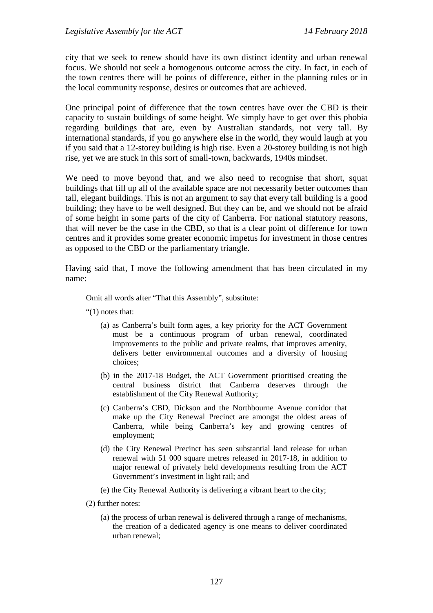city that we seek to renew should have its own distinct identity and urban renewal focus. We should not seek a homogenous outcome across the city. In fact, in each of the town centres there will be points of difference, either in the planning rules or in the local community response, desires or outcomes that are achieved.

One principal point of difference that the town centres have over the CBD is their capacity to sustain buildings of some height. We simply have to get over this phobia regarding buildings that are, even by Australian standards, not very tall. By international standards, if you go anywhere else in the world, they would laugh at you if you said that a 12-storey building is high rise. Even a 20-storey building is not high rise, yet we are stuck in this sort of small-town, backwards, 1940s mindset.

We need to move beyond that, and we also need to recognise that short, squat buildings that fill up all of the available space are not necessarily better outcomes than tall, elegant buildings. This is not an argument to say that every tall building is a good building; they have to be well designed. But they can be, and we should not be afraid of some height in some parts of the city of Canberra. For national statutory reasons, that will never be the case in the CBD, so that is a clear point of difference for town centres and it provides some greater economic impetus for investment in those centres as opposed to the CBD or the parliamentary triangle.

Having said that, I move the following amendment that has been circulated in my name:

Omit all words after "That this Assembly", substitute:

"(1) notes that:

- (a) as Canberra's built form ages, a key priority for the ACT Government must be a continuous program of urban renewal, coordinated improvements to the public and private realms, that improves amenity, delivers better environmental outcomes and a diversity of housing choices;
- (b) in the 2017-18 Budget, the ACT Government prioritised creating the central business district that Canberra deserves through the establishment of the City Renewal Authority;
- (c) Canberra's CBD, Dickson and the Northbourne Avenue corridor that make up the City Renewal Precinct are amongst the oldest areas of Canberra, while being Canberra's key and growing centres of employment;
- (d) the City Renewal Precinct has seen substantial land release for urban renewal with 51 000 square metres released in 2017-18, in addition to major renewal of privately held developments resulting from the ACT Government's investment in light rail; and

(e) the City Renewal Authority is delivering a vibrant heart to the city;

(2) further notes:

(a) the process of urban renewal is delivered through a range of mechanisms, the creation of a dedicated agency is one means to deliver coordinated urban renewal;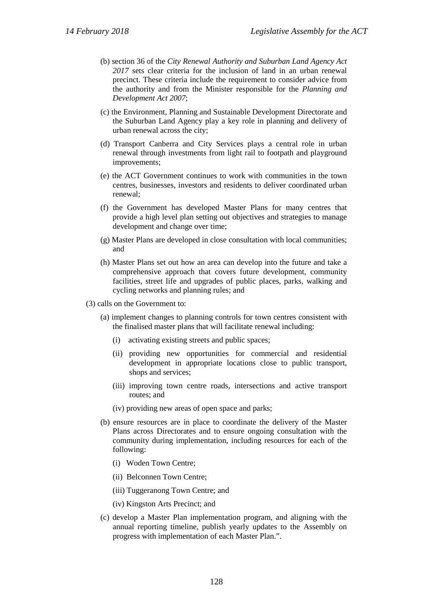- (b) section 36 of the *City Renewal Authority and Suburban Land Agency Act 2017* sets clear criteria for the inclusion of land in an urban renewal precinct. These criteria include the requirement to consider advice from the authority and from the Minister responsible for the *Planning and Development Act 2007*;
- (c) the Environment, Planning and Sustainable Development Directorate and the Suburban Land Agency play a key role in planning and delivery of urban renewal across the city;
- (d) Transport Canberra and City Services plays a central role in urban renewal through investments from light rail to footpath and playground improvements;
- (e) the ACT Government continues to work with communities in the town centres, businesses, investors and residents to deliver coordinated urban renewal;
- (f) the Government has developed Master Plans for many centres that provide a high level plan setting out objectives and strategies to manage development and change over time;
- (g) Master Plans are developed in close consultation with local communities; and
- (h) Master Plans set out how an area can develop into the future and take a comprehensive approach that covers future development, community facilities, street life and upgrades of public places, parks, walking and cycling networks and planning rules; and

(3) calls on the Government to:

- (a) implement changes to planning controls for town centres consistent with the finalised master plans that will facilitate renewal including:
	- (i) activating existing streets and public spaces;
	- (ii) providing new opportunities for commercial and residential development in appropriate locations close to public transport, shops and services;
	- (iii) improving town centre roads, intersections and active transport routes; and
	- (iv) providing new areas of open space and parks;
- (b) ensure resources are in place to coordinate the delivery of the Master Plans across Directorates and to ensure ongoing consultation with the community during implementation, including resources for each of the following:
	- (i) Woden Town Centre;
	- (ii) Belconnen Town Centre;
	- (iii) Tuggeranong Town Centre; and
	- (iv) Kingston Arts Precinct; and
- (c) develop a Master Plan implementation program, and aligning with the annual reporting timeline, publish yearly updates to the Assembly on progress with implementation of each Master Plan.".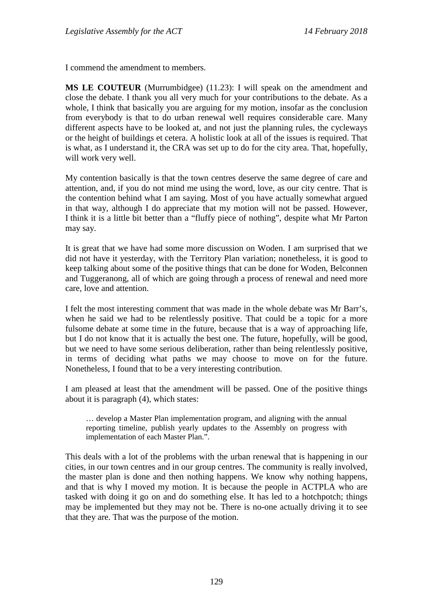I commend the amendment to members.

**MS LE COUTEUR** (Murrumbidgee) (11.23): I will speak on the amendment and close the debate. I thank you all very much for your contributions to the debate. As a whole, I think that basically you are arguing for my motion, insofar as the conclusion from everybody is that to do urban renewal well requires considerable care. Many different aspects have to be looked at, and not just the planning rules, the cycleways or the height of buildings et cetera. A holistic look at all of the issues is required. That is what, as I understand it, the CRA was set up to do for the city area. That, hopefully, will work very well.

My contention basically is that the town centres deserve the same degree of care and attention, and, if you do not mind me using the word, love, as our city centre. That is the contention behind what I am saying. Most of you have actually somewhat argued in that way, although I do appreciate that my motion will not be passed. However, I think it is a little bit better than a "fluffy piece of nothing", despite what Mr Parton may say.

It is great that we have had some more discussion on Woden. I am surprised that we did not have it yesterday, with the Territory Plan variation; nonetheless, it is good to keep talking about some of the positive things that can be done for Woden, Belconnen and Tuggeranong, all of which are going through a process of renewal and need more care, love and attention.

I felt the most interesting comment that was made in the whole debate was Mr Barr's, when he said we had to be relentlessly positive. That could be a topic for a more fulsome debate at some time in the future, because that is a way of approaching life, but I do not know that it is actually the best one. The future, hopefully, will be good, but we need to have some serious deliberation, rather than being relentlessly positive, in terms of deciding what paths we may choose to move on for the future. Nonetheless, I found that to be a very interesting contribution.

I am pleased at least that the amendment will be passed. One of the positive things about it is paragraph (4), which states:

… develop a Master Plan implementation program, and aligning with the annual reporting timeline, publish yearly updates to the Assembly on progress with implementation of each Master Plan.".

This deals with a lot of the problems with the urban renewal that is happening in our cities, in our town centres and in our group centres. The community is really involved, the master plan is done and then nothing happens. We know why nothing happens, and that is why I moved my motion. It is because the people in ACTPLA who are tasked with doing it go on and do something else. It has led to a hotchpotch; things may be implemented but they may not be. There is no-one actually driving it to see that they are. That was the purpose of the motion.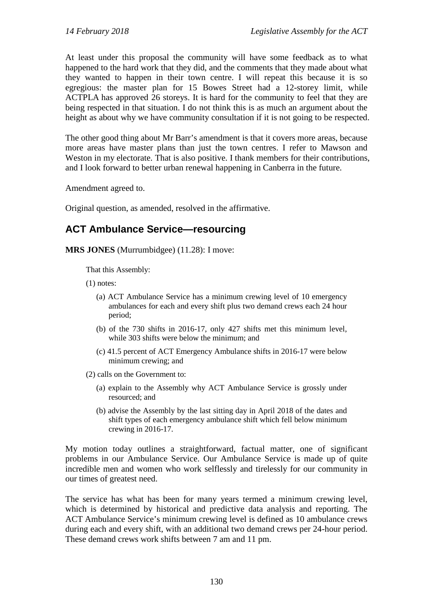At least under this proposal the community will have some feedback as to what happened to the hard work that they did, and the comments that they made about what they wanted to happen in their town centre. I will repeat this because it is so egregious: the master plan for 15 Bowes Street had a 12-storey limit, while ACTPLA has approved 26 storeys. It is hard for the community to feel that they are being respected in that situation. I do not think this is as much an argument about the height as about why we have community consultation if it is not going to be respected.

The other good thing about Mr Barr's amendment is that it covers more areas, because more areas have master plans than just the town centres. I refer to Mawson and Weston in my electorate. That is also positive. I thank members for their contributions, and I look forward to better urban renewal happening in Canberra in the future.

Amendment agreed to.

Original question, as amended, resolved in the affirmative.

## <span id="page-29-0"></span>**ACT Ambulance Service—resourcing**

**MRS JONES** (Murrumbidgee) (11.28): I move:

That this Assembly:

(1) notes:

- (a) ACT Ambulance Service has a minimum crewing level of 10 emergency ambulances for each and every shift plus two demand crews each 24 hour period;
- (b) of the 730 shifts in 2016-17, only 427 shifts met this minimum level, while 303 shifts were below the minimum; and
- (c) 41.5 percent of ACT Emergency Ambulance shifts in 2016-17 were below minimum crewing; and
- (2) calls on the Government to:
	- (a) explain to the Assembly why ACT Ambulance Service is grossly under resourced; and
	- (b) advise the Assembly by the last sitting day in April 2018 of the dates and shift types of each emergency ambulance shift which fell below minimum crewing in 2016-17.

My motion today outlines a straightforward, factual matter, one of significant problems in our Ambulance Service. Our Ambulance Service is made up of quite incredible men and women who work selflessly and tirelessly for our community in our times of greatest need.

The service has what has been for many years termed a minimum crewing level, which is determined by historical and predictive data analysis and reporting. The ACT Ambulance Service's minimum crewing level is defined as 10 ambulance crews during each and every shift, with an additional two demand crews per 24-hour period. These demand crews work shifts between 7 am and 11 pm.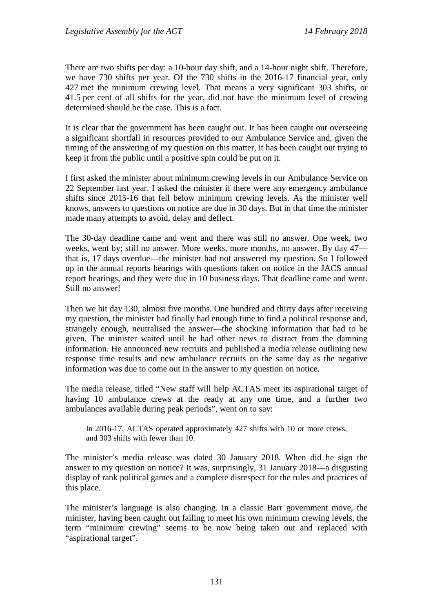There are two shifts per day: a 10-hour day shift, and a 14-hour night shift. Therefore, we have 730 shifts per year. Of the 730 shifts in the 2016-17 financial year, only 427 met the minimum crewing level. That means a very significant 303 shifts, or 41.5 per cent of all shifts for the year, did not have the minimum level of crewing determined should be the case. This is a fact.

It is clear that the government has been caught out. It has been caught out overseeing a significant shortfall in resources provided to our Ambulance Service and, given the timing of the answering of my question on this matter, it has been caught out trying to keep it from the public until a positive spin could be put on it.

I first asked the minister about minimum crewing levels in our Ambulance Service on 22 September last year. I asked the minister if there were any emergency ambulance shifts since 2015-16 that fell below minimum crewing levels. As the minister well knows, answers to questions on notice are due in 30 days. But in that time the minister made many attempts to avoid, delay and deflect.

The 30-day deadline came and went and there was still no answer. One week, two weeks, went by; still no answer. More weeks, more months, no answer. By day 47 that is, 17 days overdue—the minister had not answered my question. So I followed up in the annual reports hearings with questions taken on notice in the JACS annual report hearings, and they were due in 10 business days. That deadline came and went. Still no answer!

Then we hit day 130, almost five months. One hundred and thirty days after receiving my question, the minister had finally had enough time to find a political response and, strangely enough, neutralised the answer—the shocking information that had to be given. The minister waited until he had other news to distract from the damning information. He announced new recruits and published a media release outlining new response time results and new ambulance recruits on the same day as the negative information was due to come out in the answer to my question on notice.

The media release, titled "New staff will help ACTAS meet its aspirational target of having 10 ambulance crews at the ready at any one time, and a further two ambulances available during peak periods", went on to say:

In 2016-17, ACTAS operated approximately 427 shifts with 10 or more crews, and 303 shifts with fewer than 10.

The minister's media release was dated 30 January 2018. When did he sign the answer to my question on notice? It was, surprisingly, 31 January 2018—a disgusting display of rank political games and a complete disrespect for the rules and practices of this place.

The minister's language is also changing. In a classic Barr government move, the minister, having been caught out failing to meet his own minimum crewing levels, the term "minimum crewing" seems to be now being taken out and replaced with "aspirational target".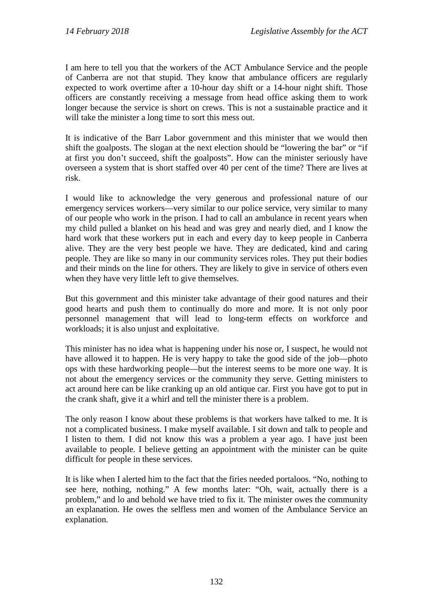I am here to tell you that the workers of the ACT Ambulance Service and the people of Canberra are not that stupid. They know that ambulance officers are regularly expected to work overtime after a 10-hour day shift or a 14-hour night shift. Those officers are constantly receiving a message from head office asking them to work longer because the service is short on crews. This is not a sustainable practice and it will take the minister a long time to sort this mess out.

It is indicative of the Barr Labor government and this minister that we would then shift the goalposts. The slogan at the next election should be "lowering the bar" or "if at first you don't succeed, shift the goalposts". How can the minister seriously have overseen a system that is short staffed over 40 per cent of the time? There are lives at risk.

I would like to acknowledge the very generous and professional nature of our emergency services workers—very similar to our police service, very similar to many of our people who work in the prison. I had to call an ambulance in recent years when my child pulled a blanket on his head and was grey and nearly died, and I know the hard work that these workers put in each and every day to keep people in Canberra alive. They are the very best people we have. They are dedicated, kind and caring people. They are like so many in our community services roles. They put their bodies and their minds on the line for others. They are likely to give in service of others even when they have very little left to give themselves.

But this government and this minister take advantage of their good natures and their good hearts and push them to continually do more and more. It is not only poor personnel management that will lead to long-term effects on workforce and workloads; it is also unjust and exploitative.

This minister has no idea what is happening under his nose or, I suspect, he would not have allowed it to happen. He is very happy to take the good side of the job—photo ops with these hardworking people—but the interest seems to be more one way. It is not about the emergency services or the community they serve. Getting ministers to act around here can be like cranking up an old antique car. First you have got to put in the crank shaft, give it a whirl and tell the minister there is a problem.

The only reason I know about these problems is that workers have talked to me. It is not a complicated business. I make myself available. I sit down and talk to people and I listen to them. I did not know this was a problem a year ago. I have just been available to people. I believe getting an appointment with the minister can be quite difficult for people in these services.

It is like when I alerted him to the fact that the firies needed portaloos. "No, nothing to see here, nothing, nothing." A few months later: "Oh, wait, actually there is a problem," and lo and behold we have tried to fix it. The minister owes the community an explanation. He owes the selfless men and women of the Ambulance Service an explanation.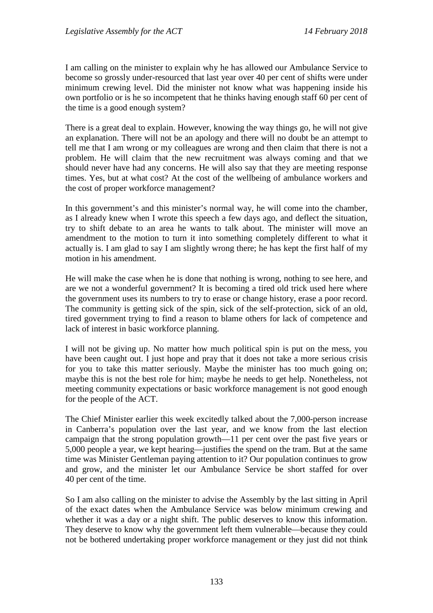I am calling on the minister to explain why he has allowed our Ambulance Service to become so grossly under-resourced that last year over 40 per cent of shifts were under minimum crewing level. Did the minister not know what was happening inside his own portfolio or is he so incompetent that he thinks having enough staff 60 per cent of the time is a good enough system?

There is a great deal to explain. However, knowing the way things go, he will not give an explanation. There will not be an apology and there will no doubt be an attempt to tell me that I am wrong or my colleagues are wrong and then claim that there is not a problem. He will claim that the new recruitment was always coming and that we should never have had any concerns. He will also say that they are meeting response times. Yes, but at what cost? At the cost of the wellbeing of ambulance workers and the cost of proper workforce management?

In this government's and this minister's normal way, he will come into the chamber, as I already knew when I wrote this speech a few days ago, and deflect the situation, try to shift debate to an area he wants to talk about. The minister will move an amendment to the motion to turn it into something completely different to what it actually is. I am glad to say I am slightly wrong there; he has kept the first half of my motion in his amendment.

He will make the case when he is done that nothing is wrong, nothing to see here, and are we not a wonderful government? It is becoming a tired old trick used here where the government uses its numbers to try to erase or change history, erase a poor record. The community is getting sick of the spin, sick of the self-protection, sick of an old, tired government trying to find a reason to blame others for lack of competence and lack of interest in basic workforce planning.

I will not be giving up. No matter how much political spin is put on the mess, you have been caught out. I just hope and pray that it does not take a more serious crisis for you to take this matter seriously. Maybe the minister has too much going on; maybe this is not the best role for him; maybe he needs to get help. Nonetheless, not meeting community expectations or basic workforce management is not good enough for the people of the ACT.

The Chief Minister earlier this week excitedly talked about the 7,000-person increase in Canberra's population over the last year, and we know from the last election campaign that the strong population growth—11 per cent over the past five years or 5,000 people a year, we kept hearing—justifies the spend on the tram. But at the same time was Minister Gentleman paying attention to it? Our population continues to grow and grow, and the minister let our Ambulance Service be short staffed for over 40 per cent of the time.

So I am also calling on the minister to advise the Assembly by the last sitting in April of the exact dates when the Ambulance Service was below minimum crewing and whether it was a day or a night shift. The public deserves to know this information. They deserve to know why the government left them vulnerable—because they could not be bothered undertaking proper workforce management or they just did not think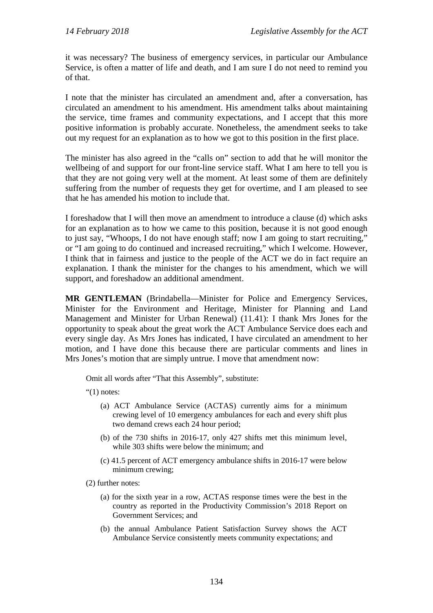it was necessary? The business of emergency services, in particular our Ambulance Service, is often a matter of life and death, and I am sure I do not need to remind you of that.

I note that the minister has circulated an amendment and, after a conversation, has circulated an amendment to his amendment. His amendment talks about maintaining the service, time frames and community expectations, and I accept that this more positive information is probably accurate. Nonetheless, the amendment seeks to take out my request for an explanation as to how we got to this position in the first place.

The minister has also agreed in the "calls on" section to add that he will monitor the wellbeing of and support for our front-line service staff. What I am here to tell you is that they are not going very well at the moment. At least some of them are definitely suffering from the number of requests they get for overtime, and I am pleased to see that he has amended his motion to include that.

I foreshadow that I will then move an amendment to introduce a clause (d) which asks for an explanation as to how we came to this position, because it is not good enough to just say, "Whoops, I do not have enough staff; now I am going to start recruiting," or "I am going to do continued and increased recruiting," which I welcome. However, I think that in fairness and justice to the people of the ACT we do in fact require an explanation. I thank the minister for the changes to his amendment, which we will support, and foreshadow an additional amendment.

**MR GENTLEMAN** (Brindabella—Minister for Police and Emergency Services, Minister for the Environment and Heritage, Minister for Planning and Land Management and Minister for Urban Renewal) (11.41): I thank Mrs Jones for the opportunity to speak about the great work the ACT Ambulance Service does each and every single day. As Mrs Jones has indicated, I have circulated an amendment to her motion, and I have done this because there are particular comments and lines in Mrs Jones's motion that are simply untrue. I move that amendment now:

Omit all words after "That this Assembly", substitute:

" $(1)$  notes:

- (a) ACT Ambulance Service (ACTAS) currently aims for a minimum crewing level of 10 emergency ambulances for each and every shift plus two demand crews each 24 hour period;
- (b) of the 730 shifts in 2016-17, only 427 shifts met this minimum level, while 303 shifts were below the minimum; and
- (c) 41.5 percent of ACT emergency ambulance shifts in 2016-17 were below minimum crewing;
- (2) further notes:
	- (a) for the sixth year in a row, ACTAS response times were the best in the country as reported in the Productivity Commission's 2018 Report on Government Services; and
	- (b) the annual Ambulance Patient Satisfaction Survey shows the ACT Ambulance Service consistently meets community expectations; and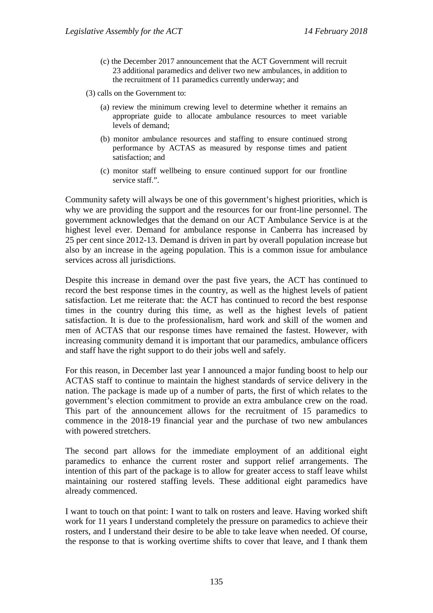- (c) the December 2017 announcement that the ACT Government will recruit 23 additional paramedics and deliver two new ambulances, in addition to the recruitment of 11 paramedics currently underway; and
- (3) calls on the Government to:
	- (a) review the minimum crewing level to determine whether it remains an appropriate guide to allocate ambulance resources to meet variable levels of demand;
	- (b) monitor ambulance resources and staffing to ensure continued strong performance by ACTAS as measured by response times and patient satisfaction; and
	- (c) monitor staff wellbeing to ensure continued support for our frontline service staff.".

Community safety will always be one of this government's highest priorities, which is why we are providing the support and the resources for our front-line personnel. The government acknowledges that the demand on our ACT Ambulance Service is at the highest level ever. Demand for ambulance response in Canberra has increased by 25 per cent since 2012-13. Demand is driven in part by overall population increase but also by an increase in the ageing population. This is a common issue for ambulance services across all jurisdictions.

Despite this increase in demand over the past five years, the ACT has continued to record the best response times in the country, as well as the highest levels of patient satisfaction. Let me reiterate that: the ACT has continued to record the best response times in the country during this time, as well as the highest levels of patient satisfaction. It is due to the professionalism, hard work and skill of the women and men of ACTAS that our response times have remained the fastest. However, with increasing community demand it is important that our paramedics, ambulance officers and staff have the right support to do their jobs well and safely.

For this reason, in December last year I announced a major funding boost to help our ACTAS staff to continue to maintain the highest standards of service delivery in the nation. The package is made up of a number of parts, the first of which relates to the government's election commitment to provide an extra ambulance crew on the road. This part of the announcement allows for the recruitment of 15 paramedics to commence in the 2018-19 financial year and the purchase of two new ambulances with powered stretchers.

The second part allows for the immediate employment of an additional eight paramedics to enhance the current roster and support relief arrangements. The intention of this part of the package is to allow for greater access to staff leave whilst maintaining our rostered staffing levels. These additional eight paramedics have already commenced.

I want to touch on that point: I want to talk on rosters and leave. Having worked shift work for 11 years I understand completely the pressure on paramedics to achieve their rosters, and I understand their desire to be able to take leave when needed. Of course, the response to that is working overtime shifts to cover that leave, and I thank them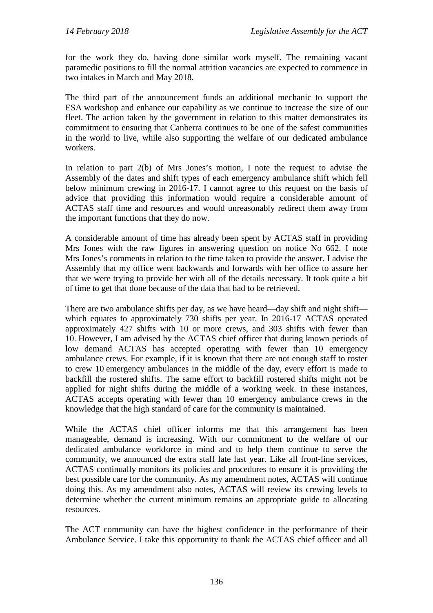for the work they do, having done similar work myself. The remaining vacant paramedic positions to fill the normal attrition vacancies are expected to commence in two intakes in March and May 2018.

The third part of the announcement funds an additional mechanic to support the ESA workshop and enhance our capability as we continue to increase the size of our fleet. The action taken by the government in relation to this matter demonstrates its commitment to ensuring that Canberra continues to be one of the safest communities in the world to live, while also supporting the welfare of our dedicated ambulance workers.

In relation to part 2(b) of Mrs Jones's motion, I note the request to advise the Assembly of the dates and shift types of each emergency ambulance shift which fell below minimum crewing in 2016-17. I cannot agree to this request on the basis of advice that providing this information would require a considerable amount of ACTAS staff time and resources and would unreasonably redirect them away from the important functions that they do now.

A considerable amount of time has already been spent by ACTAS staff in providing Mrs Jones with the raw figures in answering question on notice No 662. I note Mrs Jones's comments in relation to the time taken to provide the answer. I advise the Assembly that my office went backwards and forwards with her office to assure her that we were trying to provide her with all of the details necessary. It took quite a bit of time to get that done because of the data that had to be retrieved.

There are two ambulance shifts per day, as we have heard—day shift and night shift which equates to approximately 730 shifts per year. In 2016-17 ACTAS operated approximately 427 shifts with 10 or more crews, and 303 shifts with fewer than 10. However, I am advised by the ACTAS chief officer that during known periods of low demand ACTAS has accepted operating with fewer than 10 emergency ambulance crews. For example, if it is known that there are not enough staff to roster to crew 10 emergency ambulances in the middle of the day, every effort is made to backfill the rostered shifts. The same effort to backfill rostered shifts might not be applied for night shifts during the middle of a working week. In these instances, ACTAS accepts operating with fewer than 10 emergency ambulance crews in the knowledge that the high standard of care for the community is maintained.

While the ACTAS chief officer informs me that this arrangement has been manageable, demand is increasing. With our commitment to the welfare of our dedicated ambulance workforce in mind and to help them continue to serve the community, we announced the extra staff late last year. Like all front-line services, ACTAS continually monitors its policies and procedures to ensure it is providing the best possible care for the community. As my amendment notes, ACTAS will continue doing this. As my amendment also notes, ACTAS will review its crewing levels to determine whether the current minimum remains an appropriate guide to allocating resources.

The ACT community can have the highest confidence in the performance of their Ambulance Service. I take this opportunity to thank the ACTAS chief officer and all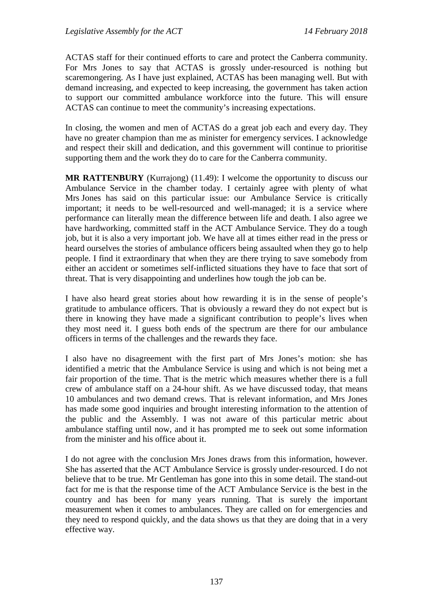ACTAS staff for their continued efforts to care and protect the Canberra community. For Mrs Jones to say that ACTAS is grossly under-resourced is nothing but scaremongering. As I have just explained, ACTAS has been managing well. But with demand increasing, and expected to keep increasing, the government has taken action to support our committed ambulance workforce into the future. This will ensure ACTAS can continue to meet the community's increasing expectations.

In closing, the women and men of ACTAS do a great job each and every day. They have no greater champion than me as minister for emergency services. I acknowledge and respect their skill and dedication, and this government will continue to prioritise supporting them and the work they do to care for the Canberra community.

**MR RATTENBURY** (Kurrajong) (11.49): I welcome the opportunity to discuss our Ambulance Service in the chamber today. I certainly agree with plenty of what Mrs Jones has said on this particular issue: our Ambulance Service is critically important; it needs to be well-resourced and well-managed; it is a service where performance can literally mean the difference between life and death. I also agree we have hardworking, committed staff in the ACT Ambulance Service. They do a tough job, but it is also a very important job. We have all at times either read in the press or heard ourselves the stories of ambulance officers being assaulted when they go to help people. I find it extraordinary that when they are there trying to save somebody from either an accident or sometimes self-inflicted situations they have to face that sort of threat. That is very disappointing and underlines how tough the job can be.

I have also heard great stories about how rewarding it is in the sense of people's gratitude to ambulance officers. That is obviously a reward they do not expect but is there in knowing they have made a significant contribution to people's lives when they most need it. I guess both ends of the spectrum are there for our ambulance officers in terms of the challenges and the rewards they face.

I also have no disagreement with the first part of Mrs Jones's motion: she has identified a metric that the Ambulance Service is using and which is not being met a fair proportion of the time. That is the metric which measures whether there is a full crew of ambulance staff on a 24-hour shift. As we have discussed today, that means 10 ambulances and two demand crews. That is relevant information, and Mrs Jones has made some good inquiries and brought interesting information to the attention of the public and the Assembly. I was not aware of this particular metric about ambulance staffing until now, and it has prompted me to seek out some information from the minister and his office about it.

I do not agree with the conclusion Mrs Jones draws from this information, however. She has asserted that the ACT Ambulance Service is grossly under-resourced. I do not believe that to be true. Mr Gentleman has gone into this in some detail. The stand-out fact for me is that the response time of the ACT Ambulance Service is the best in the country and has been for many years running. That is surely the important measurement when it comes to ambulances. They are called on for emergencies and they need to respond quickly, and the data shows us that they are doing that in a very effective way.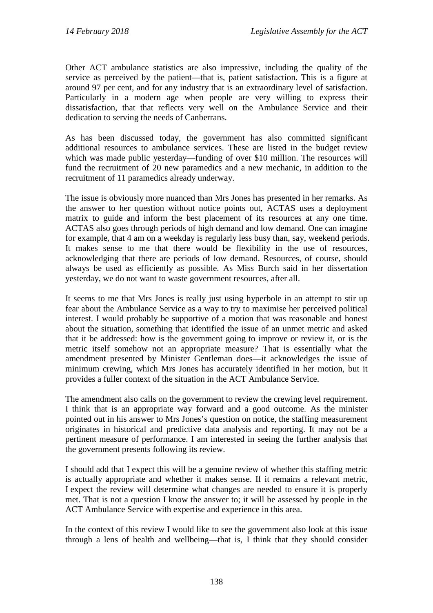Other ACT ambulance statistics are also impressive, including the quality of the service as perceived by the patient—that is, patient satisfaction. This is a figure at around 97 per cent, and for any industry that is an extraordinary level of satisfaction. Particularly in a modern age when people are very willing to express their dissatisfaction, that that reflects very well on the Ambulance Service and their dedication to serving the needs of Canberrans.

As has been discussed today, the government has also committed significant additional resources to ambulance services. These are listed in the budget review which was made public yesterday—funding of over \$10 million. The resources will fund the recruitment of 20 new paramedics and a new mechanic, in addition to the recruitment of 11 paramedics already underway.

The issue is obviously more nuanced than Mrs Jones has presented in her remarks. As the answer to her question without notice points out, ACTAS uses a deployment matrix to guide and inform the best placement of its resources at any one time. ACTAS also goes through periods of high demand and low demand. One can imagine for example, that 4 am on a weekday is regularly less busy than, say, weekend periods. It makes sense to me that there would be flexibility in the use of resources, acknowledging that there are periods of low demand. Resources, of course, should always be used as efficiently as possible. As Miss Burch said in her dissertation yesterday, we do not want to waste government resources, after all.

It seems to me that Mrs Jones is really just using hyperbole in an attempt to stir up fear about the Ambulance Service as a way to try to maximise her perceived political interest. I would probably be supportive of a motion that was reasonable and honest about the situation, something that identified the issue of an unmet metric and asked that it be addressed: how is the government going to improve or review it, or is the metric itself somehow not an appropriate measure? That is essentially what the amendment presented by Minister Gentleman does—it acknowledges the issue of minimum crewing, which Mrs Jones has accurately identified in her motion, but it provides a fuller context of the situation in the ACT Ambulance Service.

The amendment also calls on the government to review the crewing level requirement. I think that is an appropriate way forward and a good outcome. As the minister pointed out in his answer to Mrs Jones's question on notice, the staffing measurement originates in historical and predictive data analysis and reporting. It may not be a pertinent measure of performance. I am interested in seeing the further analysis that the government presents following its review.

I should add that I expect this will be a genuine review of whether this staffing metric is actually appropriate and whether it makes sense. If it remains a relevant metric, I expect the review will determine what changes are needed to ensure it is properly met. That is not a question I know the answer to; it will be assessed by people in the ACT Ambulance Service with expertise and experience in this area.

In the context of this review I would like to see the government also look at this issue through a lens of health and wellbeing—that is, I think that they should consider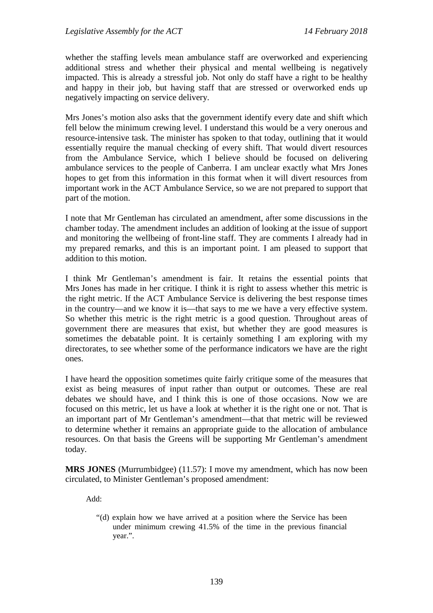whether the staffing levels mean ambulance staff are overworked and experiencing additional stress and whether their physical and mental wellbeing is negatively impacted. This is already a stressful job. Not only do staff have a right to be healthy and happy in their job, but having staff that are stressed or overworked ends up negatively impacting on service delivery.

Mrs Jones's motion also asks that the government identify every date and shift which fell below the minimum crewing level. I understand this would be a very onerous and resource-intensive task. The minister has spoken to that today, outlining that it would essentially require the manual checking of every shift. That would divert resources from the Ambulance Service, which I believe should be focused on delivering ambulance services to the people of Canberra. I am unclear exactly what Mrs Jones hopes to get from this information in this format when it will divert resources from important work in the ACT Ambulance Service, so we are not prepared to support that part of the motion.

I note that Mr Gentleman has circulated an amendment, after some discussions in the chamber today. The amendment includes an addition of looking at the issue of support and monitoring the wellbeing of front-line staff. They are comments I already had in my prepared remarks, and this is an important point. I am pleased to support that addition to this motion.

I think Mr Gentleman's amendment is fair. It retains the essential points that Mrs Jones has made in her critique. I think it is right to assess whether this metric is the right metric. If the ACT Ambulance Service is delivering the best response times in the country—and we know it is—that says to me we have a very effective system. So whether this metric is the right metric is a good question. Throughout areas of government there are measures that exist, but whether they are good measures is sometimes the debatable point. It is certainly something I am exploring with my directorates, to see whether some of the performance indicators we have are the right ones.

I have heard the opposition sometimes quite fairly critique some of the measures that exist as being measures of input rather than output or outcomes. These are real debates we should have, and I think this is one of those occasions. Now we are focused on this metric, let us have a look at whether it is the right one or not. That is an important part of Mr Gentleman's amendment—that that metric will be reviewed to determine whether it remains an appropriate guide to the allocation of ambulance resources. On that basis the Greens will be supporting Mr Gentleman's amendment today.

**MRS JONES** (Murrumbidgee) (11.57): I move my amendment, which has now been circulated, to Minister Gentleman's proposed amendment:

Add:

"(d) explain how we have arrived at a position where the Service has been under minimum crewing 41.5% of the time in the previous financial year.".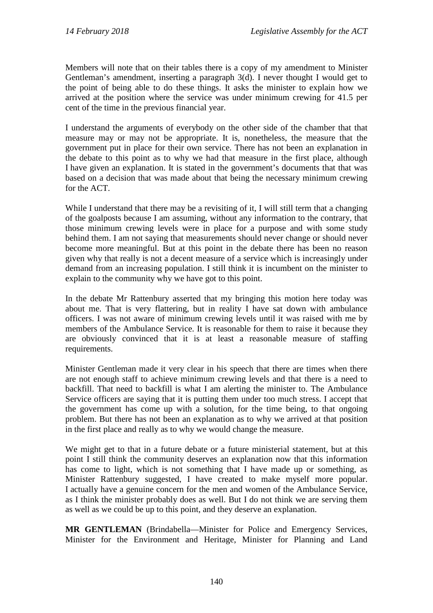Members will note that on their tables there is a copy of my amendment to Minister Gentleman's amendment, inserting a paragraph 3(d). I never thought I would get to the point of being able to do these things. It asks the minister to explain how we arrived at the position where the service was under minimum crewing for 41.5 per cent of the time in the previous financial year.

I understand the arguments of everybody on the other side of the chamber that that measure may or may not be appropriate. It is, nonetheless, the measure that the government put in place for their own service. There has not been an explanation in the debate to this point as to why we had that measure in the first place, although I have given an explanation. It is stated in the government's documents that that was based on a decision that was made about that being the necessary minimum crewing for the ACT.

While I understand that there may be a revisiting of it, I will still term that a changing of the goalposts because I am assuming, without any information to the contrary, that those minimum crewing levels were in place for a purpose and with some study behind them. I am not saying that measurements should never change or should never become more meaningful. But at this point in the debate there has been no reason given why that really is not a decent measure of a service which is increasingly under demand from an increasing population. I still think it is incumbent on the minister to explain to the community why we have got to this point.

In the debate Mr Rattenbury asserted that my bringing this motion here today was about me. That is very flattering, but in reality I have sat down with ambulance officers. I was not aware of minimum crewing levels until it was raised with me by members of the Ambulance Service. It is reasonable for them to raise it because they are obviously convinced that it is at least a reasonable measure of staffing requirements.

Minister Gentleman made it very clear in his speech that there are times when there are not enough staff to achieve minimum crewing levels and that there is a need to backfill. That need to backfill is what I am alerting the minister to. The Ambulance Service officers are saying that it is putting them under too much stress. I accept that the government has come up with a solution, for the time being, to that ongoing problem. But there has not been an explanation as to why we arrived at that position in the first place and really as to why we would change the measure.

We might get to that in a future debate or a future ministerial statement, but at this point I still think the community deserves an explanation now that this information has come to light, which is not something that I have made up or something, as Minister Rattenbury suggested, I have created to make myself more popular. I actually have a genuine concern for the men and women of the Ambulance Service, as I think the minister probably does as well. But I do not think we are serving them as well as we could be up to this point, and they deserve an explanation.

**MR GENTLEMAN** (Brindabella—Minister for Police and Emergency Services, Minister for the Environment and Heritage, Minister for Planning and Land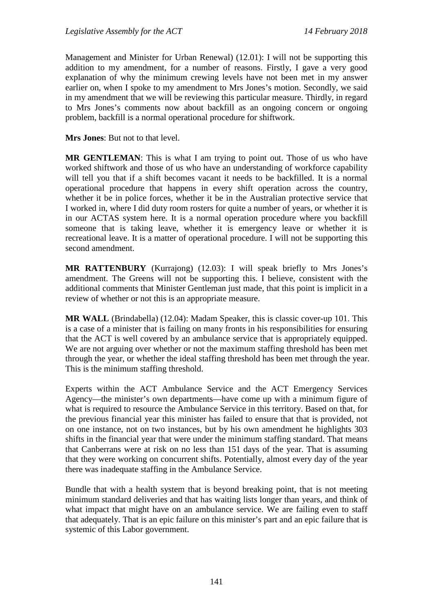Management and Minister for Urban Renewal) (12.01): I will not be supporting this addition to my amendment, for a number of reasons. Firstly, I gave a very good explanation of why the minimum crewing levels have not been met in my answer earlier on, when I spoke to my amendment to Mrs Jones's motion. Secondly, we said in my amendment that we will be reviewing this particular measure. Thirdly, in regard to Mrs Jones's comments now about backfill as an ongoing concern or ongoing problem, backfill is a normal operational procedure for shiftwork.

**Mrs Jones**: But not to that level.

**MR GENTLEMAN**: This is what I am trying to point out. Those of us who have worked shiftwork and those of us who have an understanding of workforce capability will tell you that if a shift becomes vacant it needs to be backfilled. It is a normal operational procedure that happens in every shift operation across the country, whether it be in police forces, whether it be in the Australian protective service that I worked in, where I did duty room rosters for quite a number of years, or whether it is in our ACTAS system here. It is a normal operation procedure where you backfill someone that is taking leave, whether it is emergency leave or whether it is recreational leave. It is a matter of operational procedure. I will not be supporting this second amendment.

**MR RATTENBURY** (Kurrajong) (12.03): I will speak briefly to Mrs Jones's amendment. The Greens will not be supporting this. I believe, consistent with the additional comments that Minister Gentleman just made, that this point is implicit in a review of whether or not this is an appropriate measure.

**MR WALL** (Brindabella) (12.04): Madam Speaker, this is classic cover-up 101. This is a case of a minister that is failing on many fronts in his responsibilities for ensuring that the ACT is well covered by an ambulance service that is appropriately equipped. We are not arguing over whether or not the maximum staffing threshold has been met through the year, or whether the ideal staffing threshold has been met through the year. This is the minimum staffing threshold.

Experts within the ACT Ambulance Service and the ACT Emergency Services Agency—the minister's own departments—have come up with a minimum figure of what is required to resource the Ambulance Service in this territory. Based on that, for the previous financial year this minister has failed to ensure that that is provided, not on one instance, not on two instances, but by his own amendment he highlights 303 shifts in the financial year that were under the minimum staffing standard. That means that Canberrans were at risk on no less than 151 days of the year. That is assuming that they were working on concurrent shifts. Potentially, almost every day of the year there was inadequate staffing in the Ambulance Service.

Bundle that with a health system that is beyond breaking point, that is not meeting minimum standard deliveries and that has waiting lists longer than years, and think of what impact that might have on an ambulance service. We are failing even to staff that adequately. That is an epic failure on this minister's part and an epic failure that is systemic of this Labor government.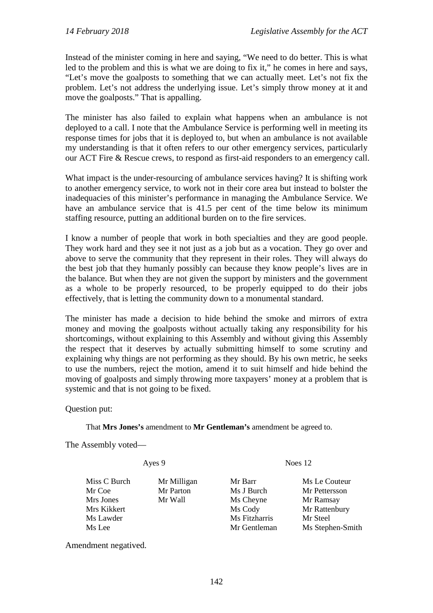Instead of the minister coming in here and saying, "We need to do better. This is what led to the problem and this is what we are doing to fix it," he comes in here and says, "Let's move the goalposts to something that we can actually meet. Let's not fix the problem. Let's not address the underlying issue. Let's simply throw money at it and move the goalposts." That is appalling.

The minister has also failed to explain what happens when an ambulance is not deployed to a call. I note that the Ambulance Service is performing well in meeting its response times for jobs that it is deployed to, but when an ambulance is not available my understanding is that it often refers to our other emergency services, particularly our ACT Fire & Rescue crews, to respond as first-aid responders to an emergency call.

What impact is the under-resourcing of ambulance services having? It is shifting work to another emergency service, to work not in their core area but instead to bolster the inadequacies of this minister's performance in managing the Ambulance Service. We have an ambulance service that is 41.5 per cent of the time below its minimum staffing resource, putting an additional burden on to the fire services.

I know a number of people that work in both specialties and they are good people. They work hard and they see it not just as a job but as a vocation. They go over and above to serve the community that they represent in their roles. They will always do the best job that they humanly possibly can because they know people's lives are in the balance. But when they are not given the support by ministers and the government as a whole to be properly resourced, to be properly equipped to do their jobs effectively, that is letting the community down to a monumental standard.

The minister has made a decision to hide behind the smoke and mirrors of extra money and moving the goalposts without actually taking any responsibility for his shortcomings, without explaining to this Assembly and without giving this Assembly the respect that it deserves by actually submitting himself to some scrutiny and explaining why things are not performing as they should. By his own metric, he seeks to use the numbers, reject the motion, amend it to suit himself and hide behind the moving of goalposts and simply throwing more taxpayers' money at a problem that is systemic and that is not going to be fixed.

Question put:

That **Mrs Jones's** amendment to **Mr Gentleman's** amendment be agreed to.

The Assembly voted—

Miss C Burch Mr Milligan Mr Barr Ms Le Couteur

Mrs Jones Mr Wall Ms Cheyne Mr Ramsay<br>Mrs Kikkert Ms Cody Mr Rattenbu Mrs Kikkert Mrs Kikkert Mrs Kikkert Mrs Cody Mr Rattenbury Ms Lawder Mrs Lawder Mrs Cody Mrs Etzharris Mrs Steel Ms Lee Mr Gentleman Ms Stephen-Smith

Ayes 9 Noes 12

Mr Coe Mr Parton Ms J Burch Mr Pettersson Ms Fitzharris Mr Steel

Amendment negatived.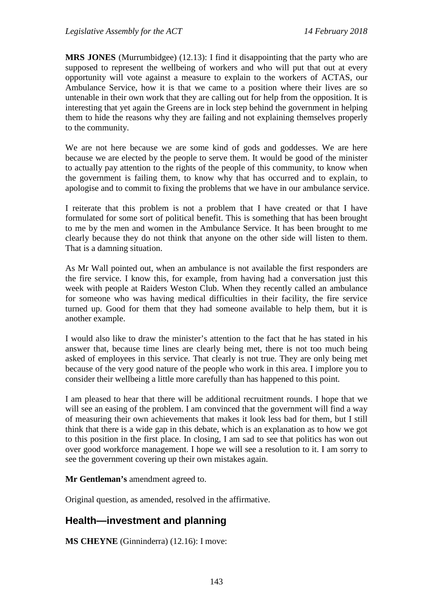**MRS JONES** (Murrumbidgee) (12.13): I find it disappointing that the party who are supposed to represent the wellbeing of workers and who will put that out at every opportunity will vote against a measure to explain to the workers of ACTAS, our Ambulance Service, how it is that we came to a position where their lives are so untenable in their own work that they are calling out for help from the opposition. It is interesting that yet again the Greens are in lock step behind the government in helping them to hide the reasons why they are failing and not explaining themselves properly to the community.

We are not here because we are some kind of gods and goddesses. We are here because we are elected by the people to serve them. It would be good of the minister to actually pay attention to the rights of the people of this community, to know when the government is failing them, to know why that has occurred and to explain, to apologise and to commit to fixing the problems that we have in our ambulance service.

I reiterate that this problem is not a problem that I have created or that I have formulated for some sort of political benefit. This is something that has been brought to me by the men and women in the Ambulance Service. It has been brought to me clearly because they do not think that anyone on the other side will listen to them. That is a damning situation.

As Mr Wall pointed out, when an ambulance is not available the first responders are the fire service. I know this, for example, from having had a conversation just this week with people at Raiders Weston Club. When they recently called an ambulance for someone who was having medical difficulties in their facility, the fire service turned up. Good for them that they had someone available to help them, but it is another example.

I would also like to draw the minister's attention to the fact that he has stated in his answer that, because time lines are clearly being met, there is not too much being asked of employees in this service. That clearly is not true. They are only being met because of the very good nature of the people who work in this area. I implore you to consider their wellbeing a little more carefully than has happened to this point.

I am pleased to hear that there will be additional recruitment rounds. I hope that we will see an easing of the problem. I am convinced that the government will find a way of measuring their own achievements that makes it look less bad for them, but I still think that there is a wide gap in this debate, which is an explanation as to how we got to this position in the first place. In closing, I am sad to see that politics has won out over good workforce management. I hope we will see a resolution to it. I am sorry to see the government covering up their own mistakes again.

**Mr Gentleman's** amendment agreed to.

Original question, as amended, resolved in the affirmative.

# **Health—investment and planning**

**MS CHEYNE** (Ginninderra) (12.16): I move: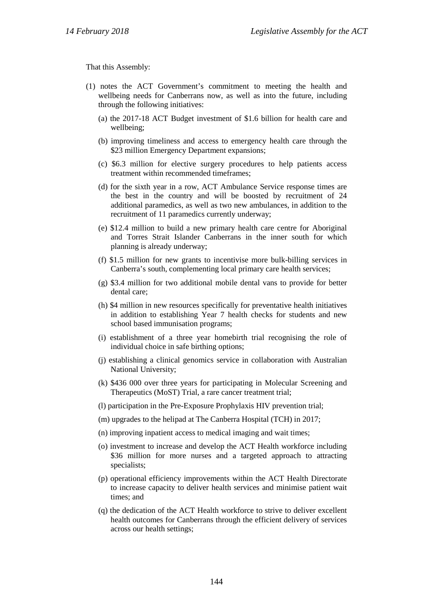That this Assembly:

- (1) notes the ACT Government's commitment to meeting the health and wellbeing needs for Canberrans now, as well as into the future, including through the following initiatives:
	- (a) the 2017-18 ACT Budget investment of \$1.6 billion for health care and wellbeing;
	- (b) improving timeliness and access to emergency health care through the \$23 million Emergency Department expansions;
	- (c) \$6.3 million for elective surgery procedures to help patients access treatment within recommended timeframes;
	- (d) for the sixth year in a row, ACT Ambulance Service response times are the best in the country and will be boosted by recruitment of 24 additional paramedics, as well as two new ambulances, in addition to the recruitment of 11 paramedics currently underway;
	- (e) \$12.4 million to build a new primary health care centre for Aboriginal and Torres Strait Islander Canberrans in the inner south for which planning is already underway;
	- (f) \$1.5 million for new grants to incentivise more bulk-billing services in Canberra's south, complementing local primary care health services;
	- (g) \$3.4 million for two additional mobile dental vans to provide for better dental care;
	- (h) \$4 million in new resources specifically for preventative health initiatives in addition to establishing Year 7 health checks for students and new school based immunisation programs;
	- (i) establishment of a three year homebirth trial recognising the role of individual choice in safe birthing options;
	- (j) establishing a clinical genomics service in collaboration with Australian National University;
	- (k) \$436 000 over three years for participating in Molecular Screening and Therapeutics (MoST) Trial, a rare cancer treatment trial;
	- (l) participation in the Pre-Exposure Prophylaxis HIV prevention trial;
	- (m) upgrades to the helipad at The Canberra Hospital (TCH) in 2017;
	- (n) improving inpatient access to medical imaging and wait times;
	- (o) investment to increase and develop the ACT Health workforce including \$36 million for more nurses and a targeted approach to attracting specialists;
	- (p) operational efficiency improvements within the ACT Health Directorate to increase capacity to deliver health services and minimise patient wait times; and
	- (q) the dedication of the ACT Health workforce to strive to deliver excellent health outcomes for Canberrans through the efficient delivery of services across our health settings;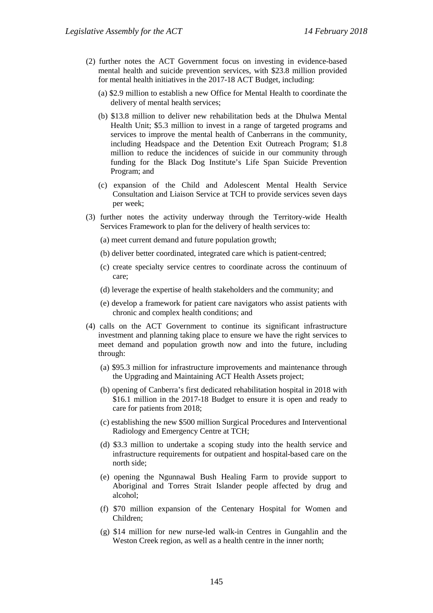- (2) further notes the ACT Government focus on investing in evidence-based mental health and suicide prevention services, with \$23.8 million provided for mental health initiatives in the 2017-18 ACT Budget, including:
	- (a) \$2.9 million to establish a new Office for Mental Health to coordinate the delivery of mental health services;
	- (b) \$13.8 million to deliver new rehabilitation beds at the Dhulwa Mental Health Unit; \$5.3 million to invest in a range of targeted programs and services to improve the mental health of Canberrans in the community, including Headspace and the Detention Exit Outreach Program; \$1.8 million to reduce the incidences of suicide in our community through funding for the Black Dog Institute's Life Span Suicide Prevention Program; and
	- (c) expansion of the Child and Adolescent Mental Health Service Consultation and Liaison Service at TCH to provide services seven days per week;
- (3) further notes the activity underway through the Territory-wide Health Services Framework to plan for the delivery of health services to:
	- (a) meet current demand and future population growth;
	- (b) deliver better coordinated, integrated care which is patient-centred;
	- (c) create specialty service centres to coordinate across the continuum of care;
	- (d) leverage the expertise of health stakeholders and the community; and
	- (e) develop a framework for patient care navigators who assist patients with chronic and complex health conditions; and
- (4) calls on the ACT Government to continue its significant infrastructure investment and planning taking place to ensure we have the right services to meet demand and population growth now and into the future, including through:
	- (a) \$95.3 million for infrastructure improvements and maintenance through the Upgrading and Maintaining ACT Health Assets project;
	- (b) opening of Canberra's first dedicated rehabilitation hospital in 2018 with \$16.1 million in the 2017-18 Budget to ensure it is open and ready to care for patients from 2018;
	- (c) establishing the new \$500 million Surgical Procedures and Interventional Radiology and Emergency Centre at TCH;
	- (d) \$3.3 million to undertake a scoping study into the health service and infrastructure requirements for outpatient and hospital-based care on the north side;
	- (e) opening the Ngunnawal Bush Healing Farm to provide support to Aboriginal and Torres Strait Islander people affected by drug and alcohol;
	- (f) \$70 million expansion of the Centenary Hospital for Women and Children;
	- (g) \$14 million for new nurse-led walk-in Centres in Gungahlin and the Weston Creek region, as well as a health centre in the inner north;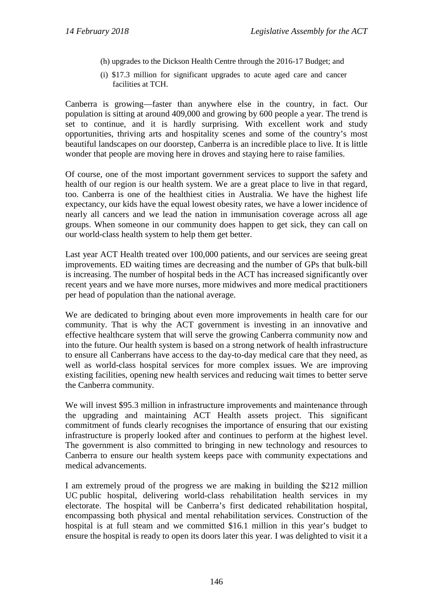- (h) upgrades to the Dickson Health Centre through the 2016-17 Budget; and
- (i) \$17.3 million for significant upgrades to acute aged care and cancer facilities at TCH.

Canberra is growing—faster than anywhere else in the country, in fact. Our population is sitting at around 409,000 and growing by 600 people a year. The trend is set to continue, and it is hardly surprising. With excellent work and study opportunities, thriving arts and hospitality scenes and some of the country's most beautiful landscapes on our doorstep, Canberra is an incredible place to live. It is little wonder that people are moving here in droves and staying here to raise families.

Of course, one of the most important government services to support the safety and health of our region is our health system. We are a great place to live in that regard, too. Canberra is one of the healthiest cities in Australia. We have the highest life expectancy, our kids have the equal lowest obesity rates, we have a lower incidence of nearly all cancers and we lead the nation in immunisation coverage across all age groups. When someone in our community does happen to get sick, they can call on our world-class health system to help them get better.

Last year ACT Health treated over 100,000 patients, and our services are seeing great improvements. ED waiting times are decreasing and the number of GPs that bulk-bill is increasing. The number of hospital beds in the ACT has increased significantly over recent years and we have more nurses, more midwives and more medical practitioners per head of population than the national average.

We are dedicated to bringing about even more improvements in health care for our community. That is why the ACT government is investing in an innovative and effective healthcare system that will serve the growing Canberra community now and into the future. Our health system is based on a strong network of health infrastructure to ensure all Canberrans have access to the day-to-day medical care that they need, as well as world-class hospital services for more complex issues. We are improving existing facilities, opening new health services and reducing wait times to better serve the Canberra community.

We will invest \$95.3 million in infrastructure improvements and maintenance through the upgrading and maintaining ACT Health assets project. This significant commitment of funds clearly recognises the importance of ensuring that our existing infrastructure is properly looked after and continues to perform at the highest level. The government is also committed to bringing in new technology and resources to Canberra to ensure our health system keeps pace with community expectations and medical advancements.

I am extremely proud of the progress we are making in building the \$212 million UC public hospital, delivering world-class rehabilitation health services in my electorate. The hospital will be Canberra's first dedicated rehabilitation hospital, encompassing both physical and mental rehabilitation services. Construction of the hospital is at full steam and we committed \$16.1 million in this year's budget to ensure the hospital is ready to open its doors later this year. I was delighted to visit it a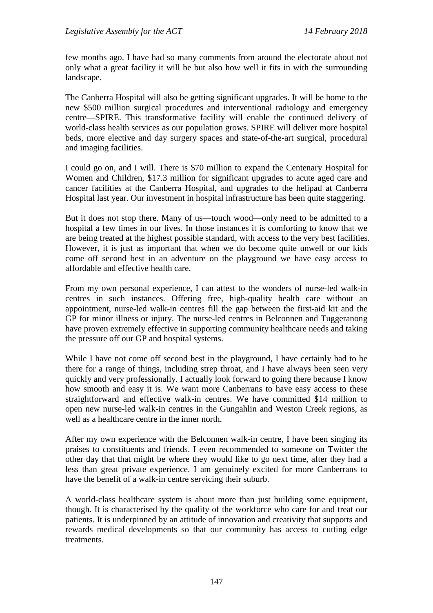few months ago. I have had so many comments from around the electorate about not only what a great facility it will be but also how well it fits in with the surrounding landscape.

The Canberra Hospital will also be getting significant upgrades. It will be home to the new \$500 million surgical procedures and interventional radiology and emergency centre—SPIRE. This transformative facility will enable the continued delivery of world-class health services as our population grows. SPIRE will deliver more hospital beds, more elective and day surgery spaces and state-of-the-art surgical, procedural and imaging facilities.

I could go on, and I will. There is \$70 million to expand the Centenary Hospital for Women and Children, \$17.3 million for significant upgrades to acute aged care and cancer facilities at the Canberra Hospital, and upgrades to the helipad at Canberra Hospital last year. Our investment in hospital infrastructure has been quite staggering.

But it does not stop there. Many of us—touch wood—only need to be admitted to a hospital a few times in our lives. In those instances it is comforting to know that we are being treated at the highest possible standard, with access to the very best facilities. However, it is just as important that when we do become quite unwell or our kids come off second best in an adventure on the playground we have easy access to affordable and effective health care.

From my own personal experience, I can attest to the wonders of nurse-led walk-in centres in such instances. Offering free, high-quality health care without an appointment, nurse-led walk-in centres fill the gap between the first-aid kit and the GP for minor illness or injury. The nurse-led centres in Belconnen and Tuggeranong have proven extremely effective in supporting community healthcare needs and taking the pressure off our GP and hospital systems.

While I have not come off second best in the playground, I have certainly had to be there for a range of things, including strep throat, and I have always been seen very quickly and very professionally. I actually look forward to going there because I know how smooth and easy it is. We want more Canberrans to have easy access to these straightforward and effective walk-in centres. We have committed \$14 million to open new nurse-led walk-in centres in the Gungahlin and Weston Creek regions, as well as a healthcare centre in the inner north.

After my own experience with the Belconnen walk-in centre, I have been singing its praises to constituents and friends. I even recommended to someone on Twitter the other day that that might be where they would like to go next time, after they had a less than great private experience. I am genuinely excited for more Canberrans to have the benefit of a walk-in centre servicing their suburb.

A world-class healthcare system is about more than just building some equipment, though. It is characterised by the quality of the workforce who care for and treat our patients. It is underpinned by an attitude of innovation and creativity that supports and rewards medical developments so that our community has access to cutting edge treatments.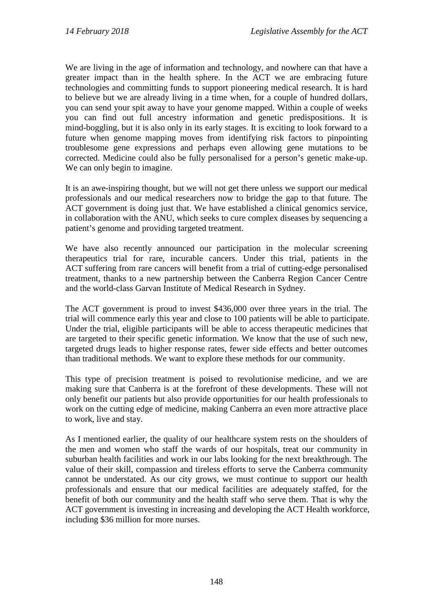We are living in the age of information and technology, and nowhere can that have a greater impact than in the health sphere. In the ACT we are embracing future technologies and committing funds to support pioneering medical research. It is hard to believe but we are already living in a time when, for a couple of hundred dollars, you can send your spit away to have your genome mapped. Within a couple of weeks you can find out full ancestry information and genetic predispositions. It is mind-boggling, but it is also only in its early stages. It is exciting to look forward to a future when genome mapping moves from identifying risk factors to pinpointing troublesome gene expressions and perhaps even allowing gene mutations to be corrected. Medicine could also be fully personalised for a person's genetic make-up. We can only begin to imagine.

It is an awe-inspiring thought, but we will not get there unless we support our medical professionals and our medical researchers now to bridge the gap to that future. The ACT government is doing just that. We have established a clinical genomics service, in collaboration with the ANU, which seeks to cure complex diseases by sequencing a patient's genome and providing targeted treatment.

We have also recently announced our participation in the molecular screening therapeutics trial for rare, incurable cancers. Under this trial, patients in the ACT suffering from rare cancers will benefit from a trial of cutting-edge personalised treatment, thanks to a new partnership between the Canberra Region Cancer Centre and the world-class Garvan Institute of Medical Research in Sydney.

The ACT government is proud to invest \$436,000 over three years in the trial. The trial will commence early this year and close to 100 patients will be able to participate. Under the trial, eligible participants will be able to access therapeutic medicines that are targeted to their specific genetic information. We know that the use of such new, targeted drugs leads to higher response rates, fewer side effects and better outcomes than traditional methods. We want to explore these methods for our community.

This type of precision treatment is poised to revolutionise medicine, and we are making sure that Canberra is at the forefront of these developments. These will not only benefit our patients but also provide opportunities for our health professionals to work on the cutting edge of medicine, making Canberra an even more attractive place to work, live and stay.

As I mentioned earlier, the quality of our healthcare system rests on the shoulders of the men and women who staff the wards of our hospitals, treat our community in suburban health facilities and work in our labs looking for the next breakthrough. The value of their skill, compassion and tireless efforts to serve the Canberra community cannot be understated. As our city grows, we must continue to support our health professionals and ensure that our medical facilities are adequately staffed, for the benefit of both our community and the health staff who serve them. That is why the ACT government is investing in increasing and developing the ACT Health workforce, including \$36 million for more nurses.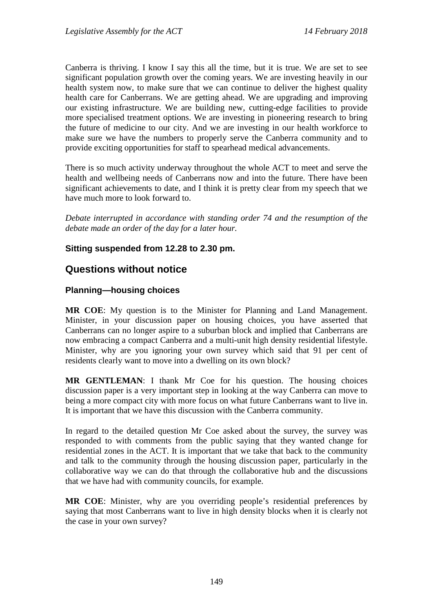Canberra is thriving. I know I say this all the time, but it is true. We are set to see significant population growth over the coming years. We are investing heavily in our health system now, to make sure that we can continue to deliver the highest quality health care for Canberrans. We are getting ahead. We are upgrading and improving our existing infrastructure. We are building new, cutting-edge facilities to provide more specialised treatment options. We are investing in pioneering research to bring the future of medicine to our city. And we are investing in our health workforce to make sure we have the numbers to properly serve the Canberra community and to provide exciting opportunities for staff to spearhead medical advancements.

There is so much activity underway throughout the whole ACT to meet and serve the health and wellbeing needs of Canberrans now and into the future. There have been significant achievements to date, and I think it is pretty clear from my speech that we have much more to look forward to.

*Debate interrupted in accordance with standing order 74 and the resumption of the debate made an order of the day for a later hour.*

# **Sitting suspended from 12.28 to 2.30 pm.**

# **Questions without notice**

# **Planning—housing choices**

**MR COE**: My question is to the Minister for Planning and Land Management. Minister, in your discussion paper on housing choices, you have asserted that Canberrans can no longer aspire to a suburban block and implied that Canberrans are now embracing a compact Canberra and a multi-unit high density residential lifestyle. Minister, why are you ignoring your own survey which said that 91 per cent of residents clearly want to move into a dwelling on its own block?

**MR GENTLEMAN**: I thank Mr Coe for his question. The housing choices discussion paper is a very important step in looking at the way Canberra can move to being a more compact city with more focus on what future Canberrans want to live in. It is important that we have this discussion with the Canberra community.

In regard to the detailed question Mr Coe asked about the survey, the survey was responded to with comments from the public saying that they wanted change for residential zones in the ACT. It is important that we take that back to the community and talk to the community through the housing discussion paper, particularly in the collaborative way we can do that through the collaborative hub and the discussions that we have had with community councils, for example.

**MR COE**: Minister, why are you overriding people's residential preferences by saying that most Canberrans want to live in high density blocks when it is clearly not the case in your own survey?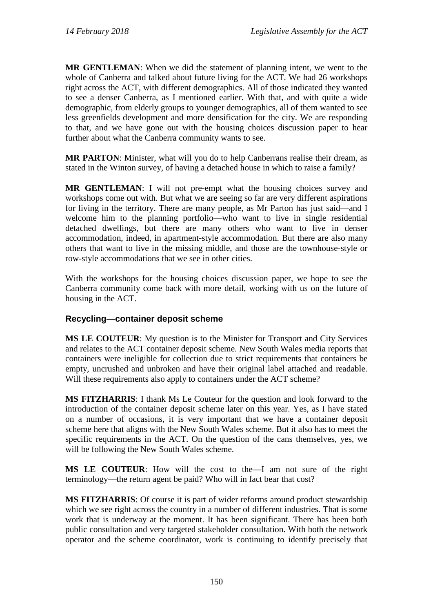**MR GENTLEMAN**: When we did the statement of planning intent, we went to the whole of Canberra and talked about future living for the ACT. We had 26 workshops right across the ACT, with different demographics. All of those indicated they wanted to see a denser Canberra, as I mentioned earlier. With that, and with quite a wide demographic, from elderly groups to younger demographics, all of them wanted to see less greenfields development and more densification for the city. We are responding to that, and we have gone out with the housing choices discussion paper to hear further about what the Canberra community wants to see.

**MR PARTON**: Minister, what will you do to help Canberrans realise their dream, as stated in the Winton survey, of having a detached house in which to raise a family?

**MR GENTLEMAN**: I will not pre-empt what the housing choices survey and workshops come out with. But what we are seeing so far are very different aspirations for living in the territory. There are many people, as Mr Parton has just said—and I welcome him to the planning portfolio—who want to live in single residential detached dwellings, but there are many others who want to live in denser accommodation, indeed, in apartment-style accommodation. But there are also many others that want to live in the missing middle, and those are the townhouse-style or row-style accommodations that we see in other cities.

With the workshops for the housing choices discussion paper, we hope to see the Canberra community come back with more detail, working with us on the future of housing in the ACT.

# **Recycling—container deposit scheme**

**MS LE COUTEUR**: My question is to the Minister for Transport and City Services and relates to the ACT container deposit scheme. New South Wales media reports that containers were ineligible for collection due to strict requirements that containers be empty, uncrushed and unbroken and have their original label attached and readable. Will these requirements also apply to containers under the ACT scheme?

**MS FITZHARRIS**: I thank Ms Le Couteur for the question and look forward to the introduction of the container deposit scheme later on this year. Yes, as I have stated on a number of occasions, it is very important that we have a container deposit scheme here that aligns with the New South Wales scheme. But it also has to meet the specific requirements in the ACT. On the question of the cans themselves, yes, we will be following the New South Wales scheme.

**MS LE COUTEUR**: How will the cost to the—I am not sure of the right terminology—the return agent be paid? Who will in fact bear that cost?

**MS FITZHARRIS**: Of course it is part of wider reforms around product stewardship which we see right across the country in a number of different industries. That is some work that is underway at the moment. It has been significant. There has been both public consultation and very targeted stakeholder consultation. With both the network operator and the scheme coordinator, work is continuing to identify precisely that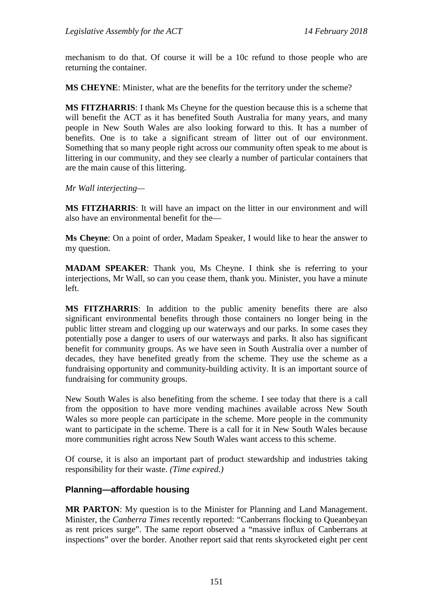mechanism to do that. Of course it will be a 10c refund to those people who are returning the container.

**MS CHEYNE:** Minister, what are the benefits for the territory under the scheme?

**MS FITZHARRIS**: I thank Ms Cheyne for the question because this is a scheme that will benefit the ACT as it has benefited South Australia for many years, and many people in New South Wales are also looking forward to this. It has a number of benefits. One is to take a significant stream of litter out of our environment. Something that so many people right across our community often speak to me about is littering in our community, and they see clearly a number of particular containers that are the main cause of this littering.

*Mr Wall interjecting—*

**MS FITZHARRIS**: It will have an impact on the litter in our environment and will also have an environmental benefit for the—

**Ms Cheyne**: On a point of order, Madam Speaker, I would like to hear the answer to my question.

**MADAM SPEAKER**: Thank you, Ms Cheyne. I think she is referring to your interjections, Mr Wall, so can you cease them, thank you. Minister, you have a minute left.

**MS FITZHARRIS**: In addition to the public amenity benefits there are also significant environmental benefits through those containers no longer being in the public litter stream and clogging up our waterways and our parks. In some cases they potentially pose a danger to users of our waterways and parks. It also has significant benefit for community groups. As we have seen in South Australia over a number of decades, they have benefited greatly from the scheme. They use the scheme as a fundraising opportunity and community-building activity. It is an important source of fundraising for community groups.

New South Wales is also benefiting from the scheme. I see today that there is a call from the opposition to have more vending machines available across New South Wales so more people can participate in the scheme. More people in the community want to participate in the scheme. There is a call for it in New South Wales because more communities right across New South Wales want access to this scheme.

Of course, it is also an important part of product stewardship and industries taking responsibility for their waste. *(Time expired.)*

### **Planning—affordable housing**

**MR PARTON**: My question is to the Minister for Planning and Land Management. Minister, the *Canberra Times* recently reported: "Canberrans flocking to Queanbeyan as rent prices surge". The same report observed a "massive influx of Canberrans at inspections" over the border. Another report said that rents skyrocketed eight per cent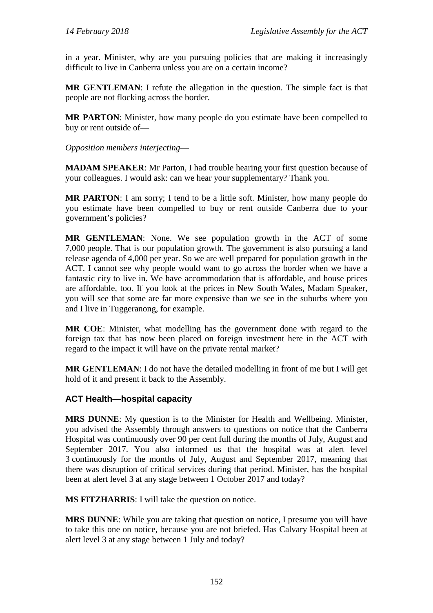in a year. Minister, why are you pursuing policies that are making it increasingly difficult to live in Canberra unless you are on a certain income?

**MR GENTLEMAN**: I refute the allegation in the question. The simple fact is that people are not flocking across the border.

**MR PARTON**: Minister, how many people do you estimate have been compelled to buy or rent outside of—

*Opposition members interjecting*—

**MADAM SPEAKER**: Mr Parton, I had trouble hearing your first question because of your colleagues. I would ask: can we hear your supplementary? Thank you.

**MR PARTON**: I am sorry; I tend to be a little soft. Minister, how many people do you estimate have been compelled to buy or rent outside Canberra due to your government's policies?

**MR GENTLEMAN**: None. We see population growth in the ACT of some 7,000 people. That is our population growth. The government is also pursuing a land release agenda of 4,000 per year. So we are well prepared for population growth in the ACT. I cannot see why people would want to go across the border when we have a fantastic city to live in. We have accommodation that is affordable, and house prices are affordable, too. If you look at the prices in New South Wales, Madam Speaker, you will see that some are far more expensive than we see in the suburbs where you and I live in Tuggeranong, for example.

**MR COE**: Minister, what modelling has the government done with regard to the foreign tax that has now been placed on foreign investment here in the ACT with regard to the impact it will have on the private rental market?

**MR GENTLEMAN**: I do not have the detailed modelling in front of me but I will get hold of it and present it back to the Assembly.

### **ACT Health—hospital capacity**

**MRS DUNNE**: My question is to the Minister for Health and Wellbeing. Minister, you advised the Assembly through answers to questions on notice that the Canberra Hospital was continuously over 90 per cent full during the months of July, August and September 2017. You also informed us that the hospital was at alert level 3 continuously for the months of July, August and September 2017, meaning that there was disruption of critical services during that period. Minister, has the hospital been at alert level 3 at any stage between 1 October 2017 and today?

**MS FITZHARRIS**: I will take the question on notice.

**MRS DUNNE**: While you are taking that question on notice, I presume you will have to take this one on notice, because you are not briefed. Has Calvary Hospital been at alert level 3 at any stage between 1 July and today?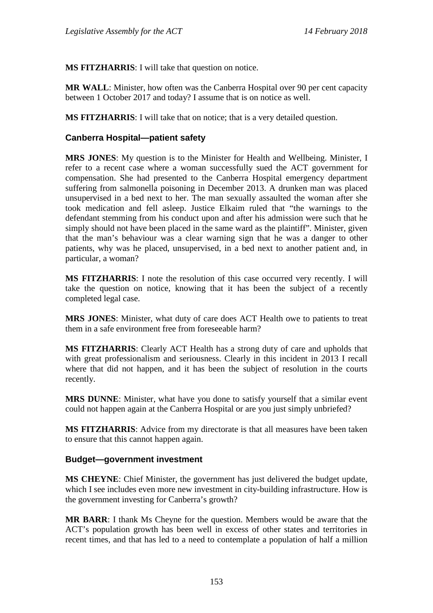**MS FITZHARRIS**: I will take that question on notice.

**MR WALL**: Minister, how often was the Canberra Hospital over 90 per cent capacity between 1 October 2017 and today? I assume that is on notice as well.

**MS FITZHARRIS**: I will take that on notice; that is a very detailed question.

### **Canberra Hospital—patient safety**

**MRS JONES**: My question is to the Minister for Health and Wellbeing. Minister, I refer to a recent case where a woman successfully sued the ACT government for compensation. She had presented to the Canberra Hospital emergency department suffering from salmonella poisoning in December 2013. A drunken man was placed unsupervised in a bed next to her. The man sexually assaulted the woman after she took medication and fell asleep. Justice Elkaim ruled that "the warnings to the defendant stemming from his conduct upon and after his admission were such that he simply should not have been placed in the same ward as the plaintiff". Minister, given that the man's behaviour was a clear warning sign that he was a danger to other patients, why was he placed, unsupervised, in a bed next to another patient and, in particular, a woman?

**MS FITZHARRIS**: I note the resolution of this case occurred very recently. I will take the question on notice, knowing that it has been the subject of a recently completed legal case.

**MRS JONES**: Minister, what duty of care does ACT Health owe to patients to treat them in a safe environment free from foreseeable harm?

**MS FITZHARRIS**: Clearly ACT Health has a strong duty of care and upholds that with great professionalism and seriousness. Clearly in this incident in 2013 I recall where that did not happen, and it has been the subject of resolution in the courts recently.

**MRS DUNNE**: Minister, what have you done to satisfy yourself that a similar event could not happen again at the Canberra Hospital or are you just simply unbriefed?

**MS FITZHARRIS**: Advice from my directorate is that all measures have been taken to ensure that this cannot happen again.

#### **Budget—government investment**

**MS CHEYNE**: Chief Minister, the government has just delivered the budget update, which I see includes even more new investment in city-building infrastructure. How is the government investing for Canberra's growth?

**MR BARR**: I thank Ms Cheyne for the question. Members would be aware that the ACT's population growth has been well in excess of other states and territories in recent times, and that has led to a need to contemplate a population of half a million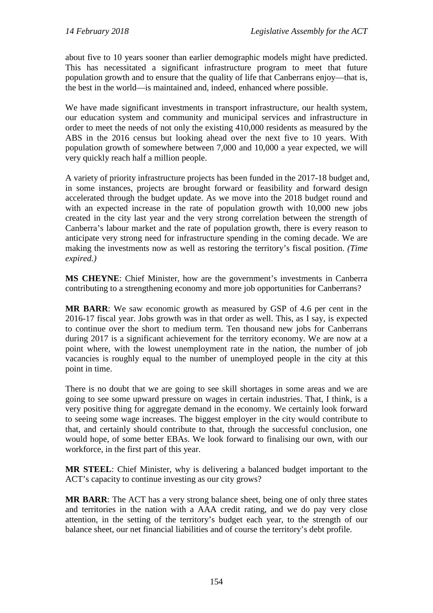about five to 10 years sooner than earlier demographic models might have predicted. This has necessitated a significant infrastructure program to meet that future population growth and to ensure that the quality of life that Canberrans enjoy—that is, the best in the world—is maintained and, indeed, enhanced where possible.

We have made significant investments in transport infrastructure, our health system, our education system and community and municipal services and infrastructure in order to meet the needs of not only the existing 410,000 residents as measured by the ABS in the 2016 census but looking ahead over the next five to 10 years. With population growth of somewhere between 7,000 and 10,000 a year expected, we will very quickly reach half a million people.

A variety of priority infrastructure projects has been funded in the 2017-18 budget and, in some instances, projects are brought forward or feasibility and forward design accelerated through the budget update. As we move into the 2018 budget round and with an expected increase in the rate of population growth with 10,000 new jobs created in the city last year and the very strong correlation between the strength of Canberra's labour market and the rate of population growth, there is every reason to anticipate very strong need for infrastructure spending in the coming decade. We are making the investments now as well as restoring the territory's fiscal position. *(Time expired.)*

**MS CHEYNE**: Chief Minister, how are the government's investments in Canberra contributing to a strengthening economy and more job opportunities for Canberrans?

**MR BARR**: We saw economic growth as measured by GSP of 4.6 per cent in the 2016-17 fiscal year. Jobs growth was in that order as well. This, as I say, is expected to continue over the short to medium term. Ten thousand new jobs for Canberrans during 2017 is a significant achievement for the territory economy. We are now at a point where, with the lowest unemployment rate in the nation, the number of job vacancies is roughly equal to the number of unemployed people in the city at this point in time.

There is no doubt that we are going to see skill shortages in some areas and we are going to see some upward pressure on wages in certain industries. That, I think, is a very positive thing for aggregate demand in the economy. We certainly look forward to seeing some wage increases. The biggest employer in the city would contribute to that, and certainly should contribute to that, through the successful conclusion, one would hope, of some better EBAs. We look forward to finalising our own, with our workforce, in the first part of this year.

**MR STEEL**: Chief Minister, why is delivering a balanced budget important to the ACT's capacity to continue investing as our city grows?

**MR BARR**: The ACT has a very strong balance sheet, being one of only three states and territories in the nation with a AAA credit rating, and we do pay very close attention, in the setting of the territory's budget each year, to the strength of our balance sheet, our net financial liabilities and of course the territory's debt profile.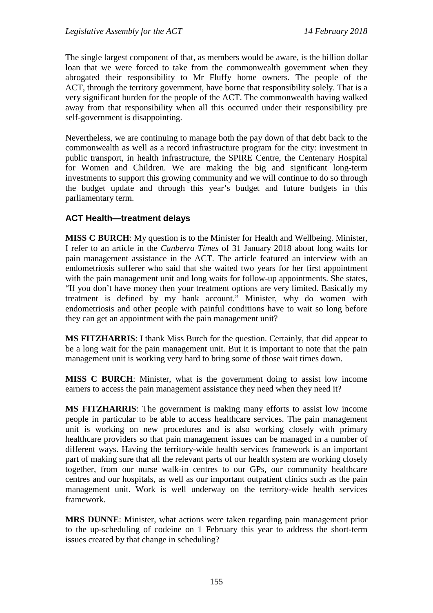The single largest component of that, as members would be aware, is the billion dollar loan that we were forced to take from the commonwealth government when they abrogated their responsibility to Mr Fluffy home owners. The people of the ACT, through the territory government, have borne that responsibility solely. That is a very significant burden for the people of the ACT. The commonwealth having walked away from that responsibility when all this occurred under their responsibility pre self-government is disappointing.

Nevertheless, we are continuing to manage both the pay down of that debt back to the commonwealth as well as a record infrastructure program for the city: investment in public transport, in health infrastructure, the SPIRE Centre, the Centenary Hospital for Women and Children. We are making the big and significant long-term investments to support this growing community and we will continue to do so through the budget update and through this year's budget and future budgets in this parliamentary term.

## **ACT Health—treatment delays**

**MISS C BURCH**: My question is to the Minister for Health and Wellbeing. Minister, I refer to an article in the *Canberra Times* of 31 January 2018 about long waits for pain management assistance in the ACT. The article featured an interview with an endometriosis sufferer who said that she waited two years for her first appointment with the pain management unit and long waits for follow-up appointments. She states, "If you don't have money then your treatment options are very limited. Basically my treatment is defined by my bank account." Minister, why do women with endometriosis and other people with painful conditions have to wait so long before they can get an appointment with the pain management unit?

**MS FITZHARRIS**: I thank Miss Burch for the question. Certainly, that did appear to be a long wait for the pain management unit. But it is important to note that the pain management unit is working very hard to bring some of those wait times down.

**MISS C BURCH**: Minister, what is the government doing to assist low income earners to access the pain management assistance they need when they need it?

**MS FITZHARRIS**: The government is making many efforts to assist low income people in particular to be able to access healthcare services. The pain management unit is working on new procedures and is also working closely with primary healthcare providers so that pain management issues can be managed in a number of different ways. Having the territory-wide health services framework is an important part of making sure that all the relevant parts of our health system are working closely together, from our nurse walk-in centres to our GPs, our community healthcare centres and our hospitals, as well as our important outpatient clinics such as the pain management unit. Work is well underway on the territory-wide health services framework.

**MRS DUNNE**: Minister, what actions were taken regarding pain management prior to the up-scheduling of codeine on 1 February this year to address the short-term issues created by that change in scheduling?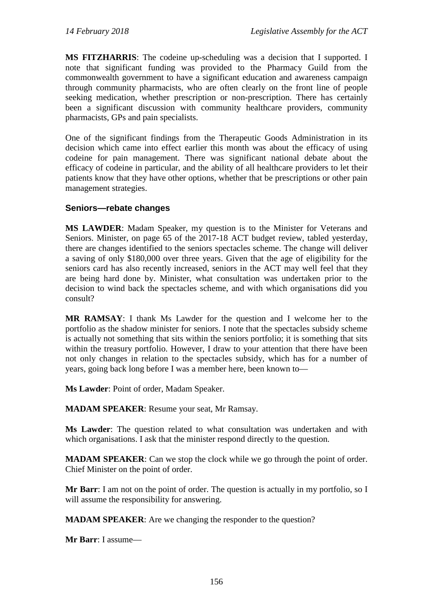**MS FITZHARRIS**: The codeine up-scheduling was a decision that I supported. I note that significant funding was provided to the Pharmacy Guild from the commonwealth government to have a significant education and awareness campaign through community pharmacists, who are often clearly on the front line of people seeking medication, whether prescription or non-prescription. There has certainly been a significant discussion with community healthcare providers, community pharmacists, GPs and pain specialists.

One of the significant findings from the Therapeutic Goods Administration in its decision which came into effect earlier this month was about the efficacy of using codeine for pain management. There was significant national debate about the efficacy of codeine in particular, and the ability of all healthcare providers to let their patients know that they have other options, whether that be prescriptions or other pain management strategies.

### **Seniors—rebate changes**

**MS LAWDER**: Madam Speaker, my question is to the Minister for Veterans and Seniors. Minister, on page 65 of the 2017-18 ACT budget review, tabled yesterday, there are changes identified to the seniors spectacles scheme. The change will deliver a saving of only \$180,000 over three years. Given that the age of eligibility for the seniors card has also recently increased, seniors in the ACT may well feel that they are being hard done by. Minister, what consultation was undertaken prior to the decision to wind back the spectacles scheme, and with which organisations did you consult?

**MR RAMSAY**: I thank Ms Lawder for the question and I welcome her to the portfolio as the shadow minister for seniors. I note that the spectacles subsidy scheme is actually not something that sits within the seniors portfolio; it is something that sits within the treasury portfolio. However, I draw to your attention that there have been not only changes in relation to the spectacles subsidy, which has for a number of years, going back long before I was a member here, been known to—

**Ms Lawder**: Point of order, Madam Speaker.

**MADAM SPEAKER**: Resume your seat, Mr Ramsay.

**Ms Lawder**: The question related to what consultation was undertaken and with which organisations. I ask that the minister respond directly to the question.

**MADAM SPEAKER**: Can we stop the clock while we go through the point of order. Chief Minister on the point of order.

**Mr Barr**: I am not on the point of order. The question is actually in my portfolio, so I will assume the responsibility for answering.

**MADAM SPEAKER**: Are we changing the responder to the question?

**Mr Barr**: I assume—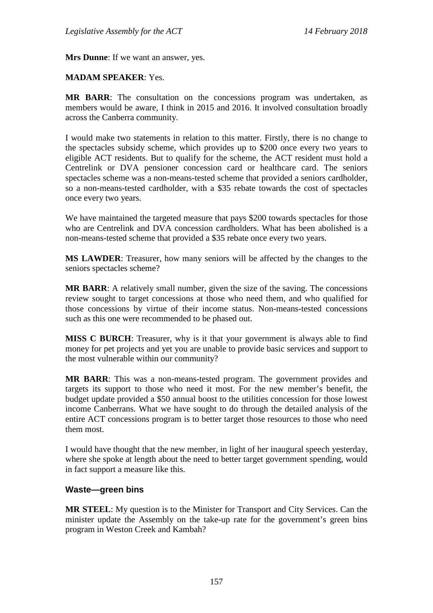**Mrs Dunne**: If we want an answer, yes.

#### **MADAM SPEAKER**: Yes.

**MR BARR**: The consultation on the concessions program was undertaken, as members would be aware, I think in 2015 and 2016. It involved consultation broadly across the Canberra community.

I would make two statements in relation to this matter. Firstly, there is no change to the spectacles subsidy scheme, which provides up to \$200 once every two years to eligible ACT residents. But to qualify for the scheme, the ACT resident must hold a Centrelink or DVA pensioner concession card or healthcare card. The seniors spectacles scheme was a non-means-tested scheme that provided a seniors cardholder, so a non-means-tested cardholder, with a \$35 rebate towards the cost of spectacles once every two years.

We have maintained the targeted measure that pays \$200 towards spectacles for those who are Centrelink and DVA concession cardholders. What has been abolished is a non-means-tested scheme that provided a \$35 rebate once every two years.

**MS LAWDER**: Treasurer, how many seniors will be affected by the changes to the seniors spectacles scheme?

**MR BARR**: A relatively small number, given the size of the saving. The concessions review sought to target concessions at those who need them, and who qualified for those concessions by virtue of their income status. Non-means-tested concessions such as this one were recommended to be phased out.

**MISS C BURCH**: Treasurer, why is it that your government is always able to find money for pet projects and yet you are unable to provide basic services and support to the most vulnerable within our community?

**MR BARR**: This was a non-means-tested program. The government provides and targets its support to those who need it most. For the new member's benefit, the budget update provided a \$50 annual boost to the utilities concession for those lowest income Canberrans. What we have sought to do through the detailed analysis of the entire ACT concessions program is to better target those resources to those who need them most.

I would have thought that the new member, in light of her inaugural speech yesterday, where she spoke at length about the need to better target government spending, would in fact support a measure like this.

#### **Waste—green bins**

**MR STEEL**: My question is to the Minister for Transport and City Services. Can the minister update the Assembly on the take-up rate for the government's green bins program in Weston Creek and Kambah?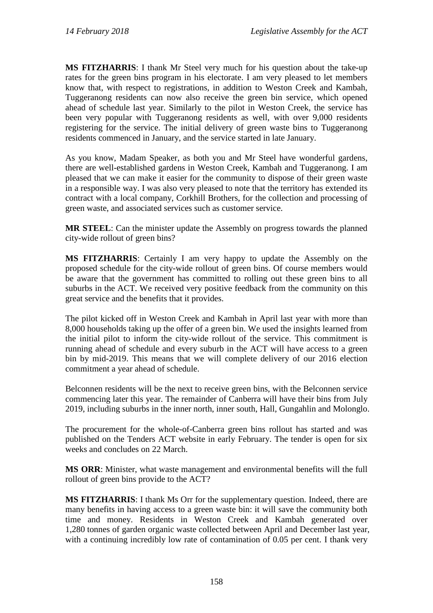**MS FITZHARRIS**: I thank Mr Steel very much for his question about the take-up rates for the green bins program in his electorate. I am very pleased to let members know that, with respect to registrations, in addition to Weston Creek and Kambah, Tuggeranong residents can now also receive the green bin service, which opened ahead of schedule last year. Similarly to the pilot in Weston Creek, the service has been very popular with Tuggeranong residents as well, with over 9,000 residents registering for the service. The initial delivery of green waste bins to Tuggeranong residents commenced in January, and the service started in late January.

As you know, Madam Speaker, as both you and Mr Steel have wonderful gardens, there are well-established gardens in Weston Creek, Kambah and Tuggeranong. I am pleased that we can make it easier for the community to dispose of their green waste in a responsible way. I was also very pleased to note that the territory has extended its contract with a local company, Corkhill Brothers, for the collection and processing of green waste, and associated services such as customer service.

**MR STEEL**: Can the minister update the Assembly on progress towards the planned city-wide rollout of green bins?

**MS FITZHARRIS**: Certainly I am very happy to update the Assembly on the proposed schedule for the city-wide rollout of green bins. Of course members would be aware that the government has committed to rolling out these green bins to all suburbs in the ACT. We received very positive feedback from the community on this great service and the benefits that it provides.

The pilot kicked off in Weston Creek and Kambah in April last year with more than 8,000 households taking up the offer of a green bin. We used the insights learned from the initial pilot to inform the city-wide rollout of the service. This commitment is running ahead of schedule and every suburb in the ACT will have access to a green bin by mid-2019. This means that we will complete delivery of our 2016 election commitment a year ahead of schedule.

Belconnen residents will be the next to receive green bins, with the Belconnen service commencing later this year. The remainder of Canberra will have their bins from July 2019, including suburbs in the inner north, inner south, Hall, Gungahlin and Molonglo.

The procurement for the whole-of-Canberra green bins rollout has started and was published on the Tenders ACT website in early February. The tender is open for six weeks and concludes on 22 March.

**MS ORR**: Minister, what waste management and environmental benefits will the full rollout of green bins provide to the ACT?

**MS FITZHARRIS**: I thank Ms Orr for the supplementary question. Indeed, there are many benefits in having access to a green waste bin: it will save the community both time and money. Residents in Weston Creek and Kambah generated over 1,280 tonnes of garden organic waste collected between April and December last year, with a continuing incredibly low rate of contamination of 0.05 per cent. I thank very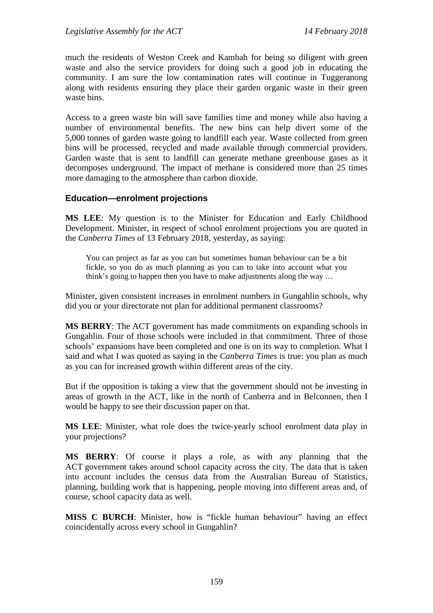much the residents of Weston Creek and Kambah for being so diligent with green waste and also the service providers for doing such a good job in educating the community. I am sure the low contamination rates will continue in Tuggeranong along with residents ensuring they place their garden organic waste in their green waste bins.

Access to a green waste bin will save families time and money while also having a number of environmental benefits. The new bins can help divert some of the 5,000 tonnes of garden waste going to landfill each year. Waste collected from green bins will be processed, recycled and made available through commercial providers. Garden waste that is sent to landfill can generate methane greenhouse gases as it decomposes underground. The impact of methane is considered more than 25 times more damaging to the atmosphere than carbon dioxide.

### **Education—enrolment projections**

**MS LEE**: My question is to the Minister for Education and Early Childhood Development. Minister, in respect of school enrolment projections you are quoted in the *Canberra Times* of 13 February 2018, yesterday, as saying:

You can project as far as you can but sometimes human behaviour can be a bit fickle, so you do as much planning as you can to take into account what you think's going to happen then you have to make adjustments along the way …

Minister, given consistent increases in enrolment numbers in Gungahlin schools, why did you or your directorate not plan for additional permanent classrooms?

**MS BERRY**: The ACT government has made commitments on expanding schools in Gungahlin. Four of those schools were included in that commitment. Three of those schools' expansions have been completed and one is on its way to completion. What I said and what I was quoted as saying in the *Canberra Times* is true: you plan as much as you can for increased growth within different areas of the city.

But if the opposition is taking a view that the government should not be investing in areas of growth in the ACT, like in the north of Canberra and in Belconnen, then I would be happy to see their discussion paper on that.

**MS LEE**: Minister, what role does the twice-yearly school enrolment data play in your projections?

**MS BERRY**: Of course it plays a role, as with any planning that the ACT government takes around school capacity across the city. The data that is taken into account includes the census data from the Australian Bureau of Statistics, planning, building work that is happening, people moving into different areas and, of course, school capacity data as well.

**MISS C BURCH**: Minister, how is "fickle human behaviour" having an effect coincidentally across every school in Gungahlin?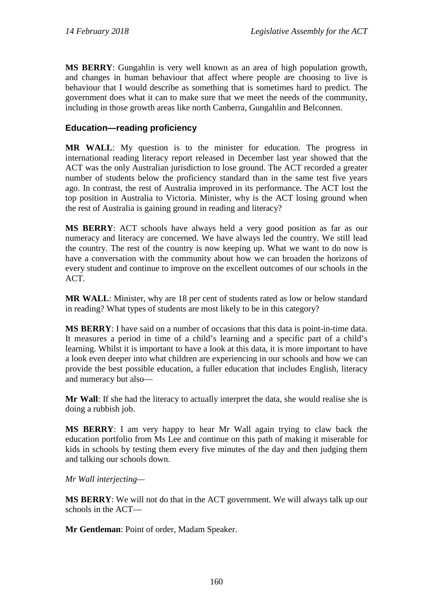**MS BERRY**: Gungahlin is very well known as an area of high population growth, and changes in human behaviour that affect where people are choosing to live is behaviour that I would describe as something that is sometimes hard to predict. The government does what it can to make sure that we meet the needs of the community, including in those growth areas like north Canberra, Gungahlin and Belconnen.

# **Education—reading proficiency**

**MR WALL**: My question is to the minister for education. The progress in international reading literacy report released in December last year showed that the ACT was the only Australian jurisdiction to lose ground. The ACT recorded a greater number of students below the proficiency standard than in the same test five years ago. In contrast, the rest of Australia improved in its performance. The ACT lost the top position in Australia to Victoria. Minister, why is the ACT losing ground when the rest of Australia is gaining ground in reading and literacy?

**MS BERRY**: ACT schools have always held a very good position as far as our numeracy and literacy are concerned. We have always led the country. We still lead the country. The rest of the country is now keeping up. What we want to do now is have a conversation with the community about how we can broaden the horizons of every student and continue to improve on the excellent outcomes of our schools in the ACT.

**MR WALL**: Minister, why are 18 per cent of students rated as low or below standard in reading? What types of students are most likely to be in this category?

**MS BERRY**: I have said on a number of occasions that this data is point-in-time data. It measures a period in time of a child's learning and a specific part of a child's learning. Whilst it is important to have a look at this data, it is more important to have a look even deeper into what children are experiencing in our schools and how we can provide the best possible education, a fuller education that includes English, literacy and numeracy but also—

**Mr Wall**: If she had the literacy to actually interpret the data, she would realise she is doing a rubbish job.

**MS BERRY**: I am very happy to hear Mr Wall again trying to claw back the education portfolio from Ms Lee and continue on this path of making it miserable for kids in schools by testing them every five minutes of the day and then judging them and talking our schools down.

### *Mr Wall interjecting—*

**MS BERRY**: We will not do that in the ACT government. We will always talk up our schools in the ACT—

**Mr Gentleman**: Point of order, Madam Speaker.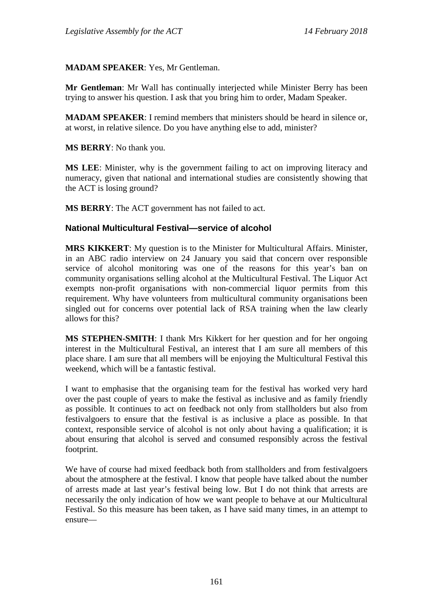#### **MADAM SPEAKER**: Yes, Mr Gentleman.

**Mr Gentleman**: Mr Wall has continually interjected while Minister Berry has been trying to answer his question. I ask that you bring him to order, Madam Speaker.

**MADAM SPEAKER**: I remind members that ministers should be heard in silence or, at worst, in relative silence. Do you have anything else to add, minister?

**MS BERRY**: No thank you.

**MS LEE**: Minister, why is the government failing to act on improving literacy and numeracy, given that national and international studies are consistently showing that the ACT is losing ground?

**MS BERRY**: The ACT government has not failed to act.

#### **National Multicultural Festival—service of alcohol**

**MRS KIKKERT**: My question is to the Minister for Multicultural Affairs. Minister, in an ABC radio interview on 24 January you said that concern over responsible service of alcohol monitoring was one of the reasons for this year's ban on community organisations selling alcohol at the Multicultural Festival. The Liquor Act exempts non-profit organisations with non-commercial liquor permits from this requirement. Why have volunteers from multicultural community organisations been singled out for concerns over potential lack of RSA training when the law clearly allows for this?

**MS STEPHEN-SMITH**: I thank Mrs Kikkert for her question and for her ongoing interest in the Multicultural Festival, an interest that I am sure all members of this place share. I am sure that all members will be enjoying the Multicultural Festival this weekend, which will be a fantastic festival.

I want to emphasise that the organising team for the festival has worked very hard over the past couple of years to make the festival as inclusive and as family friendly as possible. It continues to act on feedback not only from stallholders but also from festivalgoers to ensure that the festival is as inclusive a place as possible. In that context, responsible service of alcohol is not only about having a qualification; it is about ensuring that alcohol is served and consumed responsibly across the festival footprint.

We have of course had mixed feedback both from stallholders and from festivalgoers about the atmosphere at the festival. I know that people have talked about the number of arrests made at last year's festival being low. But I do not think that arrests are necessarily the only indication of how we want people to behave at our Multicultural Festival. So this measure has been taken, as I have said many times, in an attempt to ensure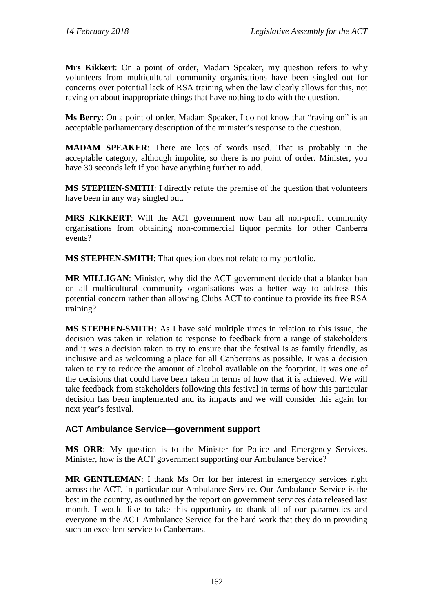**Mrs Kikkert**: On a point of order, Madam Speaker, my question refers to why volunteers from multicultural community organisations have been singled out for concerns over potential lack of RSA training when the law clearly allows for this, not raving on about inappropriate things that have nothing to do with the question.

**Ms Berry**: On a point of order, Madam Speaker, I do not know that "raving on" is an acceptable parliamentary description of the minister's response to the question.

**MADAM SPEAKER**: There are lots of words used. That is probably in the acceptable category, although impolite, so there is no point of order. Minister, you have 30 seconds left if you have anything further to add.

**MS STEPHEN-SMITH**: I directly refute the premise of the question that volunteers have been in any way singled out.

**MRS KIKKERT**: Will the ACT government now ban all non-profit community organisations from obtaining non-commercial liquor permits for other Canberra events?

**MS STEPHEN-SMITH**: That question does not relate to my portfolio.

**MR MILLIGAN**: Minister, why did the ACT government decide that a blanket ban on all multicultural community organisations was a better way to address this potential concern rather than allowing Clubs ACT to continue to provide its free RSA training?

**MS STEPHEN-SMITH**: As I have said multiple times in relation to this issue, the decision was taken in relation to response to feedback from a range of stakeholders and it was a decision taken to try to ensure that the festival is as family friendly, as inclusive and as welcoming a place for all Canberrans as possible. It was a decision taken to try to reduce the amount of alcohol available on the footprint. It was one of the decisions that could have been taken in terms of how that it is achieved. We will take feedback from stakeholders following this festival in terms of how this particular decision has been implemented and its impacts and we will consider this again for next year's festival.

# **ACT Ambulance Service—government support**

**MS ORR**: My question is to the Minister for Police and Emergency Services. Minister, how is the ACT government supporting our Ambulance Service?

**MR GENTLEMAN**: I thank Ms Orr for her interest in emergency services right across the ACT, in particular our Ambulance Service. Our Ambulance Service is the best in the country, as outlined by the report on government services data released last month. I would like to take this opportunity to thank all of our paramedics and everyone in the ACT Ambulance Service for the hard work that they do in providing such an excellent service to Canberrans.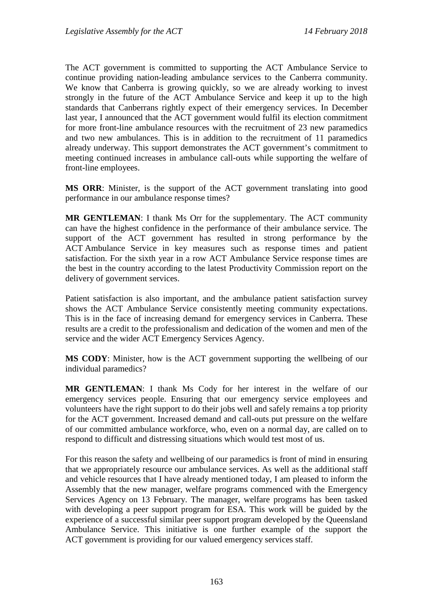The ACT government is committed to supporting the ACT Ambulance Service to continue providing nation-leading ambulance services to the Canberra community. We know that Canberra is growing quickly, so we are already working to invest strongly in the future of the ACT Ambulance Service and keep it up to the high standards that Canberrans rightly expect of their emergency services. In December last year, I announced that the ACT government would fulfil its election commitment for more front-line ambulance resources with the recruitment of 23 new paramedics and two new ambulances. This is in addition to the recruitment of 11 paramedics already underway. This support demonstrates the ACT government's commitment to meeting continued increases in ambulance call-outs while supporting the welfare of front-line employees.

**MS ORR**: Minister, is the support of the ACT government translating into good performance in our ambulance response times?

**MR GENTLEMAN**: I thank Ms Orr for the supplementary. The ACT community can have the highest confidence in the performance of their ambulance service. The support of the ACT government has resulted in strong performance by the ACT Ambulance Service in key measures such as response times and patient satisfaction. For the sixth year in a row ACT Ambulance Service response times are the best in the country according to the latest Productivity Commission report on the delivery of government services.

Patient satisfaction is also important, and the ambulance patient satisfaction survey shows the ACT Ambulance Service consistently meeting community expectations. This is in the face of increasing demand for emergency services in Canberra. These results are a credit to the professionalism and dedication of the women and men of the service and the wider ACT Emergency Services Agency.

**MS CODY**: Minister, how is the ACT government supporting the wellbeing of our individual paramedics?

**MR GENTLEMAN**: I thank Ms Cody for her interest in the welfare of our emergency services people. Ensuring that our emergency service employees and volunteers have the right support to do their jobs well and safely remains a top priority for the ACT government. Increased demand and call-outs put pressure on the welfare of our committed ambulance workforce, who, even on a normal day, are called on to respond to difficult and distressing situations which would test most of us.

For this reason the safety and wellbeing of our paramedics is front of mind in ensuring that we appropriately resource our ambulance services. As well as the additional staff and vehicle resources that I have already mentioned today, I am pleased to inform the Assembly that the new manager, welfare programs commenced with the Emergency Services Agency on 13 February. The manager, welfare programs has been tasked with developing a peer support program for ESA. This work will be guided by the experience of a successful similar peer support program developed by the Queensland Ambulance Service. This initiative is one further example of the support the ACT government is providing for our valued emergency services staff.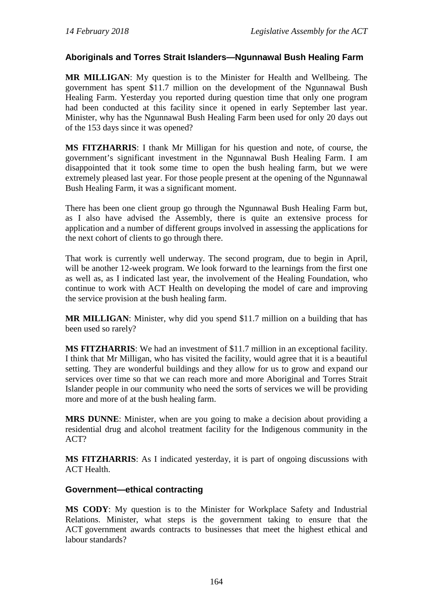## **Aboriginals and Torres Strait Islanders—Ngunnawal Bush Healing Farm**

**MR MILLIGAN**: My question is to the Minister for Health and Wellbeing. The government has spent \$11.7 million on the development of the Ngunnawal Bush Healing Farm. Yesterday you reported during question time that only one program had been conducted at this facility since it opened in early September last year. Minister, why has the Ngunnawal Bush Healing Farm been used for only 20 days out of the 153 days since it was opened?

**MS FITZHARRIS**: I thank Mr Milligan for his question and note, of course, the government's significant investment in the Ngunnawal Bush Healing Farm. I am disappointed that it took some time to open the bush healing farm, but we were extremely pleased last year. For those people present at the opening of the Ngunnawal Bush Healing Farm, it was a significant moment.

There has been one client group go through the Ngunnawal Bush Healing Farm but, as I also have advised the Assembly, there is quite an extensive process for application and a number of different groups involved in assessing the applications for the next cohort of clients to go through there.

That work is currently well underway. The second program, due to begin in April, will be another 12-week program. We look forward to the learnings from the first one as well as, as I indicated last year, the involvement of the Healing Foundation, who continue to work with ACT Health on developing the model of care and improving the service provision at the bush healing farm.

**MR MILLIGAN**: Minister, why did you spend \$11.7 million on a building that has been used so rarely?

**MS FITZHARRIS**: We had an investment of \$11.7 million in an exceptional facility. I think that Mr Milligan, who has visited the facility, would agree that it is a beautiful setting. They are wonderful buildings and they allow for us to grow and expand our services over time so that we can reach more and more Aboriginal and Torres Strait Islander people in our community who need the sorts of services we will be providing more and more of at the bush healing farm.

**MRS DUNNE**: Minister, when are you going to make a decision about providing a residential drug and alcohol treatment facility for the Indigenous community in the ACT?

**MS FITZHARRIS**: As I indicated yesterday, it is part of ongoing discussions with ACT Health.

### **Government—ethical contracting**

**MS CODY**: My question is to the Minister for Workplace Safety and Industrial Relations. Minister, what steps is the government taking to ensure that the ACT government awards contracts to businesses that meet the highest ethical and labour standards?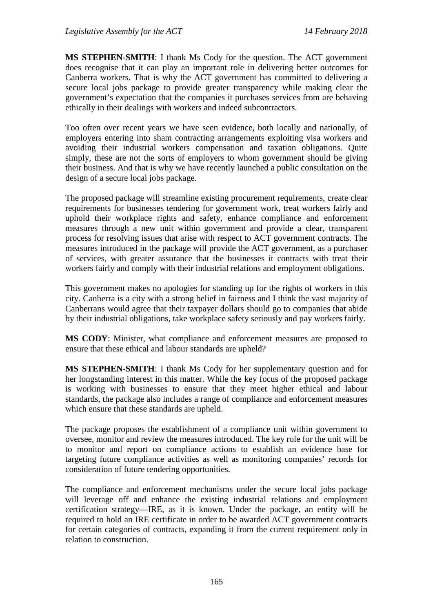**MS STEPHEN-SMITH**: I thank Ms Cody for the question. The ACT government does recognise that it can play an important role in delivering better outcomes for Canberra workers. That is why the ACT government has committed to delivering a secure local jobs package to provide greater transparency while making clear the government's expectation that the companies it purchases services from are behaving ethically in their dealings with workers and indeed subcontractors.

Too often over recent years we have seen evidence, both locally and nationally, of employers entering into sham contracting arrangements exploiting visa workers and avoiding their industrial workers compensation and taxation obligations. Quite simply, these are not the sorts of employers to whom government should be giving their business. And that is why we have recently launched a public consultation on the design of a secure local jobs package.

The proposed package will streamline existing procurement requirements, create clear requirements for businesses tendering for government work, treat workers fairly and uphold their workplace rights and safety, enhance compliance and enforcement measures through a new unit within government and provide a clear, transparent process for resolving issues that arise with respect to ACT government contracts. The measures introduced in the package will provide the ACT government, as a purchaser of services, with greater assurance that the businesses it contracts with treat their workers fairly and comply with their industrial relations and employment obligations.

This government makes no apologies for standing up for the rights of workers in this city. Canberra is a city with a strong belief in fairness and I think the vast majority of Canberrans would agree that their taxpayer dollars should go to companies that abide by their industrial obligations, take workplace safety seriously and pay workers fairly.

**MS CODY**: Minister, what compliance and enforcement measures are proposed to ensure that these ethical and labour standards are upheld?

**MS STEPHEN-SMITH**: I thank Ms Cody for her supplementary question and for her longstanding interest in this matter. While the key focus of the proposed package is working with businesses to ensure that they meet higher ethical and labour standards, the package also includes a range of compliance and enforcement measures which ensure that these standards are upheld.

The package proposes the establishment of a compliance unit within government to oversee, monitor and review the measures introduced. The key role for the unit will be to monitor and report on compliance actions to establish an evidence base for targeting future compliance activities as well as monitoring companies' records for consideration of future tendering opportunities.

The compliance and enforcement mechanisms under the secure local jobs package will leverage off and enhance the existing industrial relations and employment certification strategy—IRE, as it is known. Under the package, an entity will be required to hold an IRE certificate in order to be awarded ACT government contracts for certain categories of contracts, expanding it from the current requirement only in relation to construction.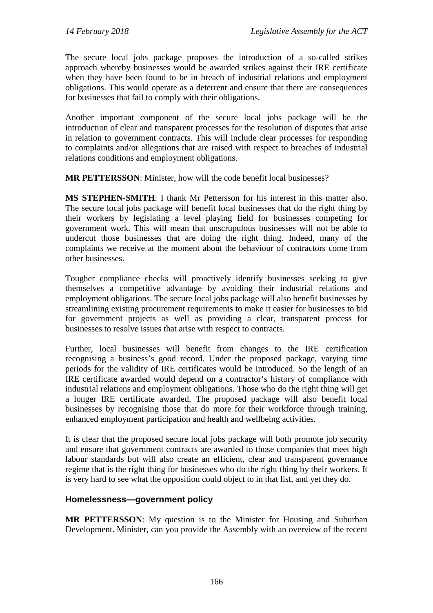The secure local jobs package proposes the introduction of a so-called strikes approach whereby businesses would be awarded strikes against their IRE certificate when they have been found to be in breach of industrial relations and employment obligations. This would operate as a deterrent and ensure that there are consequences for businesses that fail to comply with their obligations.

Another important component of the secure local jobs package will be the introduction of clear and transparent processes for the resolution of disputes that arise in relation to government contracts. This will include clear processes for responding to complaints and/or allegations that are raised with respect to breaches of industrial relations conditions and employment obligations.

**MR PETTERSSON**: Minister, how will the code benefit local businesses?

**MS STEPHEN-SMITH**: I thank Mr Pettersson for his interest in this matter also. The secure local jobs package will benefit local businesses that do the right thing by their workers by legislating a level playing field for businesses competing for government work. This will mean that unscrupulous businesses will not be able to undercut those businesses that are doing the right thing. Indeed, many of the complaints we receive at the moment about the behaviour of contractors come from other businesses.

Tougher compliance checks will proactively identify businesses seeking to give themselves a competitive advantage by avoiding their industrial relations and employment obligations. The secure local jobs package will also benefit businesses by streamlining existing procurement requirements to make it easier for businesses to bid for government projects as well as providing a clear, transparent process for businesses to resolve issues that arise with respect to contracts.

Further, local businesses will benefit from changes to the IRE certification recognising a business's good record. Under the proposed package, varying time periods for the validity of IRE certificates would be introduced. So the length of an IRE certificate awarded would depend on a contractor's history of compliance with industrial relations and employment obligations. Those who do the right thing will get a longer IRE certificate awarded. The proposed package will also benefit local businesses by recognising those that do more for their workforce through training, enhanced employment participation and health and wellbeing activities.

It is clear that the proposed secure local jobs package will both promote job security and ensure that government contracts are awarded to those companies that meet high labour standards but will also create an efficient, clear and transparent governance regime that is the right thing for businesses who do the right thing by their workers. It is very hard to see what the opposition could object to in that list, and yet they do.

# **Homelessness—government policy**

**MR PETTERSSON**: My question is to the Minister for Housing and Suburban Development. Minister, can you provide the Assembly with an overview of the recent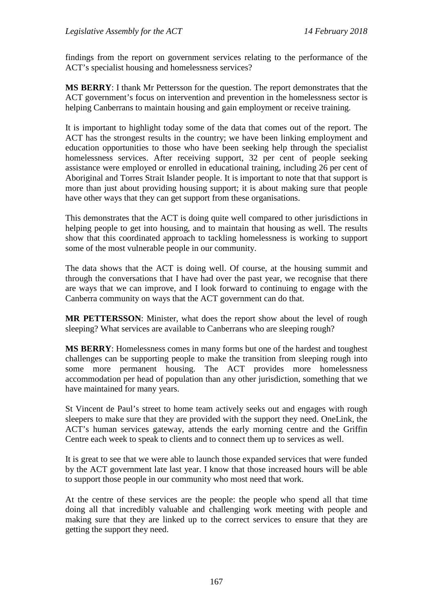findings from the report on government services relating to the performance of the ACT's specialist housing and homelessness services?

**MS BERRY**: I thank Mr Pettersson for the question. The report demonstrates that the ACT government's focus on intervention and prevention in the homelessness sector is helping Canberrans to maintain housing and gain employment or receive training.

It is important to highlight today some of the data that comes out of the report. The ACT has the strongest results in the country; we have been linking employment and education opportunities to those who have been seeking help through the specialist homelessness services. After receiving support, 32 per cent of people seeking assistance were employed or enrolled in educational training, including 26 per cent of Aboriginal and Torres Strait Islander people. It is important to note that that support is more than just about providing housing support; it is about making sure that people have other ways that they can get support from these organisations.

This demonstrates that the ACT is doing quite well compared to other jurisdictions in helping people to get into housing, and to maintain that housing as well. The results show that this coordinated approach to tackling homelessness is working to support some of the most vulnerable people in our community.

The data shows that the ACT is doing well. Of course, at the housing summit and through the conversations that I have had over the past year, we recognise that there are ways that we can improve, and I look forward to continuing to engage with the Canberra community on ways that the ACT government can do that.

**MR PETTERSSON**: Minister, what does the report show about the level of rough sleeping? What services are available to Canberrans who are sleeping rough?

**MS BERRY**: Homelessness comes in many forms but one of the hardest and toughest challenges can be supporting people to make the transition from sleeping rough into some more permanent housing. The ACT provides more homelessness accommodation per head of population than any other jurisdiction, something that we have maintained for many years.

St Vincent de Paul's street to home team actively seeks out and engages with rough sleepers to make sure that they are provided with the support they need. OneLink, the ACT's human services gateway, attends the early morning centre and the Griffin Centre each week to speak to clients and to connect them up to services as well.

It is great to see that we were able to launch those expanded services that were funded by the ACT government late last year. I know that those increased hours will be able to support those people in our community who most need that work.

At the centre of these services are the people: the people who spend all that time doing all that incredibly valuable and challenging work meeting with people and making sure that they are linked up to the correct services to ensure that they are getting the support they need.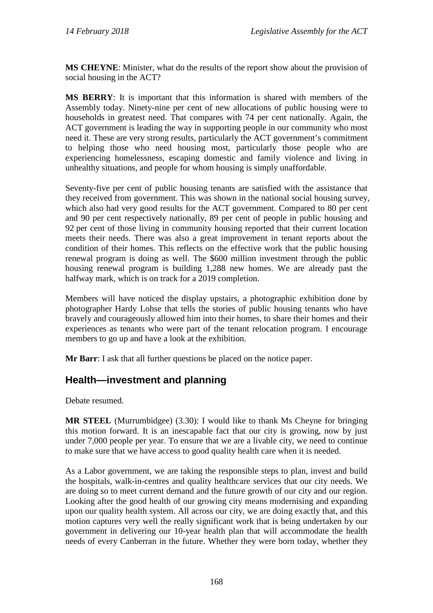**MS CHEYNE**: Minister, what do the results of the report show about the provision of social housing in the ACT?

**MS BERRY**: It is important that this information is shared with members of the Assembly today. Ninety-nine per cent of new allocations of public housing were to households in greatest need. That compares with 74 per cent nationally. Again, the ACT government is leading the way in supporting people in our community who most need it. These are very strong results, particularly the ACT government's commitment to helping those who need housing most, particularly those people who are experiencing homelessness, escaping domestic and family violence and living in unhealthy situations, and people for whom housing is simply unaffordable.

Seventy-five per cent of public housing tenants are satisfied with the assistance that they received from government. This was shown in the national social housing survey, which also had very good results for the ACT government. Compared to 80 per cent and 90 per cent respectively nationally, 89 per cent of people in public housing and 92 per cent of those living in community housing reported that their current location meets their needs. There was also a great improvement in tenant reports about the condition of their homes. This reflects on the effective work that the public housing renewal program is doing as well. The \$600 million investment through the public housing renewal program is building 1,288 new homes. We are already past the halfway mark, which is on track for a 2019 completion.

Members will have noticed the display upstairs, a photographic exhibition done by photographer Hardy Lohse that tells the stories of public housing tenants who have bravely and courageously allowed him into their homes, to share their homes and their experiences as tenants who were part of the tenant relocation program. I encourage members to go up and have a look at the exhibition.

**Mr Barr**: I ask that all further questions be placed on the notice paper.

# **Health—investment and planning**

Debate resumed.

**MR STEEL** (Murrumbidgee) (3.30): I would like to thank Ms Cheyne for bringing this motion forward. It is an inescapable fact that our city is growing, now by just under 7,000 people per year. To ensure that we are a livable city, we need to continue to make sure that we have access to good quality health care when it is needed.

As a Labor government, we are taking the responsible steps to plan, invest and build the hospitals, walk-in-centres and quality healthcare services that our city needs. We are doing so to meet current demand and the future growth of our city and our region. Looking after the good health of our growing city means modernising and expanding upon our quality health system. All across our city, we are doing exactly that, and this motion captures very well the really significant work that is being undertaken by our government in delivering our 10-year health plan that will accommodate the health needs of every Canberran in the future. Whether they were born today, whether they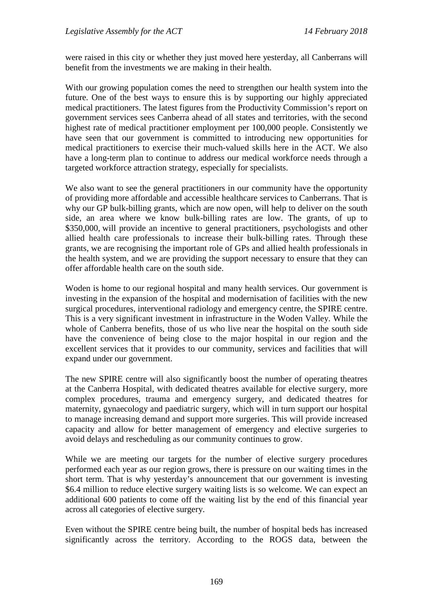were raised in this city or whether they just moved here yesterday, all Canberrans will benefit from the investments we are making in their health.

With our growing population comes the need to strengthen our health system into the future. One of the best ways to ensure this is by supporting our highly appreciated medical practitioners. The latest figures from the Productivity Commission's report on government services sees Canberra ahead of all states and territories, with the second highest rate of medical practitioner employment per 100,000 people. Consistently we have seen that our government is committed to introducing new opportunities for medical practitioners to exercise their much-valued skills here in the ACT. We also have a long-term plan to continue to address our medical workforce needs through a targeted workforce attraction strategy, especially for specialists.

We also want to see the general practitioners in our community have the opportunity of providing more affordable and accessible healthcare services to Canberrans. That is why our GP bulk-billing grants, which are now open, will help to deliver on the south side, an area where we know bulk-billing rates are low. The grants, of up to \$350,000, will provide an incentive to general practitioners, psychologists and other allied health care professionals to increase their bulk-billing rates. Through these grants, we are recognising the important role of GPs and allied health professionals in the health system, and we are providing the support necessary to ensure that they can offer affordable health care on the south side.

Woden is home to our regional hospital and many health services. Our government is investing in the expansion of the hospital and modernisation of facilities with the new surgical procedures, interventional radiology and emergency centre, the SPIRE centre. This is a very significant investment in infrastructure in the Woden Valley. While the whole of Canberra benefits, those of us who live near the hospital on the south side have the convenience of being close to the major hospital in our region and the excellent services that it provides to our community, services and facilities that will expand under our government.

The new SPIRE centre will also significantly boost the number of operating theatres at the Canberra Hospital, with dedicated theatres available for elective surgery, more complex procedures, trauma and emergency surgery, and dedicated theatres for maternity, gynaecology and paediatric surgery, which will in turn support our hospital to manage increasing demand and support more surgeries. This will provide increased capacity and allow for better management of emergency and elective surgeries to avoid delays and rescheduling as our community continues to grow.

While we are meeting our targets for the number of elective surgery procedures performed each year as our region grows, there is pressure on our waiting times in the short term. That is why yesterday's announcement that our government is investing \$6.4 million to reduce elective surgery waiting lists is so welcome. We can expect an additional 600 patients to come off the waiting list by the end of this financial year across all categories of elective surgery.

Even without the SPIRE centre being built, the number of hospital beds has increased significantly across the territory. According to the ROGS data, between the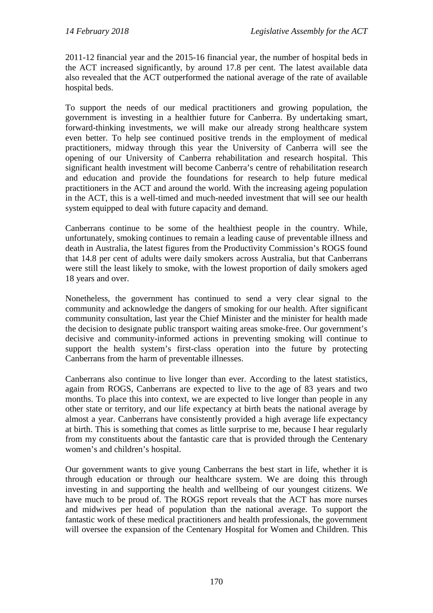2011-12 financial year and the 2015-16 financial year, the number of hospital beds in the ACT increased significantly, by around 17.8 per cent. The latest available data also revealed that the ACT outperformed the national average of the rate of available hospital beds.

To support the needs of our medical practitioners and growing population, the government is investing in a healthier future for Canberra. By undertaking smart, forward-thinking investments, we will make our already strong healthcare system even better. To help see continued positive trends in the employment of medical practitioners, midway through this year the University of Canberra will see the opening of our University of Canberra rehabilitation and research hospital. This significant health investment will become Canberra's centre of rehabilitation research and education and provide the foundations for research to help future medical practitioners in the ACT and around the world. With the increasing ageing population in the ACT, this is a well-timed and much-needed investment that will see our health system equipped to deal with future capacity and demand.

Canberrans continue to be some of the healthiest people in the country. While, unfortunately, smoking continues to remain a leading cause of preventable illness and death in Australia, the latest figures from the Productivity Commission's ROGS found that 14.8 per cent of adults were daily smokers across Australia, but that Canberrans were still the least likely to smoke, with the lowest proportion of daily smokers aged 18 years and over.

Nonetheless, the government has continued to send a very clear signal to the community and acknowledge the dangers of smoking for our health. After significant community consultation, last year the Chief Minister and the minister for health made the decision to designate public transport waiting areas smoke-free. Our government's decisive and community-informed actions in preventing smoking will continue to support the health system's first-class operation into the future by protecting Canberrans from the harm of preventable illnesses.

Canberrans also continue to live longer than ever. According to the latest statistics, again from ROGS, Canberrans are expected to live to the age of 83 years and two months. To place this into context, we are expected to live longer than people in any other state or territory, and our life expectancy at birth beats the national average by almost a year. Canberrans have consistently provided a high average life expectancy at birth. This is something that comes as little surprise to me, because I hear regularly from my constituents about the fantastic care that is provided through the Centenary women's and children's hospital.

Our government wants to give young Canberrans the best start in life, whether it is through education or through our healthcare system. We are doing this through investing in and supporting the health and wellbeing of our youngest citizens. We have much to be proud of. The ROGS report reveals that the ACT has more nurses and midwives per head of population than the national average. To support the fantastic work of these medical practitioners and health professionals, the government will oversee the expansion of the Centenary Hospital for Women and Children. This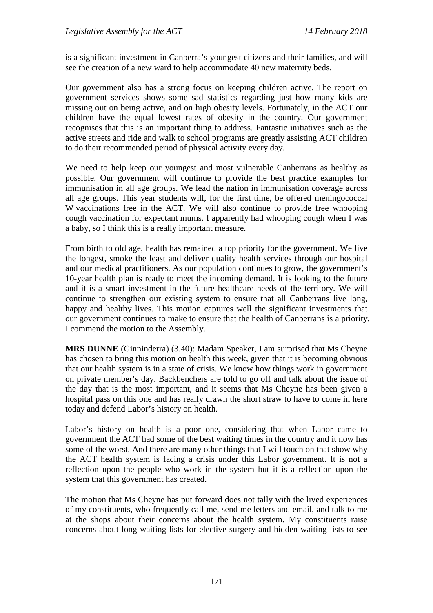is a significant investment in Canberra's youngest citizens and their families, and will see the creation of a new ward to help accommodate 40 new maternity beds.

Our government also has a strong focus on keeping children active. The report on government services shows some sad statistics regarding just how many kids are missing out on being active, and on high obesity levels. Fortunately, in the ACT our children have the equal lowest rates of obesity in the country. Our government recognises that this is an important thing to address. Fantastic initiatives such as the active streets and ride and walk to school programs are greatly assisting ACT children to do their recommended period of physical activity every day.

We need to help keep our youngest and most vulnerable Canberrans as healthy as possible. Our government will continue to provide the best practice examples for immunisation in all age groups. We lead the nation in immunisation coverage across all age groups. This year students will, for the first time, be offered meningococcal W vaccinations free in the ACT. We will also continue to provide free whooping cough vaccination for expectant mums. I apparently had whooping cough when I was a baby, so I think this is a really important measure.

From birth to old age, health has remained a top priority for the government. We live the longest, smoke the least and deliver quality health services through our hospital and our medical practitioners. As our population continues to grow, the government's 10-year health plan is ready to meet the incoming demand. It is looking to the future and it is a smart investment in the future healthcare needs of the territory. We will continue to strengthen our existing system to ensure that all Canberrans live long, happy and healthy lives. This motion captures well the significant investments that our government continues to make to ensure that the health of Canberrans is a priority. I commend the motion to the Assembly.

**MRS DUNNE** (Ginninderra) (3.40): Madam Speaker, I am surprised that Ms Cheyne has chosen to bring this motion on health this week, given that it is becoming obvious that our health system is in a state of crisis. We know how things work in government on private member's day. Backbenchers are told to go off and talk about the issue of the day that is the most important, and it seems that Ms Cheyne has been given a hospital pass on this one and has really drawn the short straw to have to come in here today and defend Labor's history on health.

Labor's history on health is a poor one, considering that when Labor came to government the ACT had some of the best waiting times in the country and it now has some of the worst. And there are many other things that I will touch on that show why the ACT health system is facing a crisis under this Labor government. It is not a reflection upon the people who work in the system but it is a reflection upon the system that this government has created.

The motion that Ms Cheyne has put forward does not tally with the lived experiences of my constituents, who frequently call me, send me letters and email, and talk to me at the shops about their concerns about the health system. My constituents raise concerns about long waiting lists for elective surgery and hidden waiting lists to see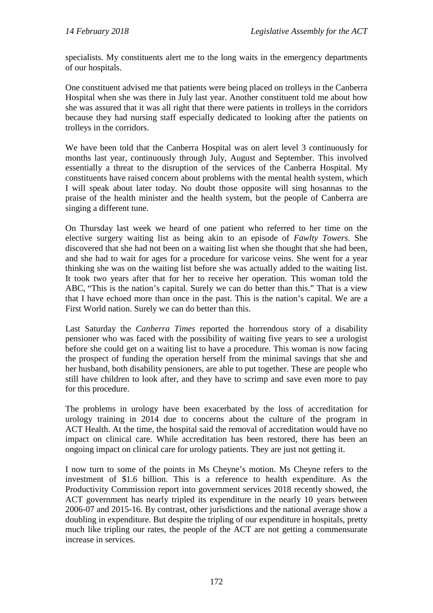specialists. My constituents alert me to the long waits in the emergency departments of our hospitals.

One constituent advised me that patients were being placed on trolleys in the Canberra Hospital when she was there in July last year. Another constituent told me about how she was assured that it was all right that there were patients in trolleys in the corridors because they had nursing staff especially dedicated to looking after the patients on trolleys in the corridors.

We have been told that the Canberra Hospital was on alert level 3 continuously for months last year, continuously through July, August and September. This involved essentially a threat to the disruption of the services of the Canberra Hospital. My constituents have raised concern about problems with the mental health system, which I will speak about later today. No doubt those opposite will sing hosannas to the praise of the health minister and the health system, but the people of Canberra are singing a different tune.

On Thursday last week we heard of one patient who referred to her time on the elective surgery waiting list as being akin to an episode of *Fawlty Towers*. She discovered that she had not been on a waiting list when she thought that she had been, and she had to wait for ages for a procedure for varicose veins. She went for a year thinking she was on the waiting list before she was actually added to the waiting list. It took two years after that for her to receive her operation. This woman told the ABC, "This is the nation's capital. Surely we can do better than this." That is a view that I have echoed more than once in the past. This is the nation's capital. We are a First World nation. Surely we can do better than this.

Last Saturday the *Canberra Times* reported the horrendous story of a disability pensioner who was faced with the possibility of waiting five years to see a urologist before she could get on a waiting list to have a procedure. This woman is now facing the prospect of funding the operation herself from the minimal savings that she and her husband, both disability pensioners, are able to put together. These are people who still have children to look after, and they have to scrimp and save even more to pay for this procedure.

The problems in urology have been exacerbated by the loss of accreditation for urology training in 2014 due to concerns about the culture of the program in ACT Health. At the time, the hospital said the removal of accreditation would have no impact on clinical care. While accreditation has been restored, there has been an ongoing impact on clinical care for urology patients. They are just not getting it.

I now turn to some of the points in Ms Cheyne's motion. Ms Cheyne refers to the investment of \$1.6 billion. This is a reference to health expenditure. As the Productivity Commission report into government services 2018 recently showed, the ACT government has nearly tripled its expenditure in the nearly 10 years between 2006-07 and 2015-16. By contrast, other jurisdictions and the national average show a doubling in expenditure. But despite the tripling of our expenditure in hospitals, pretty much like tripling our rates, the people of the ACT are not getting a commensurate increase in services.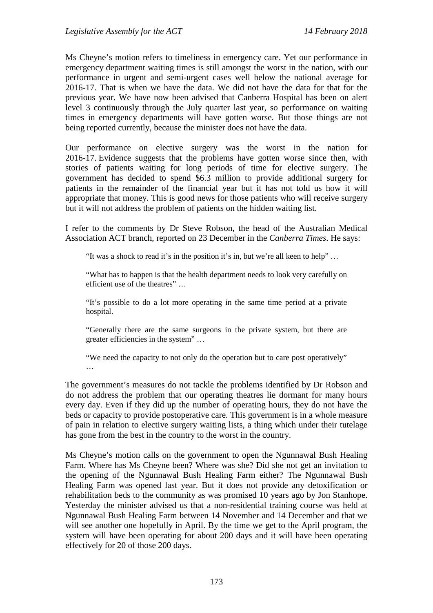Ms Cheyne's motion refers to timeliness in emergency care. Yet our performance in emergency department waiting times is still amongst the worst in the nation, with our performance in urgent and semi-urgent cases well below the national average for 2016-17. That is when we have the data. We did not have the data for that for the previous year. We have now been advised that Canberra Hospital has been on alert level 3 continuously through the July quarter last year, so performance on waiting times in emergency departments will have gotten worse. But those things are not being reported currently, because the minister does not have the data.

Our performance on elective surgery was the worst in the nation for 2016-17. Evidence suggests that the problems have gotten worse since then, with stories of patients waiting for long periods of time for elective surgery. The government has decided to spend \$6.3 million to provide additional surgery for patients in the remainder of the financial year but it has not told us how it will appropriate that money. This is good news for those patients who will receive surgery but it will not address the problem of patients on the hidden waiting list.

I refer to the comments by Dr Steve Robson, the head of the Australian Medical Association ACT branch, reported on 23 December in the *Canberra Times*. He says:

"It was a shock to read it's in the position it's in, but we're all keen to help" …

"What has to happen is that the health department needs to look very carefully on efficient use of the theatres" …

"It's possible to do a lot more operating in the same time period at a private hospital.

"Generally there are the same surgeons in the private system, but there are greater efficiencies in the system" …

"We need the capacity to not only do the operation but to care post operatively" …

The government's measures do not tackle the problems identified by Dr Robson and do not address the problem that our operating theatres lie dormant for many hours every day. Even if they did up the number of operating hours, they do not have the beds or capacity to provide postoperative care. This government is in a whole measure of pain in relation to elective surgery waiting lists, a thing which under their tutelage has gone from the best in the country to the worst in the country.

Ms Cheyne's motion calls on the government to open the Ngunnawal Bush Healing Farm. Where has Ms Cheyne been? Where was she? Did she not get an invitation to the opening of the Ngunnawal Bush Healing Farm either? The Ngunnawal Bush Healing Farm was opened last year. But it does not provide any detoxification or rehabilitation beds to the community as was promised 10 years ago by Jon Stanhope. Yesterday the minister advised us that a non-residential training course was held at Ngunnawal Bush Healing Farm between 14 November and 14 December and that we will see another one hopefully in April. By the time we get to the April program, the system will have been operating for about 200 days and it will have been operating effectively for 20 of those 200 days.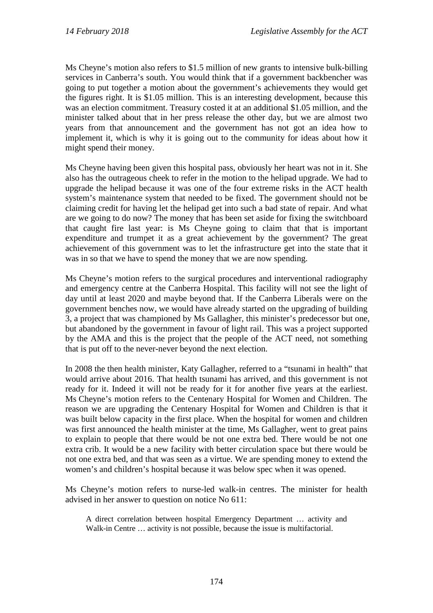Ms Cheyne's motion also refers to \$1.5 million of new grants to intensive bulk-billing services in Canberra's south. You would think that if a government backbencher was going to put together a motion about the government's achievements they would get the figures right. It is \$1.05 million. This is an interesting development, because this was an election commitment. Treasury costed it at an additional \$1.05 million, and the minister talked about that in her press release the other day, but we are almost two years from that announcement and the government has not got an idea how to implement it, which is why it is going out to the community for ideas about how it might spend their money.

Ms Cheyne having been given this hospital pass, obviously her heart was not in it. She also has the outrageous cheek to refer in the motion to the helipad upgrade. We had to upgrade the helipad because it was one of the four extreme risks in the ACT health system's maintenance system that needed to be fixed. The government should not be claiming credit for having let the helipad get into such a bad state of repair. And what are we going to do now? The money that has been set aside for fixing the switchboard that caught fire last year: is Ms Cheyne going to claim that that is important expenditure and trumpet it as a great achievement by the government? The great achievement of this government was to let the infrastructure get into the state that it was in so that we have to spend the money that we are now spending.

Ms Cheyne's motion refers to the surgical procedures and interventional radiography and emergency centre at the Canberra Hospital. This facility will not see the light of day until at least 2020 and maybe beyond that. If the Canberra Liberals were on the government benches now, we would have already started on the upgrading of building 3, a project that was championed by Ms Gallagher, this minister's predecessor but one, but abandoned by the government in favour of light rail. This was a project supported by the AMA and this is the project that the people of the ACT need, not something that is put off to the never-never beyond the next election.

In 2008 the then health minister, Katy Gallagher, referred to a "tsunami in health" that would arrive about 2016. That health tsunami has arrived, and this government is not ready for it. Indeed it will not be ready for it for another five years at the earliest. Ms Cheyne's motion refers to the Centenary Hospital for Women and Children. The reason we are upgrading the Centenary Hospital for Women and Children is that it was built below capacity in the first place. When the hospital for women and children was first announced the health minister at the time, Ms Gallagher, went to great pains to explain to people that there would be not one extra bed. There would be not one extra crib. It would be a new facility with better circulation space but there would be not one extra bed, and that was seen as a virtue. We are spending money to extend the women's and children's hospital because it was below spec when it was opened.

Ms Cheyne's motion refers to nurse-led walk-in centres. The minister for health advised in her answer to question on notice No 611:

A direct correlation between hospital Emergency Department … activity and Walk-in Centre … activity is not possible, because the issue is multifactorial.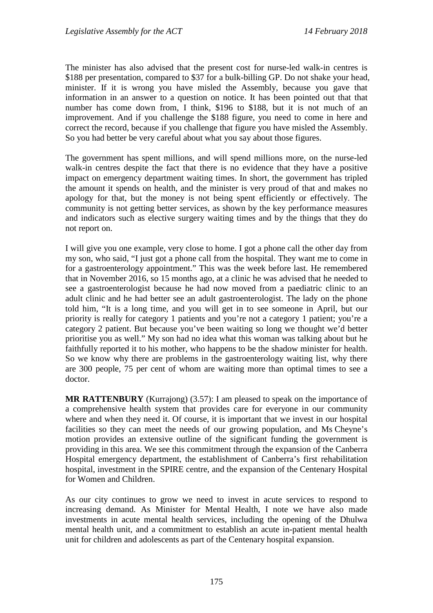The minister has also advised that the present cost for nurse-led walk-in centres is \$188 per presentation, compared to \$37 for a bulk-billing GP. Do not shake your head, minister. If it is wrong you have misled the Assembly, because you gave that information in an answer to a question on notice. It has been pointed out that that number has come down from, I think, \$196 to \$188, but it is not much of an improvement. And if you challenge the \$188 figure, you need to come in here and correct the record, because if you challenge that figure you have misled the Assembly. So you had better be very careful about what you say about those figures.

The government has spent millions, and will spend millions more, on the nurse-led walk-in centres despite the fact that there is no evidence that they have a positive impact on emergency department waiting times. In short, the government has tripled the amount it spends on health, and the minister is very proud of that and makes no apology for that, but the money is not being spent efficiently or effectively. The community is not getting better services, as shown by the key performance measures and indicators such as elective surgery waiting times and by the things that they do not report on.

I will give you one example, very close to home. I got a phone call the other day from my son, who said, "I just got a phone call from the hospital. They want me to come in for a gastroenterology appointment." This was the week before last. He remembered that in November 2016, so 15 months ago, at a clinic he was advised that he needed to see a gastroenterologist because he had now moved from a paediatric clinic to an adult clinic and he had better see an adult gastroenterologist. The lady on the phone told him, "It is a long time, and you will get in to see someone in April, but our priority is really for category 1 patients and you're not a category 1 patient; you're a category 2 patient. But because you've been waiting so long we thought we'd better prioritise you as well." My son had no idea what this woman was talking about but he faithfully reported it to his mother, who happens to be the shadow minister for health. So we know why there are problems in the gastroenterology waiting list, why there are 300 people, 75 per cent of whom are waiting more than optimal times to see a doctor.

**MR RATTENBURY** (Kurrajong) (3.57): I am pleased to speak on the importance of a comprehensive health system that provides care for everyone in our community where and when they need it. Of course, it is important that we invest in our hospital facilities so they can meet the needs of our growing population, and Ms Cheyne's motion provides an extensive outline of the significant funding the government is providing in this area. We see this commitment through the expansion of the Canberra Hospital emergency department, the establishment of Canberra's first rehabilitation hospital, investment in the SPIRE centre, and the expansion of the Centenary Hospital for Women and Children.

As our city continues to grow we need to invest in acute services to respond to increasing demand. As Minister for Mental Health, I note we have also made investments in acute mental health services, including the opening of the Dhulwa mental health unit, and a commitment to establish an acute in-patient mental health unit for children and adolescents as part of the Centenary hospital expansion.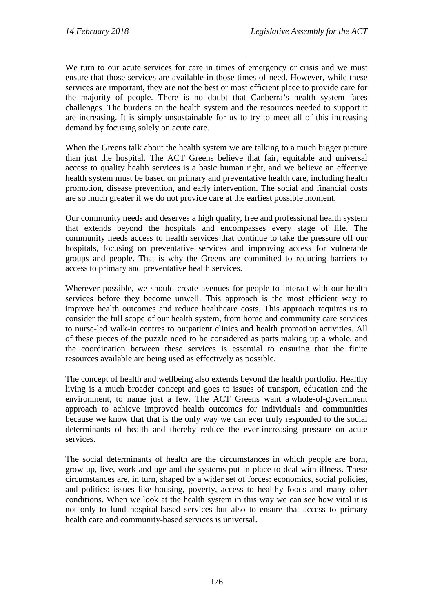We turn to our acute services for care in times of emergency or crisis and we must ensure that those services are available in those times of need. However, while these services are important, they are not the best or most efficient place to provide care for the majority of people. There is no doubt that Canberra's health system faces challenges. The burdens on the health system and the resources needed to support it are increasing. It is simply unsustainable for us to try to meet all of this increasing demand by focusing solely on acute care.

When the Greens talk about the health system we are talking to a much bigger picture than just the hospital. The ACT Greens believe that fair, equitable and universal access to quality health services is a basic human right, and we believe an effective health system must be based on primary and preventative health care, including health promotion, disease prevention, and early intervention. The social and financial costs are so much greater if we do not provide care at the earliest possible moment.

Our community needs and deserves a high quality, free and professional health system that extends beyond the hospitals and encompasses every stage of life. The community needs access to health services that continue to take the pressure off our hospitals, focusing on preventative services and improving access for vulnerable groups and people. That is why the Greens are committed to reducing barriers to access to primary and preventative health services.

Wherever possible, we should create avenues for people to interact with our health services before they become unwell. This approach is the most efficient way to improve health outcomes and reduce healthcare costs. This approach requires us to consider the full scope of our health system, from home and community care services to nurse-led walk-in centres to outpatient clinics and health promotion activities. All of these pieces of the puzzle need to be considered as parts making up a whole, and the coordination between these services is essential to ensuring that the finite resources available are being used as effectively as possible.

The concept of health and wellbeing also extends beyond the health portfolio. Healthy living is a much broader concept and goes to issues of transport, education and the environment, to name just a few. The ACT Greens want a whole-of-government approach to achieve improved health outcomes for individuals and communities because we know that that is the only way we can ever truly responded to the social determinants of health and thereby reduce the ever-increasing pressure on acute services.

The social determinants of health are the circumstances in which people are born, grow up, live, work and age and the systems put in place to deal with illness. These circumstances are, in turn, shaped by a wider set of forces: economics, social policies, and politics: issues like housing, poverty, access to healthy foods and many other conditions. When we look at the health system in this way we can see how vital it is not only to fund hospital-based services but also to ensure that access to primary health care and community-based services is universal.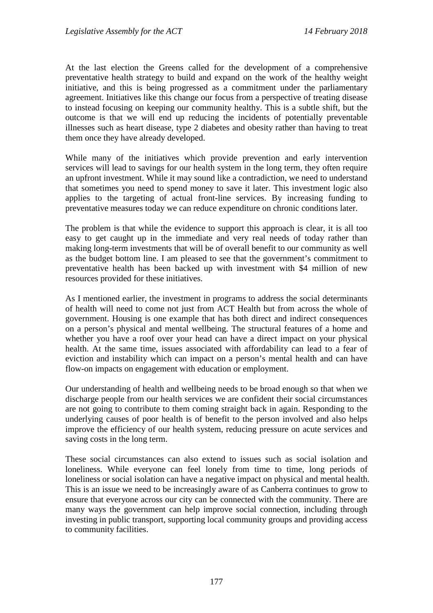At the last election the Greens called for the development of a comprehensive preventative health strategy to build and expand on the work of the healthy weight initiative, and this is being progressed as a commitment under the parliamentary agreement. Initiatives like this change our focus from a perspective of treating disease to instead focusing on keeping our community healthy. This is a subtle shift, but the outcome is that we will end up reducing the incidents of potentially preventable illnesses such as heart disease, type 2 diabetes and obesity rather than having to treat them once they have already developed.

While many of the initiatives which provide prevention and early intervention services will lead to savings for our health system in the long term, they often require an upfront investment. While it may sound like a contradiction, we need to understand that sometimes you need to spend money to save it later. This investment logic also applies to the targeting of actual front-line services. By increasing funding to preventative measures today we can reduce expenditure on chronic conditions later.

The problem is that while the evidence to support this approach is clear, it is all too easy to get caught up in the immediate and very real needs of today rather than making long-term investments that will be of overall benefit to our community as well as the budget bottom line. I am pleased to see that the government's commitment to preventative health has been backed up with investment with \$4 million of new resources provided for these initiatives.

As I mentioned earlier, the investment in programs to address the social determinants of health will need to come not just from ACT Health but from across the whole of government. Housing is one example that has both direct and indirect consequences on a person's physical and mental wellbeing. The structural features of a home and whether you have a roof over your head can have a direct impact on your physical health. At the same time, issues associated with affordability can lead to a fear of eviction and instability which can impact on a person's mental health and can have flow-on impacts on engagement with education or employment.

Our understanding of health and wellbeing needs to be broad enough so that when we discharge people from our health services we are confident their social circumstances are not going to contribute to them coming straight back in again. Responding to the underlying causes of poor health is of benefit to the person involved and also helps improve the efficiency of our health system, reducing pressure on acute services and saving costs in the long term.

These social circumstances can also extend to issues such as social isolation and loneliness. While everyone can feel lonely from time to time, long periods of loneliness or social isolation can have a negative impact on physical and mental health. This is an issue we need to be increasingly aware of as Canberra continues to grow to ensure that everyone across our city can be connected with the community. There are many ways the government can help improve social connection, including through investing in public transport, supporting local community groups and providing access to community facilities.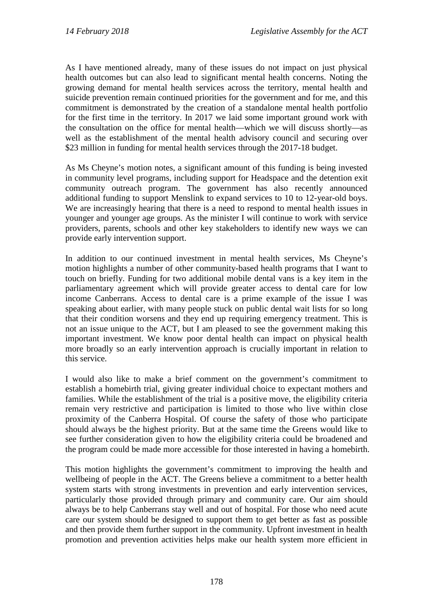As I have mentioned already, many of these issues do not impact on just physical health outcomes but can also lead to significant mental health concerns. Noting the growing demand for mental health services across the territory, mental health and suicide prevention remain continued priorities for the government and for me, and this commitment is demonstrated by the creation of a standalone mental health portfolio for the first time in the territory. In 2017 we laid some important ground work with the consultation on the office for mental health—which we will discuss shortly—as well as the establishment of the mental health advisory council and securing over \$23 million in funding for mental health services through the 2017-18 budget.

As Ms Cheyne's motion notes, a significant amount of this funding is being invested in community level programs, including support for Headspace and the detention exit community outreach program. The government has also recently announced additional funding to support Menslink to expand services to 10 to 12-year-old boys. We are increasingly hearing that there is a need to respond to mental health issues in younger and younger age groups. As the minister I will continue to work with service providers, parents, schools and other key stakeholders to identify new ways we can provide early intervention support.

In addition to our continued investment in mental health services, Ms Cheyne's motion highlights a number of other community-based health programs that I want to touch on briefly. Funding for two additional mobile dental vans is a key item in the parliamentary agreement which will provide greater access to dental care for low income Canberrans. Access to dental care is a prime example of the issue I was speaking about earlier, with many people stuck on public dental wait lists for so long that their condition worsens and they end up requiring emergency treatment. This is not an issue unique to the ACT, but I am pleased to see the government making this important investment. We know poor dental health can impact on physical health more broadly so an early intervention approach is crucially important in relation to this service.

I would also like to make a brief comment on the government's commitment to establish a homebirth trial, giving greater individual choice to expectant mothers and families. While the establishment of the trial is a positive move, the eligibility criteria remain very restrictive and participation is limited to those who live within close proximity of the Canberra Hospital. Of course the safety of those who participate should always be the highest priority. But at the same time the Greens would like to see further consideration given to how the eligibility criteria could be broadened and the program could be made more accessible for those interested in having a homebirth.

This motion highlights the government's commitment to improving the health and wellbeing of people in the ACT. The Greens believe a commitment to a better health system starts with strong investments in prevention and early intervention services, particularly those provided through primary and community care. Our aim should always be to help Canberrans stay well and out of hospital. For those who need acute care our system should be designed to support them to get better as fast as possible and then provide them further support in the community. Upfront investment in health promotion and prevention activities helps make our health system more efficient in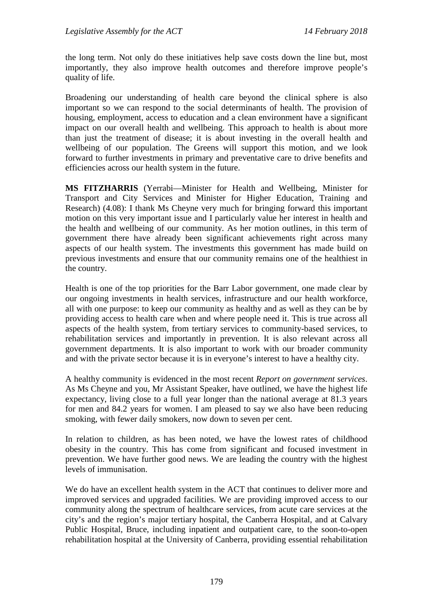the long term. Not only do these initiatives help save costs down the line but, most importantly, they also improve health outcomes and therefore improve people's quality of life.

Broadening our understanding of health care beyond the clinical sphere is also important so we can respond to the social determinants of health. The provision of housing, employment, access to education and a clean environment have a significant impact on our overall health and wellbeing. This approach to health is about more than just the treatment of disease; it is about investing in the overall health and wellbeing of our population. The Greens will support this motion, and we look forward to further investments in primary and preventative care to drive benefits and efficiencies across our health system in the future.

**MS FITZHARRIS** (Yerrabi—Minister for Health and Wellbeing, Minister for Transport and City Services and Minister for Higher Education, Training and Research) (4.08): I thank Ms Cheyne very much for bringing forward this important motion on this very important issue and I particularly value her interest in health and the health and wellbeing of our community. As her motion outlines, in this term of government there have already been significant achievements right across many aspects of our health system. The investments this government has made build on previous investments and ensure that our community remains one of the healthiest in the country.

Health is one of the top priorities for the Barr Labor government, one made clear by our ongoing investments in health services, infrastructure and our health workforce, all with one purpose: to keep our community as healthy and as well as they can be by providing access to health care when and where people need it. This is true across all aspects of the health system, from tertiary services to community-based services, to rehabilitation services and importantly in prevention. It is also relevant across all government departments. It is also important to work with our broader community and with the private sector because it is in everyone's interest to have a healthy city.

A healthy community is evidenced in the most recent *Report on government services*. As Ms Cheyne and you, Mr Assistant Speaker, have outlined, we have the highest life expectancy, living close to a full year longer than the national average at 81.3 years for men and 84.2 years for women. I am pleased to say we also have been reducing smoking, with fewer daily smokers, now down to seven per cent.

In relation to children, as has been noted, we have the lowest rates of childhood obesity in the country. This has come from significant and focused investment in prevention. We have further good news. We are leading the country with the highest levels of immunisation.

We do have an excellent health system in the ACT that continues to deliver more and improved services and upgraded facilities. We are providing improved access to our community along the spectrum of healthcare services, from acute care services at the city's and the region's major tertiary hospital, the Canberra Hospital, and at Calvary Public Hospital, Bruce, including inpatient and outpatient care, to the soon-to-open rehabilitation hospital at the University of Canberra, providing essential rehabilitation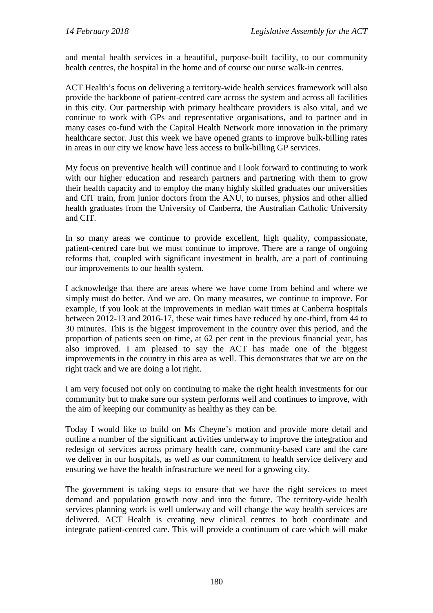and mental health services in a beautiful, purpose-built facility, to our community health centres, the hospital in the home and of course our nurse walk-in centres.

ACT Health's focus on delivering a territory-wide health services framework will also provide the backbone of patient-centred care across the system and across all facilities in this city. Our partnership with primary healthcare providers is also vital, and we continue to work with GPs and representative organisations, and to partner and in many cases co-fund with the Capital Health Network more innovation in the primary healthcare sector. Just this week we have opened grants to improve bulk-billing rates in areas in our city we know have less access to bulk-billing GP services.

My focus on preventive health will continue and I look forward to continuing to work with our higher education and research partners and partnering with them to grow their health capacity and to employ the many highly skilled graduates our universities and CIT train, from junior doctors from the ANU, to nurses, physios and other allied health graduates from the University of Canberra, the Australian Catholic University and CIT.

In so many areas we continue to provide excellent, high quality, compassionate, patient-centred care but we must continue to improve. There are a range of ongoing reforms that, coupled with significant investment in health, are a part of continuing our improvements to our health system.

I acknowledge that there are areas where we have come from behind and where we simply must do better. And we are. On many measures, we continue to improve. For example, if you look at the improvements in median wait times at Canberra hospitals between 2012-13 and 2016-17, these wait times have reduced by one-third, from 44 to 30 minutes. This is the biggest improvement in the country over this period, and the proportion of patients seen on time, at 62 per cent in the previous financial year, has also improved. I am pleased to say the ACT has made one of the biggest improvements in the country in this area as well. This demonstrates that we are on the right track and we are doing a lot right.

I am very focused not only on continuing to make the right health investments for our community but to make sure our system performs well and continues to improve, with the aim of keeping our community as healthy as they can be.

Today I would like to build on Ms Cheyne's motion and provide more detail and outline a number of the significant activities underway to improve the integration and redesign of services across primary health care, community-based care and the care we deliver in our hospitals, as well as our commitment to health service delivery and ensuring we have the health infrastructure we need for a growing city.

The government is taking steps to ensure that we have the right services to meet demand and population growth now and into the future. The territory-wide health services planning work is well underway and will change the way health services are delivered. ACT Health is creating new clinical centres to both coordinate and integrate patient-centred care. This will provide a continuum of care which will make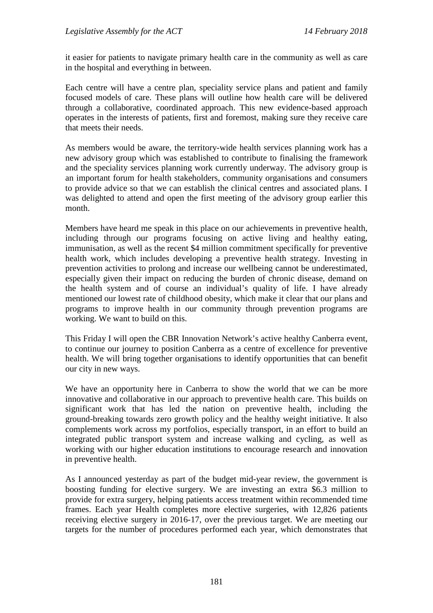it easier for patients to navigate primary health care in the community as well as care in the hospital and everything in between.

Each centre will have a centre plan, speciality service plans and patient and family focused models of care. These plans will outline how health care will be delivered through a collaborative, coordinated approach. This new evidence-based approach operates in the interests of patients, first and foremost, making sure they receive care that meets their needs.

As members would be aware, the territory-wide health services planning work has a new advisory group which was established to contribute to finalising the framework and the speciality services planning work currently underway. The advisory group is an important forum for health stakeholders, community organisations and consumers to provide advice so that we can establish the clinical centres and associated plans. I was delighted to attend and open the first meeting of the advisory group earlier this month.

Members have heard me speak in this place on our achievements in preventive health, including through our programs focusing on active living and healthy eating, immunisation, as well as the recent \$4 million commitment specifically for preventive health work, which includes developing a preventive health strategy. Investing in prevention activities to prolong and increase our wellbeing cannot be underestimated, especially given their impact on reducing the burden of chronic disease, demand on the health system and of course an individual's quality of life. I have already mentioned our lowest rate of childhood obesity, which make it clear that our plans and programs to improve health in our community through prevention programs are working. We want to build on this.

This Friday I will open the CBR Innovation Network's active healthy Canberra event, to continue our journey to position Canberra as a centre of excellence for preventive health. We will bring together organisations to identify opportunities that can benefit our city in new ways.

We have an opportunity here in Canberra to show the world that we can be more innovative and collaborative in our approach to preventive health care. This builds on significant work that has led the nation on preventive health, including the ground-breaking towards zero growth policy and the healthy weight initiative. It also complements work across my portfolios, especially transport, in an effort to build an integrated public transport system and increase walking and cycling, as well as working with our higher education institutions to encourage research and innovation in preventive health.

As I announced yesterday as part of the budget mid-year review, the government is boosting funding for elective surgery. We are investing an extra \$6.3 million to provide for extra surgery, helping patients access treatment within recommended time frames. Each year Health completes more elective surgeries, with 12,826 patients receiving elective surgery in 2016-17, over the previous target. We are meeting our targets for the number of procedures performed each year, which demonstrates that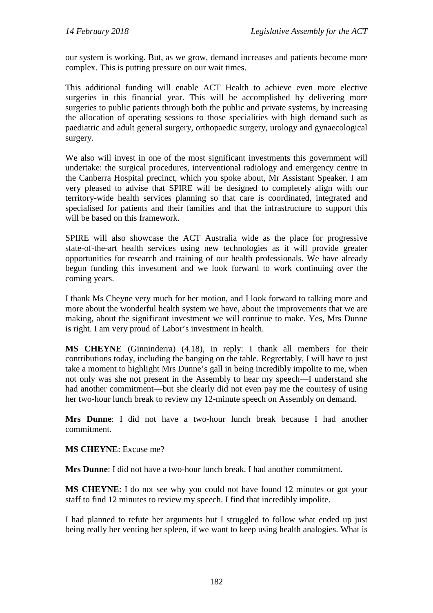our system is working. But, as we grow, demand increases and patients become more complex. This is putting pressure on our wait times.

This additional funding will enable ACT Health to achieve even more elective surgeries in this financial year. This will be accomplished by delivering more surgeries to public patients through both the public and private systems, by increasing the allocation of operating sessions to those specialities with high demand such as paediatric and adult general surgery, orthopaedic surgery, urology and gynaecological surgery.

We also will invest in one of the most significant investments this government will undertake: the surgical procedures, interventional radiology and emergency centre in the Canberra Hospital precinct, which you spoke about, Mr Assistant Speaker. I am very pleased to advise that SPIRE will be designed to completely align with our territory-wide health services planning so that care is coordinated, integrated and specialised for patients and their families and that the infrastructure to support this will be based on this framework.

SPIRE will also showcase the ACT Australia wide as the place for progressive state-of-the-art health services using new technologies as it will provide greater opportunities for research and training of our health professionals. We have already begun funding this investment and we look forward to work continuing over the coming years.

I thank Ms Cheyne very much for her motion, and I look forward to talking more and more about the wonderful health system we have, about the improvements that we are making, about the significant investment we will continue to make. Yes, Mrs Dunne is right. I am very proud of Labor's investment in health.

**MS CHEYNE** (Ginninderra) (4.18), in reply: I thank all members for their contributions today, including the banging on the table. Regrettably, I will have to just take a moment to highlight Mrs Dunne's gall in being incredibly impolite to me, when not only was she not present in the Assembly to hear my speech—I understand she had another commitment—but she clearly did not even pay me the courtesy of using her two-hour lunch break to review my 12-minute speech on Assembly on demand.

**Mrs Dunne**: I did not have a two-hour lunch break because I had another commitment.

**MS CHEYNE**: Excuse me?

**Mrs Dunne**: I did not have a two-hour lunch break. I had another commitment.

**MS CHEYNE**: I do not see why you could not have found 12 minutes or got your staff to find 12 minutes to review my speech. I find that incredibly impolite.

I had planned to refute her arguments but I struggled to follow what ended up just being really her venting her spleen, if we want to keep using health analogies. What is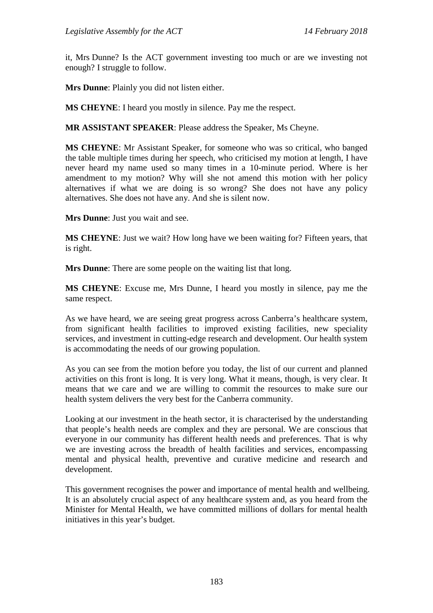it, Mrs Dunne? Is the ACT government investing too much or are we investing not enough? I struggle to follow.

**Mrs Dunne**: Plainly you did not listen either.

**MS CHEYNE**: I heard you mostly in silence. Pay me the respect.

**MR ASSISTANT SPEAKER**: Please address the Speaker, Ms Cheyne.

**MS CHEYNE**: Mr Assistant Speaker, for someone who was so critical, who banged the table multiple times during her speech, who criticised my motion at length, I have never heard my name used so many times in a 10-minute period. Where is her amendment to my motion? Why will she not amend this motion with her policy alternatives if what we are doing is so wrong? She does not have any policy alternatives. She does not have any. And she is silent now.

**Mrs Dunne**: Just you wait and see.

**MS CHEYNE**: Just we wait? How long have we been waiting for? Fifteen years, that is right.

**Mrs Dunne**: There are some people on the waiting list that long.

**MS CHEYNE**: Excuse me, Mrs Dunne, I heard you mostly in silence, pay me the same respect.

As we have heard, we are seeing great progress across Canberra's healthcare system, from significant health facilities to improved existing facilities, new speciality services, and investment in cutting-edge research and development. Our health system is accommodating the needs of our growing population.

As you can see from the motion before you today, the list of our current and planned activities on this front is long. It is very long. What it means, though, is very clear. It means that we care and we are willing to commit the resources to make sure our health system delivers the very best for the Canberra community.

Looking at our investment in the heath sector, it is characterised by the understanding that people's health needs are complex and they are personal. We are conscious that everyone in our community has different health needs and preferences. That is why we are investing across the breadth of health facilities and services, encompassing mental and physical health, preventive and curative medicine and research and development.

This government recognises the power and importance of mental health and wellbeing. It is an absolutely crucial aspect of any healthcare system and, as you heard from the Minister for Mental Health, we have committed millions of dollars for mental health initiatives in this year's budget.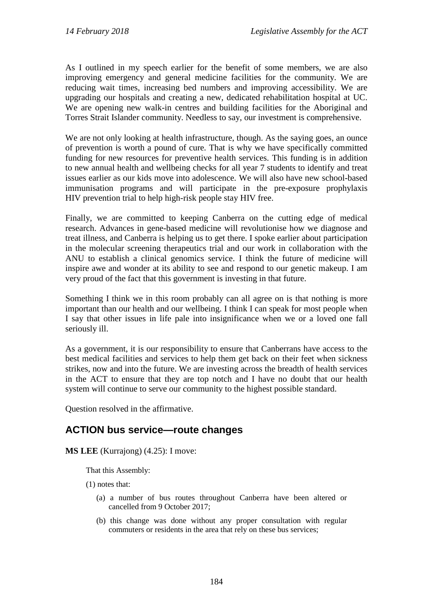As I outlined in my speech earlier for the benefit of some members, we are also improving emergency and general medicine facilities for the community. We are reducing wait times, increasing bed numbers and improving accessibility. We are upgrading our hospitals and creating a new, dedicated rehabilitation hospital at UC. We are opening new walk-in centres and building facilities for the Aboriginal and Torres Strait Islander community. Needless to say, our investment is comprehensive.

We are not only looking at health infrastructure, though. As the saying goes, an ounce of prevention is worth a pound of cure. That is why we have specifically committed funding for new resources for preventive health services. This funding is in addition to new annual health and wellbeing checks for all year 7 students to identify and treat issues earlier as our kids move into adolescence. We will also have new school-based immunisation programs and will participate in the pre-exposure prophylaxis HIV prevention trial to help high-risk people stay HIV free.

Finally, we are committed to keeping Canberra on the cutting edge of medical research. Advances in gene-based medicine will revolutionise how we diagnose and treat illness, and Canberra is helping us to get there. I spoke earlier about participation in the molecular screening therapeutics trial and our work in collaboration with the ANU to establish a clinical genomics service. I think the future of medicine will inspire awe and wonder at its ability to see and respond to our genetic makeup. I am very proud of the fact that this government is investing in that future.

Something I think we in this room probably can all agree on is that nothing is more important than our health and our wellbeing. I think I can speak for most people when I say that other issues in life pale into insignificance when we or a loved one fall seriously ill.

As a government, it is our responsibility to ensure that Canberrans have access to the best medical facilities and services to help them get back on their feet when sickness strikes, now and into the future. We are investing across the breadth of health services in the ACT to ensure that they are top notch and I have no doubt that our health system will continue to serve our community to the highest possible standard.

Question resolved in the affirmative.

## **ACTION bus service—route changes**

**MS LEE** (Kurrajong) (4.25): I move:

That this Assembly:

(1) notes that:

- (a) a number of bus routes throughout Canberra have been altered or cancelled from 9 October 2017;
- (b) this change was done without any proper consultation with regular commuters or residents in the area that rely on these bus services;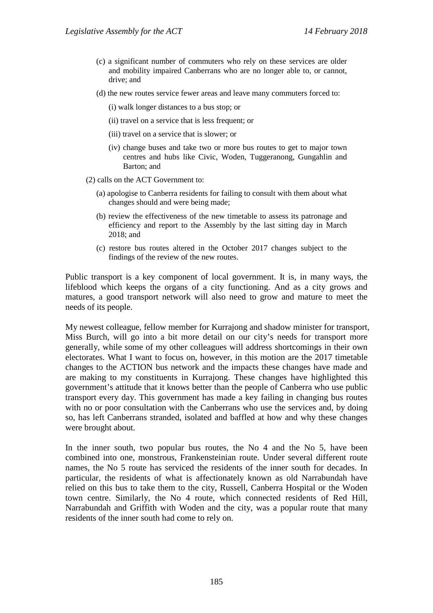- (c) a significant number of commuters who rely on these services are older and mobility impaired Canberrans who are no longer able to, or cannot, drive; and
- (d) the new routes service fewer areas and leave many commuters forced to:
	- (i) walk longer distances to a bus stop; or
	- (ii) travel on a service that is less frequent; or
	- (iii) travel on a service that is slower; or
	- (iv) change buses and take two or more bus routes to get to major town centres and hubs like Civic, Woden, Tuggeranong, Gungahlin and Barton; and
- (2) calls on the ACT Government to:
	- (a) apologise to Canberra residents for failing to consult with them about what changes should and were being made;
	- (b) review the effectiveness of the new timetable to assess its patronage and efficiency and report to the Assembly by the last sitting day in March 2018; and
	- (c) restore bus routes altered in the October 2017 changes subject to the findings of the review of the new routes.

Public transport is a key component of local government. It is, in many ways, the lifeblood which keeps the organs of a city functioning. And as a city grows and matures, a good transport network will also need to grow and mature to meet the needs of its people.

My newest colleague, fellow member for Kurrajong and shadow minister for transport, Miss Burch, will go into a bit more detail on our city's needs for transport more generally, while some of my other colleagues will address shortcomings in their own electorates. What I want to focus on, however, in this motion are the 2017 timetable changes to the ACTION bus network and the impacts these changes have made and are making to my constituents in Kurrajong. These changes have highlighted this government's attitude that it knows better than the people of Canberra who use public transport every day. This government has made a key failing in changing bus routes with no or poor consultation with the Canberrans who use the services and, by doing so, has left Canberrans stranded, isolated and baffled at how and why these changes were brought about.

In the inner south, two popular bus routes, the No 4 and the No 5, have been combined into one, monstrous, Frankensteinian route. Under several different route names, the No 5 route has serviced the residents of the inner south for decades. In particular, the residents of what is affectionately known as old Narrabundah have relied on this bus to take them to the city, Russell, Canberra Hospital or the Woden town centre. Similarly, the No 4 route, which connected residents of Red Hill, Narrabundah and Griffith with Woden and the city, was a popular route that many residents of the inner south had come to rely on.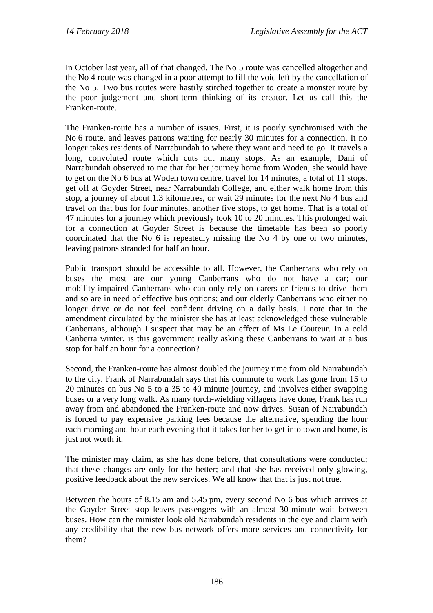In October last year, all of that changed. The No 5 route was cancelled altogether and the No 4 route was changed in a poor attempt to fill the void left by the cancellation of the No 5. Two bus routes were hastily stitched together to create a monster route by the poor judgement and short-term thinking of its creator. Let us call this the Franken-route.

The Franken-route has a number of issues. First, it is poorly synchronised with the No 6 route, and leaves patrons waiting for nearly 30 minutes for a connection. It no longer takes residents of Narrabundah to where they want and need to go. It travels a long, convoluted route which cuts out many stops. As an example, Dani of Narrabundah observed to me that for her journey home from Woden, she would have to get on the No 6 bus at Woden town centre, travel for 14 minutes, a total of 11 stops, get off at Goyder Street, near Narrabundah College, and either walk home from this stop, a journey of about 1.3 kilometres, or wait 29 minutes for the next No 4 bus and travel on that bus for four minutes, another five stops, to get home. That is a total of 47 minutes for a journey which previously took 10 to 20 minutes. This prolonged wait for a connection at Goyder Street is because the timetable has been so poorly coordinated that the No 6 is repeatedly missing the No 4 by one or two minutes, leaving patrons stranded for half an hour.

Public transport should be accessible to all. However, the Canberrans who rely on buses the most are our young Canberrans who do not have a car; our mobility-impaired Canberrans who can only rely on carers or friends to drive them and so are in need of effective bus options; and our elderly Canberrans who either no longer drive or do not feel confident driving on a daily basis. I note that in the amendment circulated by the minister she has at least acknowledged these vulnerable Canberrans, although I suspect that may be an effect of Ms Le Couteur. In a cold Canberra winter, is this government really asking these Canberrans to wait at a bus stop for half an hour for a connection?

Second, the Franken-route has almost doubled the journey time from old Narrabundah to the city. Frank of Narrabundah says that his commute to work has gone from 15 to 20 minutes on bus No 5 to a 35 to 40 minute journey, and involves either swapping buses or a very long walk. As many torch-wielding villagers have done, Frank has run away from and abandoned the Franken-route and now drives. Susan of Narrabundah is forced to pay expensive parking fees because the alternative, spending the hour each morning and hour each evening that it takes for her to get into town and home, is just not worth it.

The minister may claim, as she has done before, that consultations were conducted; that these changes are only for the better; and that she has received only glowing, positive feedback about the new services. We all know that that is just not true.

Between the hours of 8.15 am and 5.45 pm, every second No 6 bus which arrives at the Goyder Street stop leaves passengers with an almost 30-minute wait between buses. How can the minister look old Narrabundah residents in the eye and claim with any credibility that the new bus network offers more services and connectivity for them?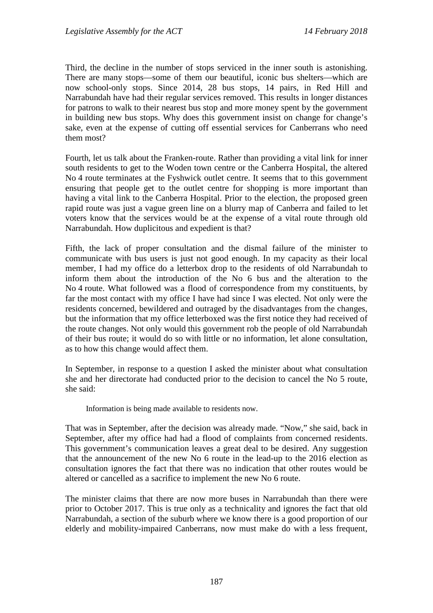Third, the decline in the number of stops serviced in the inner south is astonishing. There are many stops—some of them our beautiful, iconic bus shelters—which are now school-only stops. Since 2014, 28 bus stops, 14 pairs, in Red Hill and Narrabundah have had their regular services removed. This results in longer distances for patrons to walk to their nearest bus stop and more money spent by the government in building new bus stops. Why does this government insist on change for change's sake, even at the expense of cutting off essential services for Canberrans who need them most?

Fourth, let us talk about the Franken-route. Rather than providing a vital link for inner south residents to get to the Woden town centre or the Canberra Hospital, the altered No 4 route terminates at the Fyshwick outlet centre. It seems that to this government ensuring that people get to the outlet centre for shopping is more important than having a vital link to the Canberra Hospital. Prior to the election, the proposed green rapid route was just a vague green line on a blurry map of Canberra and failed to let voters know that the services would be at the expense of a vital route through old Narrabundah. How duplicitous and expedient is that?

Fifth, the lack of proper consultation and the dismal failure of the minister to communicate with bus users is just not good enough. In my capacity as their local member, I had my office do a letterbox drop to the residents of old Narrabundah to inform them about the introduction of the No 6 bus and the alteration to the No 4 route. What followed was a flood of correspondence from my constituents, by far the most contact with my office I have had since I was elected. Not only were the residents concerned, bewildered and outraged by the disadvantages from the changes, but the information that my office letterboxed was the first notice they had received of the route changes. Not only would this government rob the people of old Narrabundah of their bus route; it would do so with little or no information, let alone consultation, as to how this change would affect them.

In September, in response to a question I asked the minister about what consultation she and her directorate had conducted prior to the decision to cancel the No 5 route, she said:

Information is being made available to residents now.

That was in September, after the decision was already made. "Now," she said, back in September, after my office had had a flood of complaints from concerned residents. This government's communication leaves a great deal to be desired. Any suggestion that the announcement of the new No 6 route in the lead-up to the 2016 election as consultation ignores the fact that there was no indication that other routes would be altered or cancelled as a sacrifice to implement the new No 6 route.

The minister claims that there are now more buses in Narrabundah than there were prior to October 2017. This is true only as a technicality and ignores the fact that old Narrabundah, a section of the suburb where we know there is a good proportion of our elderly and mobility-impaired Canberrans, now must make do with a less frequent,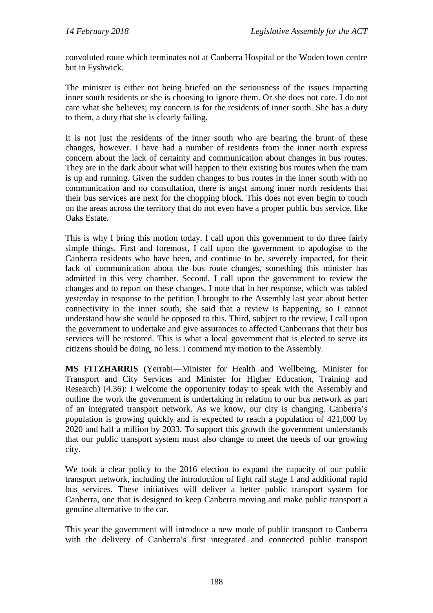convoluted route which terminates not at Canberra Hospital or the Woden town centre but in Fyshwick.

The minister is either not being briefed on the seriousness of the issues impacting inner south residents or she is choosing to ignore them. Or she does not care. I do not care what she believes; my concern is for the residents of inner south. She has a duty to them, a duty that she is clearly failing.

It is not just the residents of the inner south who are bearing the brunt of these changes, however. I have had a number of residents from the inner north express concern about the lack of certainty and communication about changes in bus routes. They are in the dark about what will happen to their existing bus routes when the tram is up and running. Given the sudden changes to bus routes in the inner south with no communication and no consultation, there is angst among inner north residents that their bus services are next for the chopping block. This does not even begin to touch on the areas across the territory that do not even have a proper public bus service, like Oaks Estate.

This is why I bring this motion today. I call upon this government to do three fairly simple things. First and foremost, I call upon the government to apologise to the Canberra residents who have been, and continue to be, severely impacted, for their lack of communication about the bus route changes, something this minister has admitted in this very chamber. Second, I call upon the government to review the changes and to report on these changes. I note that in her response, which was tabled yesterday in response to the petition I brought to the Assembly last year about better connectivity in the inner south, she said that a review is happening, so I cannot understand how she would be opposed to this. Third, subject to the review, I call upon the government to undertake and give assurances to affected Canberrans that their bus services will be restored. This is what a local government that is elected to serve its citizens should be doing, no less. I commend my motion to the Assembly.

**MS FITZHARRIS** (Yerrabi—Minister for Health and Wellbeing, Minister for Transport and City Services and Minister for Higher Education, Training and Research) (4.36): I welcome the opportunity today to speak with the Assembly and outline the work the government is undertaking in relation to our bus network as part of an integrated transport network. As we know, our city is changing. Canberra's population is growing quickly and is expected to reach a population of 421,000 by 2020 and half a million by 2033. To support this growth the government understands that our public transport system must also change to meet the needs of our growing city.

We took a clear policy to the 2016 election to expand the capacity of our public transport network, including the introduction of light rail stage 1 and additional rapid bus services. These initiatives will deliver a better public transport system for Canberra, one that is designed to keep Canberra moving and make public transport a genuine alternative to the car.

This year the government will introduce a new mode of public transport to Canberra with the delivery of Canberra's first integrated and connected public transport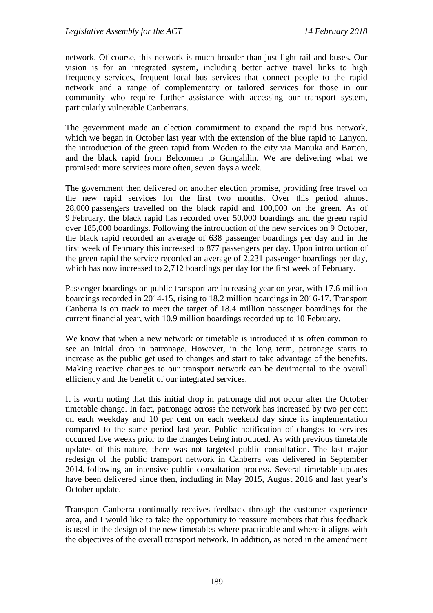network. Of course, this network is much broader than just light rail and buses. Our vision is for an integrated system, including better active travel links to high frequency services, frequent local bus services that connect people to the rapid network and a range of complementary or tailored services for those in our community who require further assistance with accessing our transport system, particularly vulnerable Canberrans.

The government made an election commitment to expand the rapid bus network, which we began in October last year with the extension of the blue rapid to Lanyon, the introduction of the green rapid from Woden to the city via Manuka and Barton, and the black rapid from Belconnen to Gungahlin. We are delivering what we promised: more services more often, seven days a week.

The government then delivered on another election promise, providing free travel on the new rapid services for the first two months. Over this period almost 28,000 passengers travelled on the black rapid and 100,000 on the green. As of 9 February, the black rapid has recorded over 50,000 boardings and the green rapid over 185,000 boardings. Following the introduction of the new services on 9 October, the black rapid recorded an average of 638 passenger boardings per day and in the first week of February this increased to 877 passengers per day. Upon introduction of the green rapid the service recorded an average of 2,231 passenger boardings per day, which has now increased to 2,712 boardings per day for the first week of February.

Passenger boardings on public transport are increasing year on year, with 17.6 million boardings recorded in 2014-15, rising to 18.2 million boardings in 2016-17. Transport Canberra is on track to meet the target of 18.4 million passenger boardings for the current financial year, with 10.9 million boardings recorded up to 10 February.

We know that when a new network or timetable is introduced it is often common to see an initial drop in patronage. However, in the long term, patronage starts to increase as the public get used to changes and start to take advantage of the benefits. Making reactive changes to our transport network can be detrimental to the overall efficiency and the benefit of our integrated services.

It is worth noting that this initial drop in patronage did not occur after the October timetable change. In fact, patronage across the network has increased by two per cent on each weekday and 10 per cent on each weekend day since its implementation compared to the same period last year. Public notification of changes to services occurred five weeks prior to the changes being introduced. As with previous timetable updates of this nature, there was not targeted public consultation. The last major redesign of the public transport network in Canberra was delivered in September 2014, following an intensive public consultation process. Several timetable updates have been delivered since then, including in May 2015, August 2016 and last year's October update.

Transport Canberra continually receives feedback through the customer experience area, and I would like to take the opportunity to reassure members that this feedback is used in the design of the new timetables where practicable and where it aligns with the objectives of the overall transport network. In addition, as noted in the amendment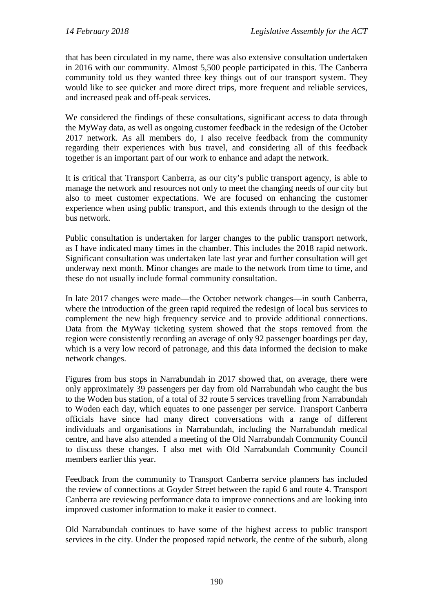that has been circulated in my name, there was also extensive consultation undertaken in 2016 with our community. Almost 5,500 people participated in this. The Canberra community told us they wanted three key things out of our transport system. They would like to see quicker and more direct trips, more frequent and reliable services, and increased peak and off-peak services.

We considered the findings of these consultations, significant access to data through the MyWay data, as well as ongoing customer feedback in the redesign of the October 2017 network. As all members do, I also receive feedback from the community regarding their experiences with bus travel, and considering all of this feedback together is an important part of our work to enhance and adapt the network.

It is critical that Transport Canberra, as our city's public transport agency, is able to manage the network and resources not only to meet the changing needs of our city but also to meet customer expectations. We are focused on enhancing the customer experience when using public transport, and this extends through to the design of the bus network.

Public consultation is undertaken for larger changes to the public transport network, as I have indicated many times in the chamber. This includes the 2018 rapid network. Significant consultation was undertaken late last year and further consultation will get underway next month. Minor changes are made to the network from time to time, and these do not usually include formal community consultation.

In late 2017 changes were made—the October network changes—in south Canberra, where the introduction of the green rapid required the redesign of local bus services to complement the new high frequency service and to provide additional connections. Data from the MyWay ticketing system showed that the stops removed from the region were consistently recording an average of only 92 passenger boardings per day, which is a very low record of patronage, and this data informed the decision to make network changes.

Figures from bus stops in Narrabundah in 2017 showed that, on average, there were only approximately 39 passengers per day from old Narrabundah who caught the bus to the Woden bus station, of a total of 32 route 5 services travelling from Narrabundah to Woden each day, which equates to one passenger per service. Transport Canberra officials have since had many direct conversations with a range of different individuals and organisations in Narrabundah, including the Narrabundah medical centre, and have also attended a meeting of the Old Narrabundah Community Council to discuss these changes. I also met with Old Narrabundah Community Council members earlier this year.

Feedback from the community to Transport Canberra service planners has included the review of connections at Goyder Street between the rapid 6 and route 4. Transport Canberra are reviewing performance data to improve connections and are looking into improved customer information to make it easier to connect.

Old Narrabundah continues to have some of the highest access to public transport services in the city. Under the proposed rapid network, the centre of the suburb, along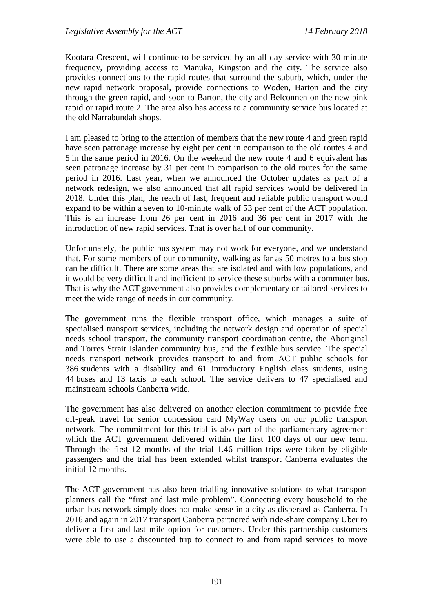Kootara Crescent, will continue to be serviced by an all-day service with 30-minute frequency, providing access to Manuka, Kingston and the city. The service also provides connections to the rapid routes that surround the suburb, which, under the new rapid network proposal, provide connections to Woden, Barton and the city through the green rapid, and soon to Barton, the city and Belconnen on the new pink rapid or rapid route 2. The area also has access to a community service bus located at the old Narrabundah shops.

I am pleased to bring to the attention of members that the new route 4 and green rapid have seen patronage increase by eight per cent in comparison to the old routes 4 and 5 in the same period in 2016. On the weekend the new route 4 and 6 equivalent has seen patronage increase by 31 per cent in comparison to the old routes for the same period in 2016. Last year, when we announced the October updates as part of a network redesign, we also announced that all rapid services would be delivered in 2018. Under this plan, the reach of fast, frequent and reliable public transport would expand to be within a seven to 10-minute walk of 53 per cent of the ACT population. This is an increase from 26 per cent in 2016 and 36 per cent in 2017 with the introduction of new rapid services. That is over half of our community.

Unfortunately, the public bus system may not work for everyone, and we understand that. For some members of our community, walking as far as 50 metres to a bus stop can be difficult. There are some areas that are isolated and with low populations, and it would be very difficult and inefficient to service these suburbs with a commuter bus. That is why the ACT government also provides complementary or tailored services to meet the wide range of needs in our community.

The government runs the flexible transport office, which manages a suite of specialised transport services, including the network design and operation of special needs school transport, the community transport coordination centre, the Aboriginal and Torres Strait Islander community bus, and the flexible bus service. The special needs transport network provides transport to and from ACT public schools for 386 students with a disability and 61 introductory English class students, using 44 buses and 13 taxis to each school. The service delivers to 47 specialised and mainstream schools Canberra wide.

The government has also delivered on another election commitment to provide free off-peak travel for senior concession card MyWay users on our public transport network. The commitment for this trial is also part of the parliamentary agreement which the ACT government delivered within the first 100 days of our new term. Through the first 12 months of the trial 1.46 million trips were taken by eligible passengers and the trial has been extended whilst transport Canberra evaluates the initial 12 months.

The ACT government has also been trialling innovative solutions to what transport planners call the "first and last mile problem". Connecting every household to the urban bus network simply does not make sense in a city as dispersed as Canberra. In 2016 and again in 2017 transport Canberra partnered with ride-share company Uber to deliver a first and last mile option for customers. Under this partnership customers were able to use a discounted trip to connect to and from rapid services to move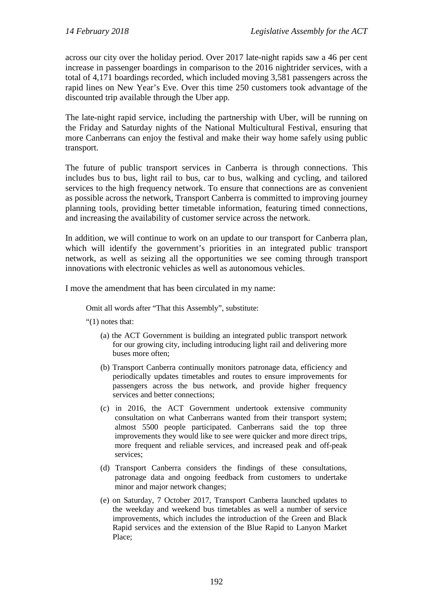across our city over the holiday period. Over 2017 late-night rapids saw a 46 per cent increase in passenger boardings in comparison to the 2016 nightrider services, with a total of 4,171 boardings recorded, which included moving 3,581 passengers across the rapid lines on New Year's Eve. Over this time 250 customers took advantage of the discounted trip available through the Uber app.

The late-night rapid service, including the partnership with Uber, will be running on the Friday and Saturday nights of the National Multicultural Festival, ensuring that more Canberrans can enjoy the festival and make their way home safely using public transport.

The future of public transport services in Canberra is through connections. This includes bus to bus, light rail to bus, car to bus, walking and cycling, and tailored services to the high frequency network. To ensure that connections are as convenient as possible across the network, Transport Canberra is committed to improving journey planning tools, providing better timetable information, featuring timed connections, and increasing the availability of customer service across the network.

In addition, we will continue to work on an update to our transport for Canberra plan, which will identify the government's priorities in an integrated public transport network, as well as seizing all the opportunities we see coming through transport innovations with electronic vehicles as well as autonomous vehicles.

I move the amendment that has been circulated in my name:

Omit all words after "That this Assembly", substitute:

"(1) notes that:

- (a) the ACT Government is building an integrated public transport network for our growing city, including introducing light rail and delivering more buses more often;
- (b) Transport Canberra continually monitors patronage data, efficiency and periodically updates timetables and routes to ensure improvements for passengers across the bus network, and provide higher frequency services and better connections;
- (c) in 2016, the ACT Government undertook extensive community consultation on what Canberrans wanted from their transport system; almost 5500 people participated. Canberrans said the top three improvements they would like to see were quicker and more direct trips, more frequent and reliable services, and increased peak and off-peak services;
- (d) Transport Canberra considers the findings of these consultations, patronage data and ongoing feedback from customers to undertake minor and major network changes;
- (e) on Saturday, 7 October 2017, Transport Canberra launched updates to the weekday and weekend bus timetables as well a number of service improvements, which includes the introduction of the Green and Black Rapid services and the extension of the Blue Rapid to Lanyon Market Place;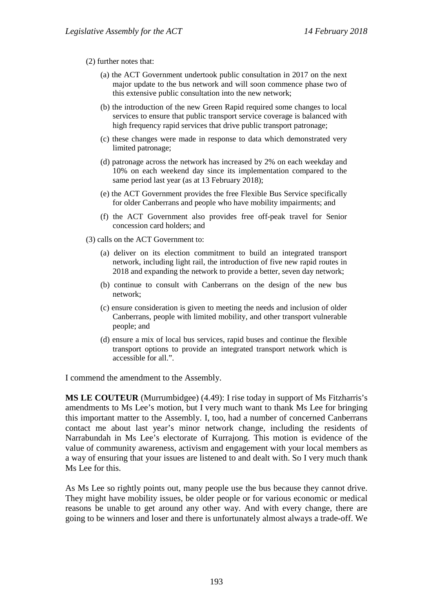## (2) further notes that:

- (a) the ACT Government undertook public consultation in 2017 on the next major update to the bus network and will soon commence phase two of this extensive public consultation into the new network;
- (b) the introduction of the new Green Rapid required some changes to local services to ensure that public transport service coverage is balanced with high frequency rapid services that drive public transport patronage;
- (c) these changes were made in response to data which demonstrated very limited patronage;
- (d) patronage across the network has increased by 2% on each weekday and 10% on each weekend day since its implementation compared to the same period last year (as at 13 February 2018);
- (e) the ACT Government provides the free Flexible Bus Service specifically for older Canberrans and people who have mobility impairments; and
- (f) the ACT Government also provides free off-peak travel for Senior concession card holders; and
- (3) calls on the ACT Government to:
	- (a) deliver on its election commitment to build an integrated transport network, including light rail, the introduction of five new rapid routes in 2018 and expanding the network to provide a better, seven day network;
	- (b) continue to consult with Canberrans on the design of the new bus network;
	- (c) ensure consideration is given to meeting the needs and inclusion of older Canberrans, people with limited mobility, and other transport vulnerable people; and
	- (d) ensure a mix of local bus services, rapid buses and continue the flexible transport options to provide an integrated transport network which is accessible for all.".

I commend the amendment to the Assembly.

**MS LE COUTEUR** (Murrumbidgee) (4.49): I rise today in support of Ms Fitzharris's amendments to Ms Lee's motion, but I very much want to thank Ms Lee for bringing this important matter to the Assembly. I, too, had a number of concerned Canberrans contact me about last year's minor network change, including the residents of Narrabundah in Ms Lee's electorate of Kurrajong. This motion is evidence of the value of community awareness, activism and engagement with your local members as a way of ensuring that your issues are listened to and dealt with. So I very much thank Ms Lee for this.

As Ms Lee so rightly points out, many people use the bus because they cannot drive. They might have mobility issues, be older people or for various economic or medical reasons be unable to get around any other way. And with every change, there are going to be winners and loser and there is unfortunately almost always a trade-off. We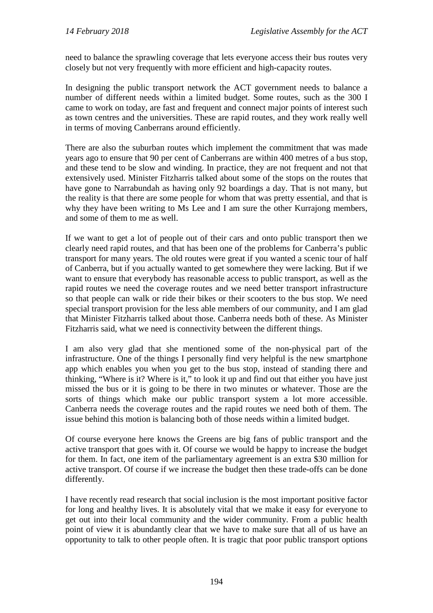need to balance the sprawling coverage that lets everyone access their bus routes very closely but not very frequently with more efficient and high-capacity routes.

In designing the public transport network the ACT government needs to balance a number of different needs within a limited budget. Some routes, such as the 300 I came to work on today, are fast and frequent and connect major points of interest such as town centres and the universities. These are rapid routes, and they work really well in terms of moving Canberrans around efficiently.

There are also the suburban routes which implement the commitment that was made years ago to ensure that 90 per cent of Canberrans are within 400 metres of a bus stop, and these tend to be slow and winding. In practice, they are not frequent and not that extensively used. Minister Fitzharris talked about some of the stops on the routes that have gone to Narrabundah as having only 92 boardings a day. That is not many, but the reality is that there are some people for whom that was pretty essential, and that is why they have been writing to Ms Lee and I am sure the other Kurrajong members, and some of them to me as well.

If we want to get a lot of people out of their cars and onto public transport then we clearly need rapid routes, and that has been one of the problems for Canberra's public transport for many years. The old routes were great if you wanted a scenic tour of half of Canberra, but if you actually wanted to get somewhere they were lacking. But if we want to ensure that everybody has reasonable access to public transport, as well as the rapid routes we need the coverage routes and we need better transport infrastructure so that people can walk or ride their bikes or their scooters to the bus stop. We need special transport provision for the less able members of our community, and I am glad that Minister Fitzharris talked about those. Canberra needs both of these. As Minister Fitzharris said, what we need is connectivity between the different things.

I am also very glad that she mentioned some of the non-physical part of the infrastructure. One of the things I personally find very helpful is the new smartphone app which enables you when you get to the bus stop, instead of standing there and thinking, "Where is it? Where is it," to look it up and find out that either you have just missed the bus or it is going to be there in two minutes or whatever. Those are the sorts of things which make our public transport system a lot more accessible. Canberra needs the coverage routes and the rapid routes we need both of them. The issue behind this motion is balancing both of those needs within a limited budget.

Of course everyone here knows the Greens are big fans of public transport and the active transport that goes with it. Of course we would be happy to increase the budget for them. In fact, one item of the parliamentary agreement is an extra \$30 million for active transport. Of course if we increase the budget then these trade-offs can be done differently.

I have recently read research that social inclusion is the most important positive factor for long and healthy lives. It is absolutely vital that we make it easy for everyone to get out into their local community and the wider community. From a public health point of view it is abundantly clear that we have to make sure that all of us have an opportunity to talk to other people often. It is tragic that poor public transport options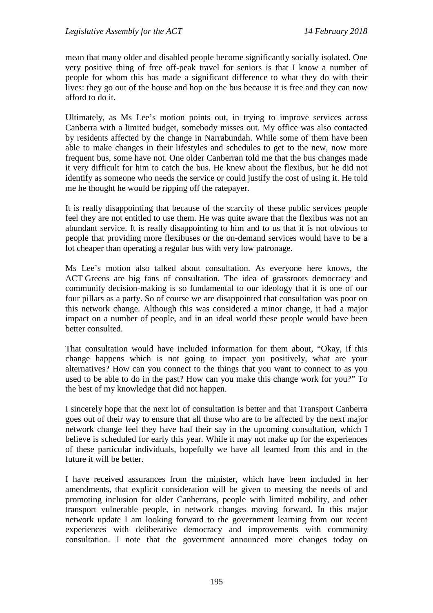mean that many older and disabled people become significantly socially isolated. One very positive thing of free off-peak travel for seniors is that I know a number of people for whom this has made a significant difference to what they do with their lives: they go out of the house and hop on the bus because it is free and they can now afford to do it.

Ultimately, as Ms Lee's motion points out, in trying to improve services across Canberra with a limited budget, somebody misses out. My office was also contacted by residents affected by the change in Narrabundah. While some of them have been able to make changes in their lifestyles and schedules to get to the new, now more frequent bus, some have not. One older Canberran told me that the bus changes made it very difficult for him to catch the bus. He knew about the flexibus, but he did not identify as someone who needs the service or could justify the cost of using it. He told me he thought he would be ripping off the ratepayer.

It is really disappointing that because of the scarcity of these public services people feel they are not entitled to use them. He was quite aware that the flexibus was not an abundant service. It is really disappointing to him and to us that it is not obvious to people that providing more flexibuses or the on-demand services would have to be a lot cheaper than operating a regular bus with very low patronage.

Ms Lee's motion also talked about consultation. As everyone here knows, the ACT Greens are big fans of consultation. The idea of grassroots democracy and community decision-making is so fundamental to our ideology that it is one of our four pillars as a party. So of course we are disappointed that consultation was poor on this network change. Although this was considered a minor change, it had a major impact on a number of people, and in an ideal world these people would have been better consulted.

That consultation would have included information for them about, "Okay, if this change happens which is not going to impact you positively, what are your alternatives? How can you connect to the things that you want to connect to as you used to be able to do in the past? How can you make this change work for you?" To the best of my knowledge that did not happen.

I sincerely hope that the next lot of consultation is better and that Transport Canberra goes out of their way to ensure that all those who are to be affected by the next major network change feel they have had their say in the upcoming consultation, which I believe is scheduled for early this year. While it may not make up for the experiences of these particular individuals, hopefully we have all learned from this and in the future it will be better.

I have received assurances from the minister, which have been included in her amendments, that explicit consideration will be given to meeting the needs of and promoting inclusion for older Canberrans, people with limited mobility, and other transport vulnerable people, in network changes moving forward. In this major network update I am looking forward to the government learning from our recent experiences with deliberative democracy and improvements with community consultation. I note that the government announced more changes today on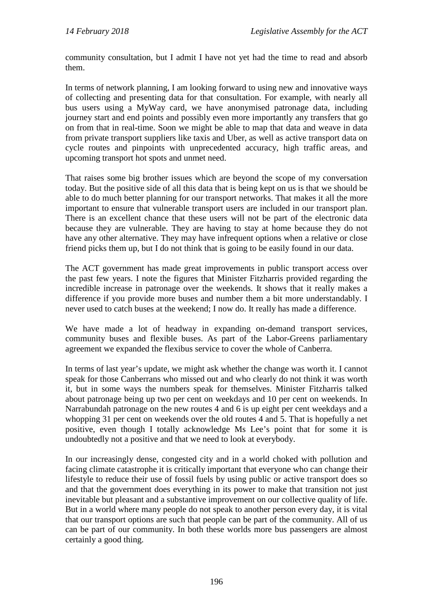community consultation, but I admit I have not yet had the time to read and absorb them.

In terms of network planning, I am looking forward to using new and innovative ways of collecting and presenting data for that consultation. For example, with nearly all bus users using a MyWay card, we have anonymised patronage data, including journey start and end points and possibly even more importantly any transfers that go on from that in real-time. Soon we might be able to map that data and weave in data from private transport suppliers like taxis and Uber, as well as active transport data on cycle routes and pinpoints with unprecedented accuracy, high traffic areas, and upcoming transport hot spots and unmet need.

That raises some big brother issues which are beyond the scope of my conversation today. But the positive side of all this data that is being kept on us is that we should be able to do much better planning for our transport networks. That makes it all the more important to ensure that vulnerable transport users are included in our transport plan. There is an excellent chance that these users will not be part of the electronic data because they are vulnerable. They are having to stay at home because they do not have any other alternative. They may have infrequent options when a relative or close friend picks them up, but I do not think that is going to be easily found in our data.

The ACT government has made great improvements in public transport access over the past few years. I note the figures that Minister Fitzharris provided regarding the incredible increase in patronage over the weekends. It shows that it really makes a difference if you provide more buses and number them a bit more understandably. I never used to catch buses at the weekend; I now do. It really has made a difference.

We have made a lot of headway in expanding on-demand transport services, community buses and flexible buses. As part of the Labor-Greens parliamentary agreement we expanded the flexibus service to cover the whole of Canberra.

In terms of last year's update, we might ask whether the change was worth it. I cannot speak for those Canberrans who missed out and who clearly do not think it was worth it, but in some ways the numbers speak for themselves. Minister Fitzharris talked about patronage being up two per cent on weekdays and 10 per cent on weekends. In Narrabundah patronage on the new routes 4 and 6 is up eight per cent weekdays and a whopping 31 per cent on weekends over the old routes 4 and 5. That is hopefully a net positive, even though I totally acknowledge Ms Lee's point that for some it is undoubtedly not a positive and that we need to look at everybody.

In our increasingly dense, congested city and in a world choked with pollution and facing climate catastrophe it is critically important that everyone who can change their lifestyle to reduce their use of fossil fuels by using public or active transport does so and that the government does everything in its power to make that transition not just inevitable but pleasant and a substantive improvement on our collective quality of life. But in a world where many people do not speak to another person every day, it is vital that our transport options are such that people can be part of the community. All of us can be part of our community. In both these worlds more bus passengers are almost certainly a good thing.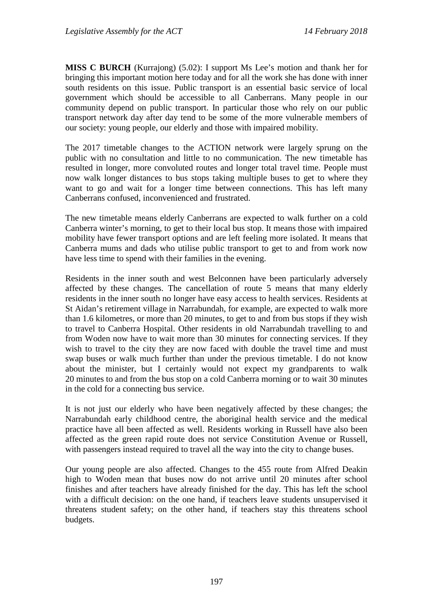**MISS C BURCH** (Kurrajong) (5.02): I support Ms Lee's motion and thank her for bringing this important motion here today and for all the work she has done with inner south residents on this issue. Public transport is an essential basic service of local government which should be accessible to all Canberrans. Many people in our community depend on public transport. In particular those who rely on our public transport network day after day tend to be some of the more vulnerable members of our society: young people, our elderly and those with impaired mobility.

The 2017 timetable changes to the ACTION network were largely sprung on the public with no consultation and little to no communication. The new timetable has resulted in longer, more convoluted routes and longer total travel time. People must now walk longer distances to bus stops taking multiple buses to get to where they want to go and wait for a longer time between connections. This has left many Canberrans confused, inconvenienced and frustrated.

The new timetable means elderly Canberrans are expected to walk further on a cold Canberra winter's morning, to get to their local bus stop. It means those with impaired mobility have fewer transport options and are left feeling more isolated. It means that Canberra mums and dads who utilise public transport to get to and from work now have less time to spend with their families in the evening.

Residents in the inner south and west Belconnen have been particularly adversely affected by these changes. The cancellation of route 5 means that many elderly residents in the inner south no longer have easy access to health services. Residents at St Aidan's retirement village in Narrabundah, for example, are expected to walk more than 1.6 kilometres, or more than 20 minutes, to get to and from bus stops if they wish to travel to Canberra Hospital. Other residents in old Narrabundah travelling to and from Woden now have to wait more than 30 minutes for connecting services. If they wish to travel to the city they are now faced with double the travel time and must swap buses or walk much further than under the previous timetable. I do not know about the minister, but I certainly would not expect my grandparents to walk 20 minutes to and from the bus stop on a cold Canberra morning or to wait 30 minutes in the cold for a connecting bus service.

It is not just our elderly who have been negatively affected by these changes; the Narrabundah early childhood centre, the aboriginal health service and the medical practice have all been affected as well. Residents working in Russell have also been affected as the green rapid route does not service Constitution Avenue or Russell, with passengers instead required to travel all the way into the city to change buses.

Our young people are also affected. Changes to the 455 route from Alfred Deakin high to Woden mean that buses now do not arrive until 20 minutes after school finishes and after teachers have already finished for the day. This has left the school with a difficult decision: on the one hand, if teachers leave students unsupervised it threatens student safety; on the other hand, if teachers stay this threatens school budgets.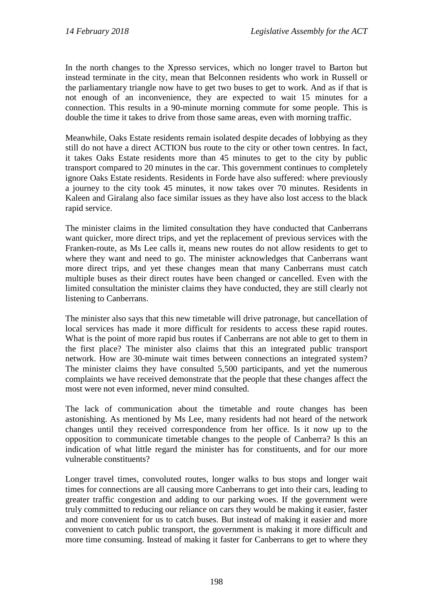In the north changes to the Xpresso services, which no longer travel to Barton but instead terminate in the city, mean that Belconnen residents who work in Russell or the parliamentary triangle now have to get two buses to get to work. And as if that is not enough of an inconvenience, they are expected to wait 15 minutes for a connection. This results in a 90-minute morning commute for some people. This is double the time it takes to drive from those same areas, even with morning traffic.

Meanwhile, Oaks Estate residents remain isolated despite decades of lobbying as they still do not have a direct ACTION bus route to the city or other town centres. In fact, it takes Oaks Estate residents more than 45 minutes to get to the city by public transport compared to 20 minutes in the car. This government continues to completely ignore Oaks Estate residents. Residents in Forde have also suffered: where previously a journey to the city took 45 minutes, it now takes over 70 minutes. Residents in Kaleen and Giralang also face similar issues as they have also lost access to the black rapid service.

The minister claims in the limited consultation they have conducted that Canberrans want quicker, more direct trips, and yet the replacement of previous services with the Franken-route, as Ms Lee calls it, means new routes do not allow residents to get to where they want and need to go. The minister acknowledges that Canberrans want more direct trips, and yet these changes mean that many Canberrans must catch multiple buses as their direct routes have been changed or cancelled. Even with the limited consultation the minister claims they have conducted, they are still clearly not listening to Canberrans.

The minister also says that this new timetable will drive patronage, but cancellation of local services has made it more difficult for residents to access these rapid routes. What is the point of more rapid bus routes if Canberrans are not able to get to them in the first place? The minister also claims that this an integrated public transport network. How are 30-minute wait times between connections an integrated system? The minister claims they have consulted 5,500 participants, and yet the numerous complaints we have received demonstrate that the people that these changes affect the most were not even informed, never mind consulted.

The lack of communication about the timetable and route changes has been astonishing. As mentioned by Ms Lee, many residents had not heard of the network changes until they received correspondence from her office. Is it now up to the opposition to communicate timetable changes to the people of Canberra? Is this an indication of what little regard the minister has for constituents, and for our more vulnerable constituents?

Longer travel times, convoluted routes, longer walks to bus stops and longer wait times for connections are all causing more Canberrans to get into their cars, leading to greater traffic congestion and adding to our parking woes. If the government were truly committed to reducing our reliance on cars they would be making it easier, faster and more convenient for us to catch buses. But instead of making it easier and more convenient to catch public transport, the government is making it more difficult and more time consuming. Instead of making it faster for Canberrans to get to where they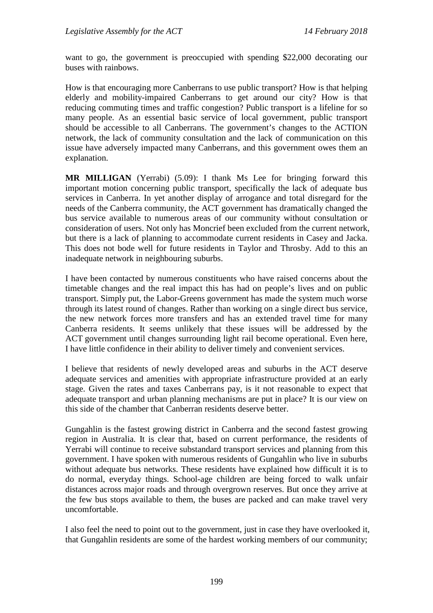want to go, the government is preoccupied with spending \$22,000 decorating our buses with rainbows.

How is that encouraging more Canberrans to use public transport? How is that helping elderly and mobility-impaired Canberrans to get around our city? How is that reducing commuting times and traffic congestion? Public transport is a lifeline for so many people. As an essential basic service of local government, public transport should be accessible to all Canberrans. The government's changes to the ACTION network, the lack of community consultation and the lack of communication on this issue have adversely impacted many Canberrans, and this government owes them an explanation.

**MR MILLIGAN** (Yerrabi) (5.09): I thank Ms Lee for bringing forward this important motion concerning public transport, specifically the lack of adequate bus services in Canberra. In yet another display of arrogance and total disregard for the needs of the Canberra community, the ACT government has dramatically changed the bus service available to numerous areas of our community without consultation or consideration of users. Not only has Moncrief been excluded from the current network, but there is a lack of planning to accommodate current residents in Casey and Jacka. This does not bode well for future residents in Taylor and Throsby. Add to this an inadequate network in neighbouring suburbs.

I have been contacted by numerous constituents who have raised concerns about the timetable changes and the real impact this has had on people's lives and on public transport. Simply put, the Labor-Greens government has made the system much worse through its latest round of changes. Rather than working on a single direct bus service, the new network forces more transfers and has an extended travel time for many Canberra residents. It seems unlikely that these issues will be addressed by the ACT government until changes surrounding light rail become operational. Even here, I have little confidence in their ability to deliver timely and convenient services.

I believe that residents of newly developed areas and suburbs in the ACT deserve adequate services and amenities with appropriate infrastructure provided at an early stage. Given the rates and taxes Canberrans pay, is it not reasonable to expect that adequate transport and urban planning mechanisms are put in place? It is our view on this side of the chamber that Canberran residents deserve better.

Gungahlin is the fastest growing district in Canberra and the second fastest growing region in Australia. It is clear that, based on current performance, the residents of Yerrabi will continue to receive substandard transport services and planning from this government. I have spoken with numerous residents of Gungahlin who live in suburbs without adequate bus networks. These residents have explained how difficult it is to do normal, everyday things. School-age children are being forced to walk unfair distances across major roads and through overgrown reserves. But once they arrive at the few bus stops available to them, the buses are packed and can make travel very uncomfortable.

I also feel the need to point out to the government, just in case they have overlooked it, that Gungahlin residents are some of the hardest working members of our community;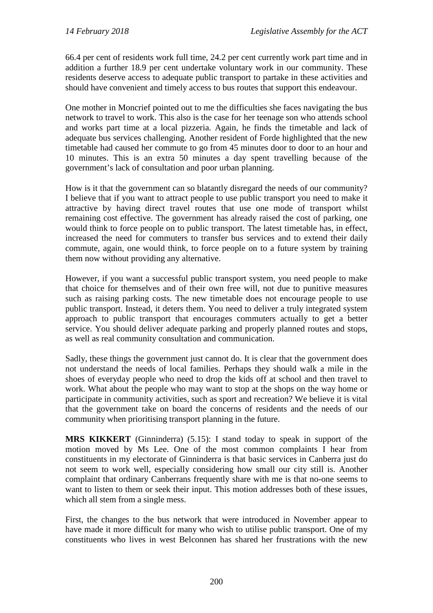66.4 per cent of residents work full time, 24.2 per cent currently work part time and in addition a further 18.9 per cent undertake voluntary work in our community. These residents deserve access to adequate public transport to partake in these activities and should have convenient and timely access to bus routes that support this endeavour.

One mother in Moncrief pointed out to me the difficulties she faces navigating the bus network to travel to work. This also is the case for her teenage son who attends school and works part time at a local pizzeria. Again, he finds the timetable and lack of adequate bus services challenging. Another resident of Forde highlighted that the new timetable had caused her commute to go from 45 minutes door to door to an hour and 10 minutes. This is an extra 50 minutes a day spent travelling because of the government's lack of consultation and poor urban planning.

How is it that the government can so blatantly disregard the needs of our community? I believe that if you want to attract people to use public transport you need to make it attractive by having direct travel routes that use one mode of transport whilst remaining cost effective. The government has already raised the cost of parking, one would think to force people on to public transport. The latest timetable has, in effect, increased the need for commuters to transfer bus services and to extend their daily commute, again, one would think, to force people on to a future system by training them now without providing any alternative.

However, if you want a successful public transport system, you need people to make that choice for themselves and of their own free will, not due to punitive measures such as raising parking costs. The new timetable does not encourage people to use public transport. Instead, it deters them. You need to deliver a truly integrated system approach to public transport that encourages commuters actually to get a better service. You should deliver adequate parking and properly planned routes and stops, as well as real community consultation and communication.

Sadly, these things the government just cannot do. It is clear that the government does not understand the needs of local families. Perhaps they should walk a mile in the shoes of everyday people who need to drop the kids off at school and then travel to work. What about the people who may want to stop at the shops on the way home or participate in community activities, such as sport and recreation? We believe it is vital that the government take on board the concerns of residents and the needs of our community when prioritising transport planning in the future.

**MRS KIKKERT** (Ginninderra) (5.15): I stand today to speak in support of the motion moved by Ms Lee. One of the most common complaints I hear from constituents in my electorate of Ginninderra is that basic services in Canberra just do not seem to work well, especially considering how small our city still is. Another complaint that ordinary Canberrans frequently share with me is that no-one seems to want to listen to them or seek their input. This motion addresses both of these issues, which all stem from a single mess.

First, the changes to the bus network that were introduced in November appear to have made it more difficult for many who wish to utilise public transport. One of my constituents who lives in west Belconnen has shared her frustrations with the new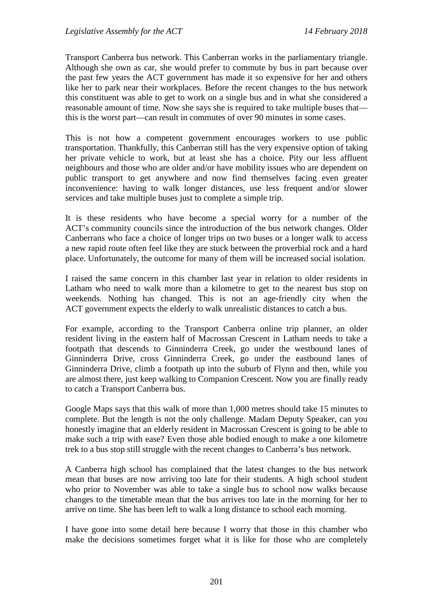Transport Canberra bus network. This Canberran works in the parliamentary triangle. Although she own as car, she would prefer to commute by bus in part because over the past few years the ACT government has made it so expensive for her and others like her to park near their workplaces. Before the recent changes to the bus network this constituent was able to get to work on a single bus and in what she considered a reasonable amount of time. Now she says she is required to take multiple buses that this is the worst part—can result in commutes of over 90 minutes in some cases.

This is not how a competent government encourages workers to use public transportation. Thankfully, this Canberran still has the very expensive option of taking her private vehicle to work, but at least she has a choice. Pity our less affluent neighbours and those who are older and/or have mobility issues who are dependent on public transport to get anywhere and now find themselves facing even greater inconvenience: having to walk longer distances, use less frequent and/or slower services and take multiple buses just to complete a simple trip.

It is these residents who have become a special worry for a number of the ACT's community councils since the introduction of the bus network changes. Older Canberrans who face a choice of longer trips on two buses or a longer walk to access a new rapid route often feel like they are stuck between the proverbial rock and a hard place. Unfortunately, the outcome for many of them will be increased social isolation.

I raised the same concern in this chamber last year in relation to older residents in Latham who need to walk more than a kilometre to get to the nearest bus stop on weekends. Nothing has changed. This is not an age-friendly city when the ACT government expects the elderly to walk unrealistic distances to catch a bus.

For example, according to the Transport Canberra online trip planner, an older resident living in the eastern half of Macrossan Crescent in Latham needs to take a footpath that descends to Ginninderra Creek, go under the westbound lanes of Ginninderra Drive, cross Ginninderra Creek, go under the eastbound lanes of Ginninderra Drive, climb a footpath up into the suburb of Flynn and then, while you are almost there, just keep walking to Companion Crescent. Now you are finally ready to catch a Transport Canberra bus.

Google Maps says that this walk of more than 1,000 metres should take 15 minutes to complete. But the length is not the only challenge. Madam Deputy Speaker, can you honestly imagine that an elderly resident in Macrossan Crescent is going to be able to make such a trip with ease? Even those able bodied enough to make a one kilometre trek to a bus stop still struggle with the recent changes to Canberra's bus network.

A Canberra high school has complained that the latest changes to the bus network mean that buses are now arriving too late for their students. A high school student who prior to November was able to take a single bus to school now walks because changes to the timetable mean that the bus arrives too late in the morning for her to arrive on time. She has been left to walk a long distance to school each morning.

I have gone into some detail here because I worry that those in this chamber who make the decisions sometimes forget what it is like for those who are completely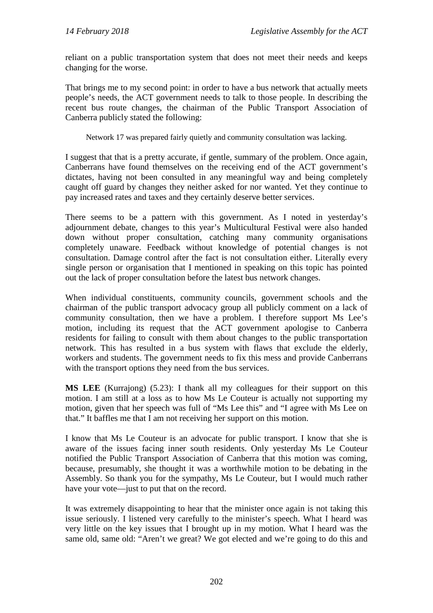reliant on a public transportation system that does not meet their needs and keeps changing for the worse.

That brings me to my second point: in order to have a bus network that actually meets people's needs, the ACT government needs to talk to those people. In describing the recent bus route changes, the chairman of the Public Transport Association of Canberra publicly stated the following:

Network 17 was prepared fairly quietly and community consultation was lacking.

I suggest that that is a pretty accurate, if gentle, summary of the problem. Once again, Canberrans have found themselves on the receiving end of the ACT government's dictates, having not been consulted in any meaningful way and being completely caught off guard by changes they neither asked for nor wanted. Yet they continue to pay increased rates and taxes and they certainly deserve better services.

There seems to be a pattern with this government. As I noted in yesterday's adjournment debate, changes to this year's Multicultural Festival were also handed down without proper consultation, catching many community organisations completely unaware. Feedback without knowledge of potential changes is not consultation. Damage control after the fact is not consultation either. Literally every single person or organisation that I mentioned in speaking on this topic has pointed out the lack of proper consultation before the latest bus network changes.

When individual constituents, community councils, government schools and the chairman of the public transport advocacy group all publicly comment on a lack of community consultation, then we have a problem. I therefore support Ms Lee's motion, including its request that the ACT government apologise to Canberra residents for failing to consult with them about changes to the public transportation network. This has resulted in a bus system with flaws that exclude the elderly, workers and students. The government needs to fix this mess and provide Canberrans with the transport options they need from the bus services.

**MS LEE** (Kurrajong) (5.23): I thank all my colleagues for their support on this motion. I am still at a loss as to how Ms Le Couteur is actually not supporting my motion, given that her speech was full of "Ms Lee this" and "I agree with Ms Lee on that." It baffles me that I am not receiving her support on this motion.

I know that Ms Le Couteur is an advocate for public transport. I know that she is aware of the issues facing inner south residents. Only yesterday Ms Le Couteur notified the Public Transport Association of Canberra that this motion was coming, because, presumably, she thought it was a worthwhile motion to be debating in the Assembly. So thank you for the sympathy, Ms Le Couteur, but I would much rather have your vote—just to put that on the record.

It was extremely disappointing to hear that the minister once again is not taking this issue seriously. I listened very carefully to the minister's speech. What I heard was very little on the key issues that I brought up in my motion. What I heard was the same old, same old: "Aren't we great? We got elected and we're going to do this and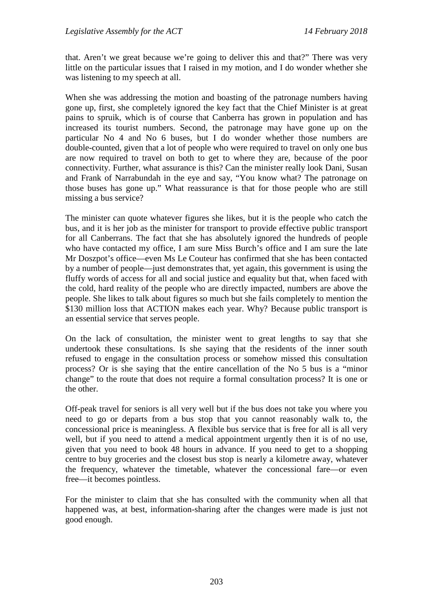that. Aren't we great because we're going to deliver this and that?" There was very little on the particular issues that I raised in my motion, and I do wonder whether she was listening to my speech at all.

When she was addressing the motion and boasting of the patronage numbers having gone up, first, she completely ignored the key fact that the Chief Minister is at great pains to spruik, which is of course that Canberra has grown in population and has increased its tourist numbers. Second, the patronage may have gone up on the particular No 4 and No 6 buses, but I do wonder whether those numbers are double-counted, given that a lot of people who were required to travel on only one bus are now required to travel on both to get to where they are, because of the poor connectivity. Further, what assurance is this? Can the minister really look Dani, Susan and Frank of Narrabundah in the eye and say, "You know what? The patronage on those buses has gone up." What reassurance is that for those people who are still missing a bus service?

The minister can quote whatever figures she likes, but it is the people who catch the bus, and it is her job as the minister for transport to provide effective public transport for all Canberrans. The fact that she has absolutely ignored the hundreds of people who have contacted my office, I am sure Miss Burch's office and I am sure the late Mr Doszpot's office—even Ms Le Couteur has confirmed that she has been contacted by a number of people—just demonstrates that, yet again, this government is using the fluffy words of access for all and social justice and equality but that, when faced with the cold, hard reality of the people who are directly impacted, numbers are above the people. She likes to talk about figures so much but she fails completely to mention the \$130 million loss that ACTION makes each year. Why? Because public transport is an essential service that serves people.

On the lack of consultation, the minister went to great lengths to say that she undertook these consultations. Is she saying that the residents of the inner south refused to engage in the consultation process or somehow missed this consultation process? Or is she saying that the entire cancellation of the No 5 bus is a "minor change" to the route that does not require a formal consultation process? It is one or the other.

Off-peak travel for seniors is all very well but if the bus does not take you where you need to go or departs from a bus stop that you cannot reasonably walk to, the concessional price is meaningless. A flexible bus service that is free for all is all very well, but if you need to attend a medical appointment urgently then it is of no use, given that you need to book 48 hours in advance. If you need to get to a shopping centre to buy groceries and the closest bus stop is nearly a kilometre away, whatever the frequency, whatever the timetable, whatever the concessional fare—or even free—it becomes pointless.

For the minister to claim that she has consulted with the community when all that happened was, at best, information-sharing after the changes were made is just not good enough.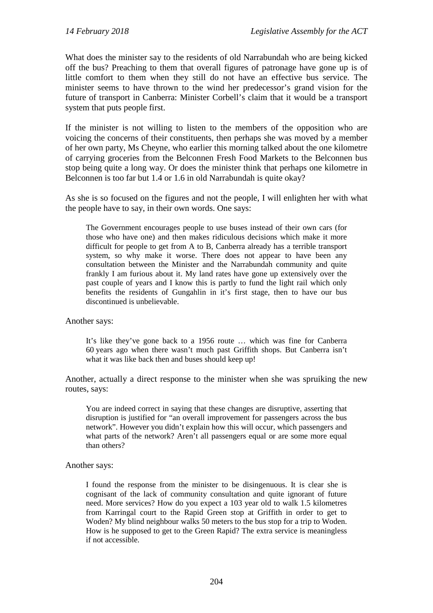What does the minister say to the residents of old Narrabundah who are being kicked off the bus? Preaching to them that overall figures of patronage have gone up is of little comfort to them when they still do not have an effective bus service. The minister seems to have thrown to the wind her predecessor's grand vision for the future of transport in Canberra: Minister Corbell's claim that it would be a transport system that puts people first.

If the minister is not willing to listen to the members of the opposition who are voicing the concerns of their constituents, then perhaps she was moved by a member of her own party, Ms Cheyne, who earlier this morning talked about the one kilometre of carrying groceries from the Belconnen Fresh Food Markets to the Belconnen bus stop being quite a long way. Or does the minister think that perhaps one kilometre in Belconnen is too far but 1.4 or 1.6 in old Narrabundah is quite okay?

As she is so focused on the figures and not the people, I will enlighten her with what the people have to say, in their own words. One says:

The Government encourages people to use buses instead of their own cars (for those who have one) and then makes ridiculous decisions which make it more difficult for people to get from A to B, Canberra already has a terrible transport system, so why make it worse. There does not appear to have been any consultation between the Minister and the Narrabundah community and quite frankly I am furious about it. My land rates have gone up extensively over the past couple of years and I know this is partly to fund the light rail which only benefits the residents of Gungahlin in it's first stage, then to have our bus discontinued is unbelievable.

Another says:

It's like they've gone back to a 1956 route … which was fine for Canberra 60 years ago when there wasn't much past Griffith shops. But Canberra isn't what it was like back then and buses should keep up!

Another, actually a direct response to the minister when she was spruiking the new routes, says:

You are indeed correct in saying that these changes are disruptive, asserting that disruption is justified for "an overall improvement for passengers across the bus network". However you didn't explain how this will occur, which passengers and what parts of the network? Aren't all passengers equal or are some more equal than others?

Another says:

I found the response from the minister to be disingenuous. It is clear she is cognisant of the lack of community consultation and quite ignorant of future need. More services? How do you expect a 103 year old to walk 1.5 kilometres from Karringal court to the Rapid Green stop at Griffith in order to get to Woden? My blind neighbour walks 50 meters to the bus stop for a trip to Woden. How is he supposed to get to the Green Rapid? The extra service is meaningless if not accessible.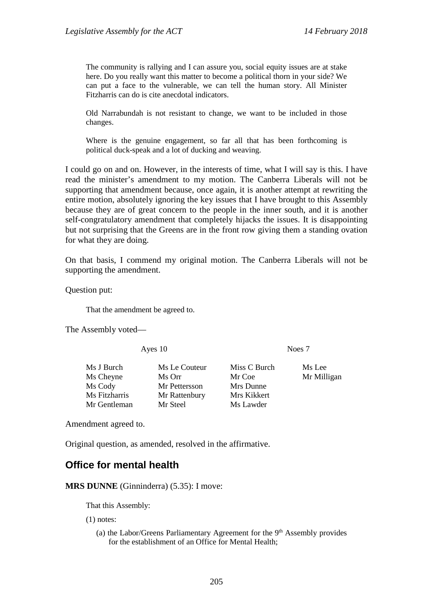The community is rallying and I can assure you, social equity issues are at stake here. Do you really want this matter to become a political thorn in your side? We can put a face to the vulnerable, we can tell the human story. All Minister Fitzharris can do is cite anecdotal indicators.

Old Narrabundah is not resistant to change, we want to be included in those changes.

Where is the genuine engagement, so far all that has been forthcoming is political duck-speak and a lot of ducking and weaving.

I could go on and on. However, in the interests of time, what I will say is this. I have read the minister's amendment to my motion. The Canberra Liberals will not be supporting that amendment because, once again, it is another attempt at rewriting the entire motion, absolutely ignoring the key issues that I have brought to this Assembly because they are of great concern to the people in the inner south, and it is another self-congratulatory amendment that completely hijacks the issues. It is disappointing but not surprising that the Greens are in the front row giving them a standing ovation for what they are doing.

On that basis, I commend my original motion. The Canberra Liberals will not be supporting the amendment.

Question put:

That the amendment be agreed to.

The Assembly voted—

Ayes 10 Noes 7

Ms J Burch Ms Le Couteur Miss C Burch Ms Lee Ms Cheyne Ms Orr Mr Coe Mr Milligan<br>
Ms Cody Mr Pettersson Mrs Dunne Mrs Mr Milligan Ms Fitzharris Mr Rattenbury Mrs Kikkert Mr Gentleman Mr Steel Ms Lawder

Mr Pettersson

Amendment agreed to.

Original question, as amended, resolved in the affirmative.

## **Office for mental health**

**MRS DUNNE** (Ginninderra) (5.35): I move:

That this Assembly:

(1) notes:

(a) the Labor/Greens Parliamentary Agreement for the  $9<sup>th</sup>$  Assembly provides for the establishment of an Office for Mental Health;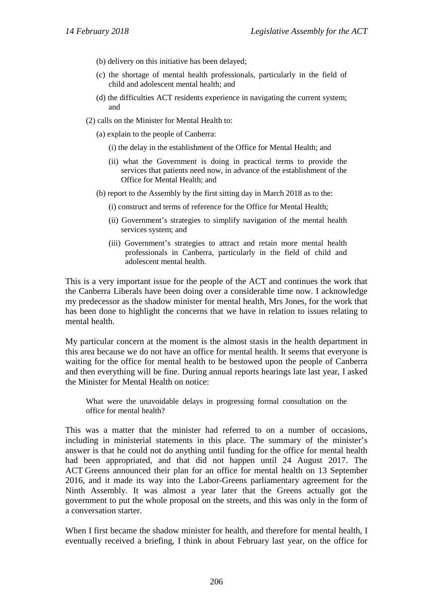- (b) delivery on this initiative has been delayed;
- (c) the shortage of mental health professionals, particularly in the field of child and adolescent mental health; and
- (d) the difficulties ACT residents experience in navigating the current system; and
- (2) calls on the Minister for Mental Health to:
	- (a) explain to the people of Canberra:
		- (i) the delay in the establishment of the Office for Mental Health; and
		- (ii) what the Government is doing in practical terms to provide the services that patients need now, in advance of the establishment of the Office for Mental Health; and
	- (b) report to the Assembly by the first sitting day in March 2018 as to the:
		- (i) construct and terms of reference for the Office for Mental Health;
		- (ii) Government's strategies to simplify navigation of the mental health services system; and
		- (iii) Government's strategies to attract and retain more mental health professionals in Canberra, particularly in the field of child and adolescent mental health.

This is a very important issue for the people of the ACT and continues the work that the Canberra Liberals have been doing over a considerable time now. I acknowledge my predecessor as the shadow minister for mental health, Mrs Jones, for the work that has been done to highlight the concerns that we have in relation to issues relating to mental health.

My particular concern at the moment is the almost stasis in the health department in this area because we do not have an office for mental health. It seems that everyone is waiting for the office for mental health to be bestowed upon the people of Canberra and then everything will be fine. During annual reports hearings late last year, I asked the Minister for Mental Health on notice:

What were the unavoidable delays in progressing formal consultation on the office for mental health?

This was a matter that the minister had referred to on a number of occasions, including in ministerial statements in this place. The summary of the minister's answer is that he could not do anything until funding for the office for mental health had been appropriated, and that did not happen until 24 August 2017. The ACT Greens announced their plan for an office for mental health on 13 September 2016, and it made its way into the Labor-Greens parliamentary agreement for the Ninth Assembly. It was almost a year later that the Greens actually got the government to put the whole proposal on the streets, and this was only in the form of a conversation starter.

When I first became the shadow minister for health, and therefore for mental health, I eventually received a briefing, I think in about February last year, on the office for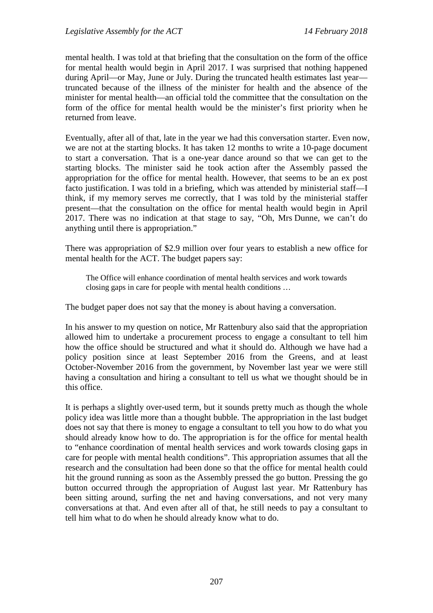mental health. I was told at that briefing that the consultation on the form of the office for mental health would begin in April 2017. I was surprised that nothing happened during April—or May, June or July. During the truncated health estimates last year truncated because of the illness of the minister for health and the absence of the minister for mental health—an official told the committee that the consultation on the form of the office for mental health would be the minister's first priority when he returned from leave.

Eventually, after all of that, late in the year we had this conversation starter. Even now, we are not at the starting blocks. It has taken 12 months to write a 10-page document to start a conversation. That is a one-year dance around so that we can get to the starting blocks. The minister said he took action after the Assembly passed the appropriation for the office for mental health. However, that seems to be an ex post facto justification. I was told in a briefing, which was attended by ministerial staff—I think, if my memory serves me correctly, that I was told by the ministerial staffer present—that the consultation on the office for mental health would begin in April 2017. There was no indication at that stage to say, "Oh, Mrs Dunne, we can't do anything until there is appropriation."

There was appropriation of \$2.9 million over four years to establish a new office for mental health for the ACT. The budget papers say:

The Office will enhance coordination of mental health services and work towards closing gaps in care for people with mental health conditions …

The budget paper does not say that the money is about having a conversation.

In his answer to my question on notice, Mr Rattenbury also said that the appropriation allowed him to undertake a procurement process to engage a consultant to tell him how the office should be structured and what it should do. Although we have had a policy position since at least September 2016 from the Greens, and at least October-November 2016 from the government, by November last year we were still having a consultation and hiring a consultant to tell us what we thought should be in this office.

It is perhaps a slightly over-used term, but it sounds pretty much as though the whole policy idea was little more than a thought bubble. The appropriation in the last budget does not say that there is money to engage a consultant to tell you how to do what you should already know how to do. The appropriation is for the office for mental health to "enhance coordination of mental health services and work towards closing gaps in care for people with mental health conditions". This appropriation assumes that all the research and the consultation had been done so that the office for mental health could hit the ground running as soon as the Assembly pressed the go button. Pressing the go button occurred through the appropriation of August last year. Mr Rattenbury has been sitting around, surfing the net and having conversations, and not very many conversations at that. And even after all of that, he still needs to pay a consultant to tell him what to do when he should already know what to do.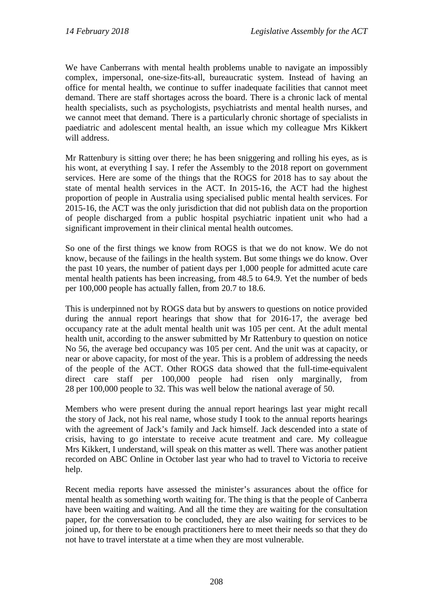We have Canberrans with mental health problems unable to navigate an impossibly complex, impersonal, one-size-fits-all, bureaucratic system. Instead of having an office for mental health, we continue to suffer inadequate facilities that cannot meet demand. There are staff shortages across the board. There is a chronic lack of mental health specialists, such as psychologists, psychiatrists and mental health nurses, and we cannot meet that demand. There is a particularly chronic shortage of specialists in paediatric and adolescent mental health, an issue which my colleague Mrs Kikkert will address.

Mr Rattenbury is sitting over there; he has been sniggering and rolling his eyes, as is his wont, at everything I say. I refer the Assembly to the 2018 report on government services. Here are some of the things that the ROGS for 2018 has to say about the state of mental health services in the ACT. In 2015-16, the ACT had the highest proportion of people in Australia using specialised public mental health services. For 2015-16, the ACT was the only jurisdiction that did not publish data on the proportion of people discharged from a public hospital psychiatric inpatient unit who had a significant improvement in their clinical mental health outcomes.

So one of the first things we know from ROGS is that we do not know. We do not know, because of the failings in the health system. But some things we do know. Over the past 10 years, the number of patient days per 1,000 people for admitted acute care mental health patients has been increasing, from 48.5 to 64.9. Yet the number of beds per 100,000 people has actually fallen, from 20.7 to 18.6.

This is underpinned not by ROGS data but by answers to questions on notice provided during the annual report hearings that show that for 2016-17, the average bed occupancy rate at the adult mental health unit was 105 per cent. At the adult mental health unit, according to the answer submitted by Mr Rattenbury to question on notice No 56, the average bed occupancy was 105 per cent. And the unit was at capacity, or near or above capacity, for most of the year. This is a problem of addressing the needs of the people of the ACT. Other ROGS data showed that the full-time-equivalent direct care staff per 100,000 people had risen only marginally, from 28 per 100,000 people to 32. This was well below the national average of 50.

Members who were present during the annual report hearings last year might recall the story of Jack, not his real name, whose study I took to the annual reports hearings with the agreement of Jack's family and Jack himself. Jack descended into a state of crisis, having to go interstate to receive acute treatment and care. My colleague Mrs Kikkert, I understand, will speak on this matter as well. There was another patient recorded on ABC Online in October last year who had to travel to Victoria to receive help.

Recent media reports have assessed the minister's assurances about the office for mental health as something worth waiting for. The thing is that the people of Canberra have been waiting and waiting. And all the time they are waiting for the consultation paper, for the conversation to be concluded, they are also waiting for services to be joined up, for there to be enough practitioners here to meet their needs so that they do not have to travel interstate at a time when they are most vulnerable.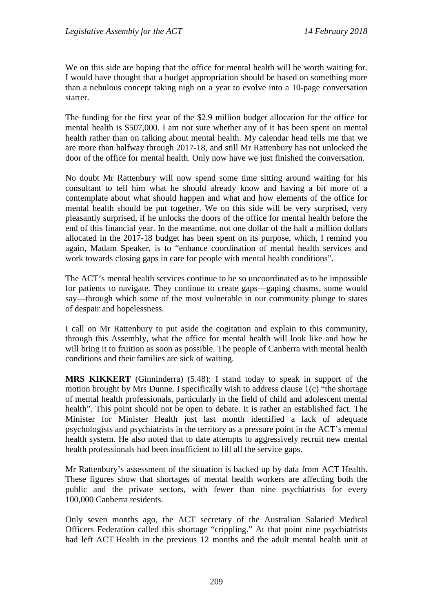We on this side are hoping that the office for mental health will be worth waiting for. I would have thought that a budget appropriation should be based on something more than a nebulous concept taking nigh on a year to evolve into a 10-page conversation starter.

The funding for the first year of the \$2.9 million budget allocation for the office for mental health is \$507,000. I am not sure whether any of it has been spent on mental health rather than on talking about mental health. My calendar head tells me that we are more than halfway through 2017-18, and still Mr Rattenbury has not unlocked the door of the office for mental health. Only now have we just finished the conversation.

No doubt Mr Rattenbury will now spend some time sitting around waiting for his consultant to tell him what he should already know and having a bit more of a contemplate about what should happen and what and how elements of the office for mental health should be put together. We on this side will be very surprised, very pleasantly surprised, if he unlocks the doors of the office for mental health before the end of this financial year. In the meantime, not one dollar of the half a million dollars allocated in the 2017-18 budget has been spent on its purpose, which, I remind you again, Madam Speaker, is to "enhance coordination of mental health services and work towards closing gaps in care for people with mental health conditions".

The ACT's mental health services continue to be so uncoordinated as to be impossible for patients to navigate. They continue to create gaps—gaping chasms, some would say—through which some of the most vulnerable in our community plunge to states of despair and hopelessness.

I call on Mr Rattenbury to put aside the cogitation and explain to this community, through this Assembly, what the office for mental health will look like and how he will bring it to fruition as soon as possible. The people of Canberra with mental health conditions and their families are sick of waiting.

**MRS KIKKERT** (Ginninderra) (5.48): I stand today to speak in support of the motion brought by Mrs Dunne. I specifically wish to address clause 1(c) "the shortage of mental health professionals, particularly in the field of child and adolescent mental health". This point should not be open to debate. It is rather an established fact. The Minister for Minister Health just last month identified a lack of adequate psychologists and psychiatrists in the territory as a pressure point in the ACT's mental health system. He also noted that to date attempts to aggressively recruit new mental health professionals had been insufficient to fill all the service gaps.

Mr Rattenbury's assessment of the situation is backed up by data from ACT Health. These figures show that shortages of mental health workers are affecting both the public and the private sectors, with fewer than nine psychiatrists for every 100,000 Canberra residents.

Only seven months ago, the ACT secretary of the Australian Salaried Medical Officers Federation called this shortage "crippling." At that point nine psychiatrists had left ACT Health in the previous 12 months and the adult mental health unit at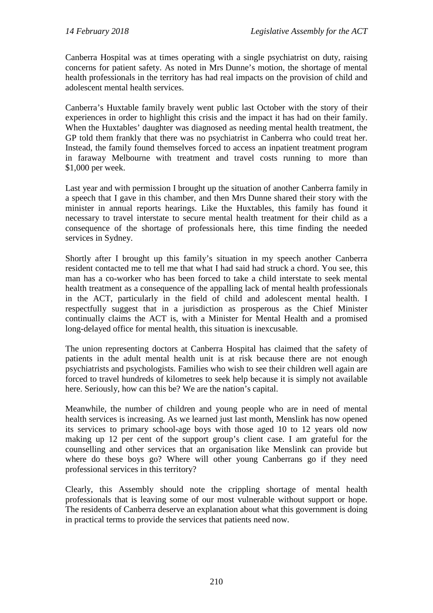Canberra Hospital was at times operating with a single psychiatrist on duty, raising concerns for patient safety. As noted in Mrs Dunne's motion, the shortage of mental health professionals in the territory has had real impacts on the provision of child and adolescent mental health services.

Canberra's Huxtable family bravely went public last October with the story of their experiences in order to highlight this crisis and the impact it has had on their family. When the Huxtables' daughter was diagnosed as needing mental health treatment, the GP told them frankly that there was no psychiatrist in Canberra who could treat her. Instead, the family found themselves forced to access an inpatient treatment program in faraway Melbourne with treatment and travel costs running to more than \$1,000 per week.

Last year and with permission I brought up the situation of another Canberra family in a speech that I gave in this chamber, and then Mrs Dunne shared their story with the minister in annual reports hearings. Like the Huxtables, this family has found it necessary to travel interstate to secure mental health treatment for their child as a consequence of the shortage of professionals here, this time finding the needed services in Sydney.

Shortly after I brought up this family's situation in my speech another Canberra resident contacted me to tell me that what I had said had struck a chord. You see, this man has a co-worker who has been forced to take a child interstate to seek mental health treatment as a consequence of the appalling lack of mental health professionals in the ACT, particularly in the field of child and adolescent mental health. I respectfully suggest that in a jurisdiction as prosperous as the Chief Minister continually claims the ACT is, with a Minister for Mental Health and a promised long-delayed office for mental health, this situation is inexcusable.

The union representing doctors at Canberra Hospital has claimed that the safety of patients in the adult mental health unit is at risk because there are not enough psychiatrists and psychologists. Families who wish to see their children well again are forced to travel hundreds of kilometres to seek help because it is simply not available here. Seriously, how can this be? We are the nation's capital.

Meanwhile, the number of children and young people who are in need of mental health services is increasing. As we learned just last month, Menslink has now opened its services to primary school-age boys with those aged 10 to 12 years old now making up 12 per cent of the support group's client case. I am grateful for the counselling and other services that an organisation like Menslink can provide but where do these boys go? Where will other young Canberrans go if they need professional services in this territory?

Clearly, this Assembly should note the crippling shortage of mental health professionals that is leaving some of our most vulnerable without support or hope. The residents of Canberra deserve an explanation about what this government is doing in practical terms to provide the services that patients need now.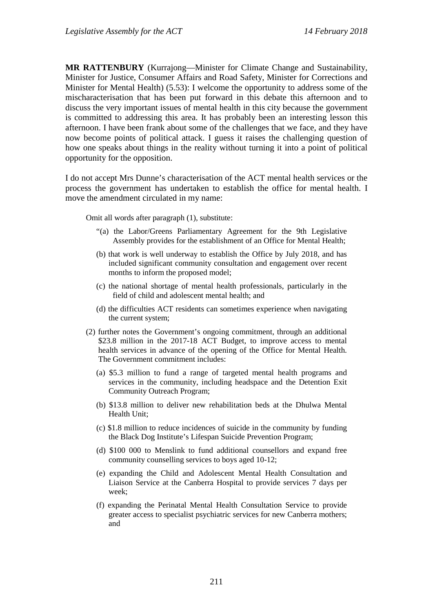**MR RATTENBURY** (Kurrajong—Minister for Climate Change and Sustainability, Minister for Justice, Consumer Affairs and Road Safety, Minister for Corrections and Minister for Mental Health) (5.53): I welcome the opportunity to address some of the mischaracterisation that has been put forward in this debate this afternoon and to discuss the very important issues of mental health in this city because the government is committed to addressing this area. It has probably been an interesting lesson this afternoon. I have been frank about some of the challenges that we face, and they have now become points of political attack. I guess it raises the challenging question of how one speaks about things in the reality without turning it into a point of political opportunity for the opposition.

I do not accept Mrs Dunne's characterisation of the ACT mental health services or the process the government has undertaken to establish the office for mental health. I move the amendment circulated in my name:

Omit all words after paragraph (1), substitute:

- "(a) the Labor/Greens Parliamentary Agreement for the 9th Legislative Assembly provides for the establishment of an Office for Mental Health;
- (b) that work is well underway to establish the Office by July 2018, and has included significant community consultation and engagement over recent months to inform the proposed model;
- (c) the national shortage of mental health professionals, particularly in the field of child and adolescent mental health; and
- (d) the difficulties ACT residents can sometimes experience when navigating the current system;
- (2) further notes the Government's ongoing commitment, through an additional \$23.8 million in the 2017-18 ACT Budget, to improve access to mental health services in advance of the opening of the Office for Mental Health. The Government commitment includes:
	- (a) \$5.3 million to fund a range of targeted mental health programs and services in the community, including headspace and the Detention Exit Community Outreach Program;
	- (b) \$13.8 million to deliver new rehabilitation beds at the Dhulwa Mental Health Unit;
	- (c) \$1.8 million to reduce incidences of suicide in the community by funding the Black Dog Institute's Lifespan Suicide Prevention Program;
	- (d) \$100 000 to Menslink to fund additional counsellors and expand free community counselling services to boys aged 10-12;
	- (e) expanding the Child and Adolescent Mental Health Consultation and Liaison Service at the Canberra Hospital to provide services 7 days per week;
	- (f) expanding the Perinatal Mental Health Consultation Service to provide greater access to specialist psychiatric services for new Canberra mothers; and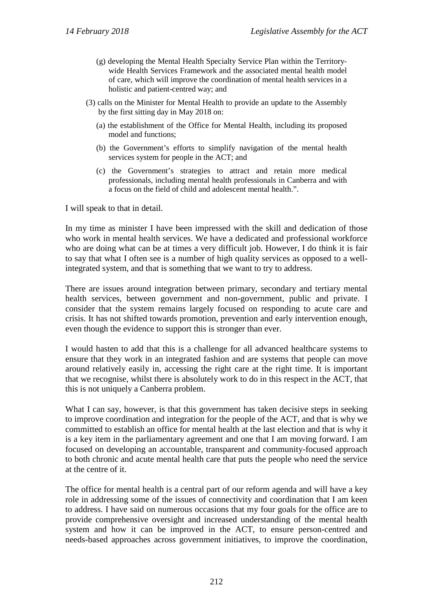- (g) developing the Mental Health Specialty Service Plan within the Territorywide Health Services Framework and the associated mental health model of care, which will improve the coordination of mental health services in a holistic and patient-centred way; and
- (3) calls on the Minister for Mental Health to provide an update to the Assembly by the first sitting day in May 2018 on:
	- (a) the establishment of the Office for Mental Health, including its proposed model and functions;
	- (b) the Government's efforts to simplify navigation of the mental health services system for people in the ACT; and
	- (c) the Government's strategies to attract and retain more medical professionals, including mental health professionals in Canberra and with a focus on the field of child and adolescent mental health.".

I will speak to that in detail.

In my time as minister I have been impressed with the skill and dedication of those who work in mental health services. We have a dedicated and professional workforce who are doing what can be at times a very difficult job. However, I do think it is fair to say that what I often see is a number of high quality services as opposed to a wellintegrated system, and that is something that we want to try to address.

There are issues around integration between primary, secondary and tertiary mental health services, between government and non-government, public and private. I consider that the system remains largely focused on responding to acute care and crisis. It has not shifted towards promotion, prevention and early intervention enough, even though the evidence to support this is stronger than ever.

I would hasten to add that this is a challenge for all advanced healthcare systems to ensure that they work in an integrated fashion and are systems that people can move around relatively easily in, accessing the right care at the right time. It is important that we recognise, whilst there is absolutely work to do in this respect in the ACT, that this is not uniquely a Canberra problem.

What I can say, however, is that this government has taken decisive steps in seeking to improve coordination and integration for the people of the ACT, and that is why we committed to establish an office for mental health at the last election and that is why it is a key item in the parliamentary agreement and one that I am moving forward. I am focused on developing an accountable, transparent and community-focused approach to both chronic and acute mental health care that puts the people who need the service at the centre of it.

The office for mental health is a central part of our reform agenda and will have a key role in addressing some of the issues of connectivity and coordination that I am keen to address. I have said on numerous occasions that my four goals for the office are to provide comprehensive oversight and increased understanding of the mental health system and how it can be improved in the ACT, to ensure person-centred and needs-based approaches across government initiatives, to improve the coordination,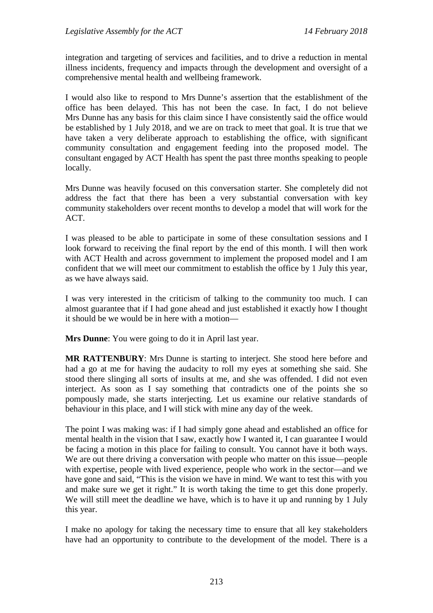integration and targeting of services and facilities, and to drive a reduction in mental illness incidents, frequency and impacts through the development and oversight of a comprehensive mental health and wellbeing framework.

I would also like to respond to Mrs Dunne's assertion that the establishment of the office has been delayed. This has not been the case. In fact, I do not believe Mrs Dunne has any basis for this claim since I have consistently said the office would be established by 1 July 2018, and we are on track to meet that goal. It is true that we have taken a very deliberate approach to establishing the office, with significant community consultation and engagement feeding into the proposed model. The consultant engaged by ACT Health has spent the past three months speaking to people locally.

Mrs Dunne was heavily focused on this conversation starter. She completely did not address the fact that there has been a very substantial conversation with key community stakeholders over recent months to develop a model that will work for the ACT.

I was pleased to be able to participate in some of these consultation sessions and I look forward to receiving the final report by the end of this month. I will then work with ACT Health and across government to implement the proposed model and I am confident that we will meet our commitment to establish the office by 1 July this year, as we have always said.

I was very interested in the criticism of talking to the community too much. I can almost guarantee that if I had gone ahead and just established it exactly how I thought it should be we would be in here with a motion—

**Mrs Dunne**: You were going to do it in April last year.

**MR RATTENBURY**: Mrs Dunne is starting to interject. She stood here before and had a go at me for having the audacity to roll my eyes at something she said. She stood there slinging all sorts of insults at me, and she was offended. I did not even interject. As soon as I say something that contradicts one of the points she so pompously made, she starts interjecting. Let us examine our relative standards of behaviour in this place, and I will stick with mine any day of the week.

The point I was making was: if I had simply gone ahead and established an office for mental health in the vision that I saw, exactly how I wanted it, I can guarantee I would be facing a motion in this place for failing to consult. You cannot have it both ways. We are out there driving a conversation with people who matter on this issue—people with expertise, people with lived experience, people who work in the sector—and we have gone and said, "This is the vision we have in mind. We want to test this with you and make sure we get it right." It is worth taking the time to get this done properly. We will still meet the deadline we have, which is to have it up and running by 1 July this year.

I make no apology for taking the necessary time to ensure that all key stakeholders have had an opportunity to contribute to the development of the model. There is a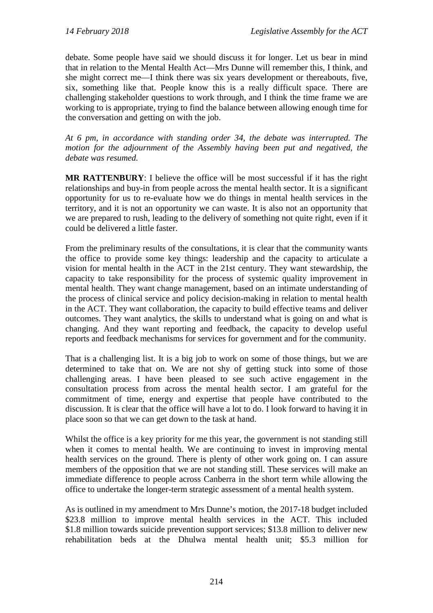debate. Some people have said we should discuss it for longer. Let us bear in mind that in relation to the Mental Health Act—Mrs Dunne will remember this, I think, and she might correct me—I think there was six years development or thereabouts, five, six, something like that. People know this is a really difficult space. There are challenging stakeholder questions to work through, and I think the time frame we are working to is appropriate, trying to find the balance between allowing enough time for the conversation and getting on with the job.

*At 6 pm, in accordance with standing order 34, the debate was interrupted. The motion for the adjournment of the Assembly having been put and negatived, the debate was resumed.*

**MR RATTENBURY**: I believe the office will be most successful if it has the right relationships and buy-in from people across the mental health sector. It is a significant opportunity for us to re-evaluate how we do things in mental health services in the territory, and it is not an opportunity we can waste. It is also not an opportunity that we are prepared to rush, leading to the delivery of something not quite right, even if it could be delivered a little faster.

From the preliminary results of the consultations, it is clear that the community wants the office to provide some key things: leadership and the capacity to articulate a vision for mental health in the ACT in the 21st century. They want stewardship, the capacity to take responsibility for the process of systemic quality improvement in mental health. They want change management, based on an intimate understanding of the process of clinical service and policy decision-making in relation to mental health in the ACT. They want collaboration, the capacity to build effective teams and deliver outcomes. They want analytics, the skills to understand what is going on and what is changing. And they want reporting and feedback, the capacity to develop useful reports and feedback mechanisms for services for government and for the community.

That is a challenging list. It is a big job to work on some of those things, but we are determined to take that on. We are not shy of getting stuck into some of those challenging areas. I have been pleased to see such active engagement in the consultation process from across the mental health sector. I am grateful for the commitment of time, energy and expertise that people have contributed to the discussion. It is clear that the office will have a lot to do. I look forward to having it in place soon so that we can get down to the task at hand.

Whilst the office is a key priority for me this year, the government is not standing still when it comes to mental health. We are continuing to invest in improving mental health services on the ground. There is plenty of other work going on. I can assure members of the opposition that we are not standing still. These services will make an immediate difference to people across Canberra in the short term while allowing the office to undertake the longer-term strategic assessment of a mental health system.

As is outlined in my amendment to Mrs Dunne's motion, the 2017-18 budget included \$23.8 million to improve mental health services in the ACT. This included \$1.8 million towards suicide prevention support services; \$13.8 million to deliver new rehabilitation beds at the Dhulwa mental health unit; \$5.3 million for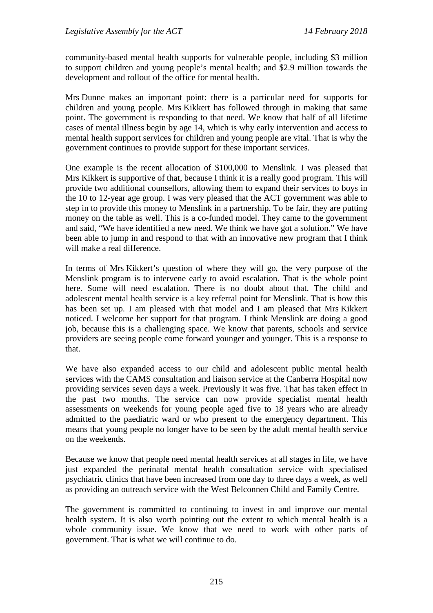community-based mental health supports for vulnerable people, including \$3 million to support children and young people's mental health; and \$2.9 million towards the development and rollout of the office for mental health.

Mrs Dunne makes an important point: there is a particular need for supports for children and young people. Mrs Kikkert has followed through in making that same point. The government is responding to that need. We know that half of all lifetime cases of mental illness begin by age 14, which is why early intervention and access to mental health support services for children and young people are vital. That is why the government continues to provide support for these important services.

One example is the recent allocation of \$100,000 to Menslink. I was pleased that Mrs Kikkert is supportive of that, because I think it is a really good program. This will provide two additional counsellors, allowing them to expand their services to boys in the 10 to 12-year age group. I was very pleased that the ACT government was able to step in to provide this money to Menslink in a partnership. To be fair, they are putting money on the table as well. This is a co-funded model. They came to the government and said, "We have identified a new need. We think we have got a solution." We have been able to jump in and respond to that with an innovative new program that I think will make a real difference.

In terms of Mrs Kikkert's question of where they will go, the very purpose of the Menslink program is to intervene early to avoid escalation. That is the whole point here. Some will need escalation. There is no doubt about that. The child and adolescent mental health service is a key referral point for Menslink. That is how this has been set up. I am pleased with that model and I am pleased that Mrs Kikkert noticed. I welcome her support for that program. I think Menslink are doing a good job, because this is a challenging space. We know that parents, schools and service providers are seeing people come forward younger and younger. This is a response to that.

We have also expanded access to our child and adolescent public mental health services with the CAMS consultation and liaison service at the Canberra Hospital now providing services seven days a week. Previously it was five. That has taken effect in the past two months. The service can now provide specialist mental health assessments on weekends for young people aged five to 18 years who are already admitted to the paediatric ward or who present to the emergency department. This means that young people no longer have to be seen by the adult mental health service on the weekends.

Because we know that people need mental health services at all stages in life, we have just expanded the perinatal mental health consultation service with specialised psychiatric clinics that have been increased from one day to three days a week, as well as providing an outreach service with the West Belconnen Child and Family Centre.

The government is committed to continuing to invest in and improve our mental health system. It is also worth pointing out the extent to which mental health is a whole community issue. We know that we need to work with other parts of government. That is what we will continue to do.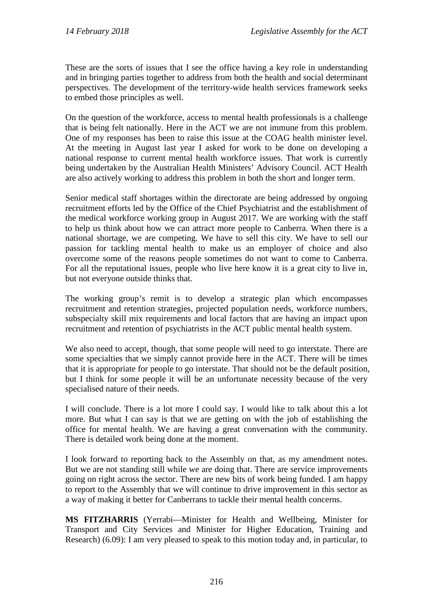These are the sorts of issues that I see the office having a key role in understanding and in bringing parties together to address from both the health and social determinant perspectives. The development of the territory-wide health services framework seeks to embed those principles as well.

On the question of the workforce, access to mental health professionals is a challenge that is being felt nationally. Here in the ACT we are not immune from this problem. One of my responses has been to raise this issue at the COAG health minister level. At the meeting in August last year I asked for work to be done on developing a national response to current mental health workforce issues. That work is currently being undertaken by the Australian Health Ministers' Advisory Council. ACT Health are also actively working to address this problem in both the short and longer term.

Senior medical staff shortages within the directorate are being addressed by ongoing recruitment efforts led by the Office of the Chief Psychiatrist and the establishment of the medical workforce working group in August 2017. We are working with the staff to help us think about how we can attract more people to Canberra. When there is a national shortage, we are competing. We have to sell this city. We have to sell our passion for tackling mental health to make us an employer of choice and also overcome some of the reasons people sometimes do not want to come to Canberra. For all the reputational issues, people who live here know it is a great city to live in, but not everyone outside thinks that.

The working group's remit is to develop a strategic plan which encompasses recruitment and retention strategies, projected population needs, workforce numbers, subspecialty skill mix requirements and local factors that are having an impact upon recruitment and retention of psychiatrists in the ACT public mental health system.

We also need to accept, though, that some people will need to go interstate. There are some specialties that we simply cannot provide here in the ACT. There will be times that it is appropriate for people to go interstate. That should not be the default position, but I think for some people it will be an unfortunate necessity because of the very specialised nature of their needs.

I will conclude. There is a lot more I could say. I would like to talk about this a lot more. But what I can say is that we are getting on with the job of establishing the office for mental health. We are having a great conversation with the community. There is detailed work being done at the moment.

I look forward to reporting back to the Assembly on that, as my amendment notes. But we are not standing still while we are doing that. There are service improvements going on right across the sector. There are new bits of work being funded. I am happy to report to the Assembly that we will continue to drive improvement in this sector as a way of making it better for Canberrans to tackle their mental health concerns.

**MS FITZHARRIS** (Yerrabi—Minister for Health and Wellbeing, Minister for Transport and City Services and Minister for Higher Education, Training and Research) (6.09): I am very pleased to speak to this motion today and, in particular, to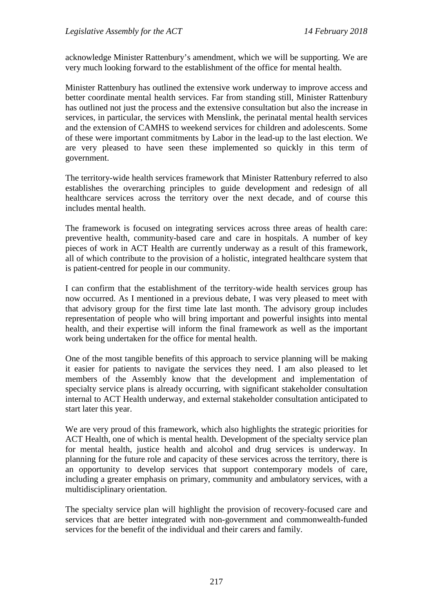acknowledge Minister Rattenbury's amendment, which we will be supporting. We are very much looking forward to the establishment of the office for mental health.

Minister Rattenbury has outlined the extensive work underway to improve access and better coordinate mental health services. Far from standing still, Minister Rattenbury has outlined not just the process and the extensive consultation but also the increase in services, in particular, the services with Menslink, the perinatal mental health services and the extension of CAMHS to weekend services for children and adolescents. Some of these were important commitments by Labor in the lead-up to the last election. We are very pleased to have seen these implemented so quickly in this term of government.

The territory-wide health services framework that Minister Rattenbury referred to also establishes the overarching principles to guide development and redesign of all healthcare services across the territory over the next decade, and of course this includes mental health.

The framework is focused on integrating services across three areas of health care: preventive health, community-based care and care in hospitals. A number of key pieces of work in ACT Health are currently underway as a result of this framework, all of which contribute to the provision of a holistic, integrated healthcare system that is patient-centred for people in our community.

I can confirm that the establishment of the territory-wide health services group has now occurred. As I mentioned in a previous debate, I was very pleased to meet with that advisory group for the first time late last month. The advisory group includes representation of people who will bring important and powerful insights into mental health, and their expertise will inform the final framework as well as the important work being undertaken for the office for mental health.

One of the most tangible benefits of this approach to service planning will be making it easier for patients to navigate the services they need. I am also pleased to let members of the Assembly know that the development and implementation of specialty service plans is already occurring, with significant stakeholder consultation internal to ACT Health underway, and external stakeholder consultation anticipated to start later this year.

We are very proud of this framework, which also highlights the strategic priorities for ACT Health, one of which is mental health. Development of the specialty service plan for mental health, justice health and alcohol and drug services is underway. In planning for the future role and capacity of these services across the territory, there is an opportunity to develop services that support contemporary models of care, including a greater emphasis on primary, community and ambulatory services, with a multidisciplinary orientation.

The specialty service plan will highlight the provision of recovery-focused care and services that are better integrated with non-government and commonwealth-funded services for the benefit of the individual and their carers and family.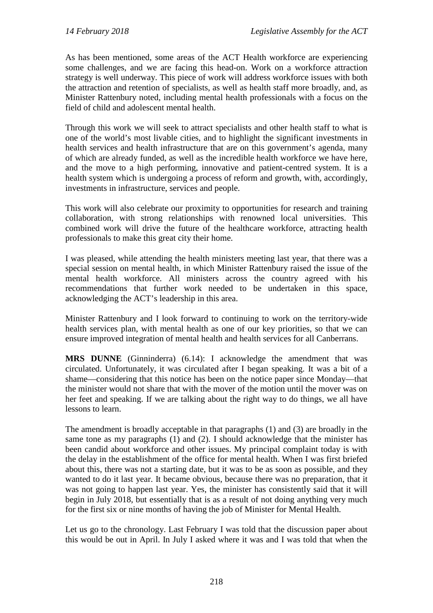As has been mentioned, some areas of the ACT Health workforce are experiencing some challenges, and we are facing this head-on. Work on a workforce attraction strategy is well underway. This piece of work will address workforce issues with both the attraction and retention of specialists, as well as health staff more broadly, and, as Minister Rattenbury noted, including mental health professionals with a focus on the field of child and adolescent mental health.

Through this work we will seek to attract specialists and other health staff to what is one of the world's most livable cities, and to highlight the significant investments in health services and health infrastructure that are on this government's agenda, many of which are already funded, as well as the incredible health workforce we have here, and the move to a high performing, innovative and patient-centred system. It is a health system which is undergoing a process of reform and growth, with, accordingly, investments in infrastructure, services and people.

This work will also celebrate our proximity to opportunities for research and training collaboration, with strong relationships with renowned local universities. This combined work will drive the future of the healthcare workforce, attracting health professionals to make this great city their home.

I was pleased, while attending the health ministers meeting last year, that there was a special session on mental health, in which Minister Rattenbury raised the issue of the mental health workforce. All ministers across the country agreed with his recommendations that further work needed to be undertaken in this space, acknowledging the ACT's leadership in this area.

Minister Rattenbury and I look forward to continuing to work on the territory-wide health services plan, with mental health as one of our key priorities, so that we can ensure improved integration of mental health and health services for all Canberrans.

**MRS DUNNE** (Ginninderra) (6.14): I acknowledge the amendment that was circulated. Unfortunately, it was circulated after I began speaking. It was a bit of a shame—considering that this notice has been on the notice paper since Monday—that the minister would not share that with the mover of the motion until the mover was on her feet and speaking. If we are talking about the right way to do things, we all have lessons to learn.

The amendment is broadly acceptable in that paragraphs (1) and (3) are broadly in the same tone as my paragraphs (1) and (2). I should acknowledge that the minister has been candid about workforce and other issues. My principal complaint today is with the delay in the establishment of the office for mental health. When I was first briefed about this, there was not a starting date, but it was to be as soon as possible, and they wanted to do it last year. It became obvious, because there was no preparation, that it was not going to happen last year. Yes, the minister has consistently said that it will begin in July 2018, but essentially that is as a result of not doing anything very much for the first six or nine months of having the job of Minister for Mental Health.

Let us go to the chronology. Last February I was told that the discussion paper about this would be out in April. In July I asked where it was and I was told that when the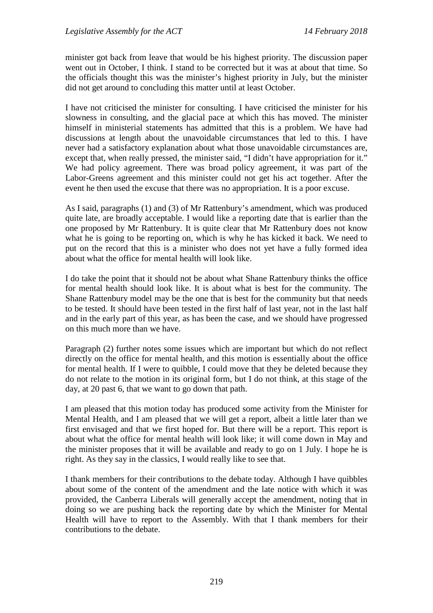minister got back from leave that would be his highest priority. The discussion paper went out in October, I think. I stand to be corrected but it was at about that time. So the officials thought this was the minister's highest priority in July, but the minister did not get around to concluding this matter until at least October.

I have not criticised the minister for consulting. I have criticised the minister for his slowness in consulting, and the glacial pace at which this has moved. The minister himself in ministerial statements has admitted that this is a problem. We have had discussions at length about the unavoidable circumstances that led to this. I have never had a satisfactory explanation about what those unavoidable circumstances are, except that, when really pressed, the minister said, "I didn't have appropriation for it." We had policy agreement. There was broad policy agreement, it was part of the Labor-Greens agreement and this minister could not get his act together. After the event he then used the excuse that there was no appropriation. It is a poor excuse.

As I said, paragraphs (1) and (3) of Mr Rattenbury's amendment, which was produced quite late, are broadly acceptable. I would like a reporting date that is earlier than the one proposed by Mr Rattenbury. It is quite clear that Mr Rattenbury does not know what he is going to be reporting on, which is why he has kicked it back. We need to put on the record that this is a minister who does not yet have a fully formed idea about what the office for mental health will look like.

I do take the point that it should not be about what Shane Rattenbury thinks the office for mental health should look like. It is about what is best for the community. The Shane Rattenbury model may be the one that is best for the community but that needs to be tested. It should have been tested in the first half of last year, not in the last half and in the early part of this year, as has been the case, and we should have progressed on this much more than we have.

Paragraph (2) further notes some issues which are important but which do not reflect directly on the office for mental health, and this motion is essentially about the office for mental health. If I were to quibble, I could move that they be deleted because they do not relate to the motion in its original form, but I do not think, at this stage of the day, at 20 past 6, that we want to go down that path.

I am pleased that this motion today has produced some activity from the Minister for Mental Health, and I am pleased that we will get a report, albeit a little later than we first envisaged and that we first hoped for. But there will be a report. This report is about what the office for mental health will look like; it will come down in May and the minister proposes that it will be available and ready to go on 1 July. I hope he is right. As they say in the classics, I would really like to see that.

I thank members for their contributions to the debate today. Although I have quibbles about some of the content of the amendment and the late notice with which it was provided, the Canberra Liberals will generally accept the amendment, noting that in doing so we are pushing back the reporting date by which the Minister for Mental Health will have to report to the Assembly. With that I thank members for their contributions to the debate.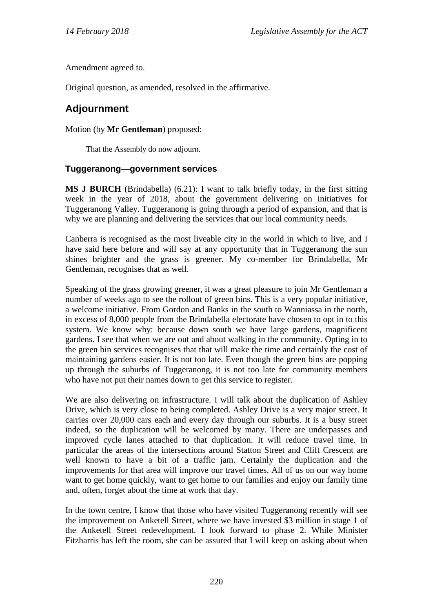Amendment agreed to.

Original question, as amended, resolved in the affirmative.

# **Adjournment**

Motion (by **Mr Gentleman**) proposed:

That the Assembly do now adjourn.

#### **Tuggeranong—government services**

**MS J BURCH** (Brindabella) (6.21): I want to talk briefly today, in the first sitting week in the year of 2018, about the government delivering on initiatives for Tuggeranong Valley. Tuggeranong is going through a period of expansion, and that is why we are planning and delivering the services that our local community needs.

Canberra is recognised as the most liveable city in the world in which to live, and I have said here before and will say at any opportunity that in Tuggeranong the sun shines brighter and the grass is greener. My co-member for Brindabella, Mr Gentleman, recognises that as well.

Speaking of the grass growing greener, it was a great pleasure to join Mr Gentleman a number of weeks ago to see the rollout of green bins. This is a very popular initiative, a welcome initiative. From Gordon and Banks in the south to Wanniassa in the north, in excess of 8,000 people from the Brindabella electorate have chosen to opt in to this system. We know why: because down south we have large gardens, magnificent gardens. I see that when we are out and about walking in the community. Opting in to the green bin services recognises that that will make the time and certainly the cost of maintaining gardens easier. It is not too late. Even though the green bins are popping up through the suburbs of Tuggeranong, it is not too late for community members who have not put their names down to get this service to register.

We are also delivering on infrastructure. I will talk about the duplication of Ashley Drive, which is very close to being completed. Ashley Drive is a very major street. It carries over 20,000 cars each and every day through our suburbs. It is a busy street indeed, so the duplication will be welcomed by many. There are underpasses and improved cycle lanes attached to that duplication. It will reduce travel time. In particular the areas of the intersections around Statton Street and Clift Crescent are well known to have a bit of a traffic jam. Certainly the duplication and the improvements for that area will improve our travel times. All of us on our way home want to get home quickly, want to get home to our families and enjoy our family time and, often, forget about the time at work that day.

In the town centre, I know that those who have visited Tuggeranong recently will see the improvement on Anketell Street, where we have invested \$3 million in stage 1 of the Anketell Street redevelopment. I look forward to phase 2. While Minister Fitzharris has left the room, she can be assured that I will keep on asking about when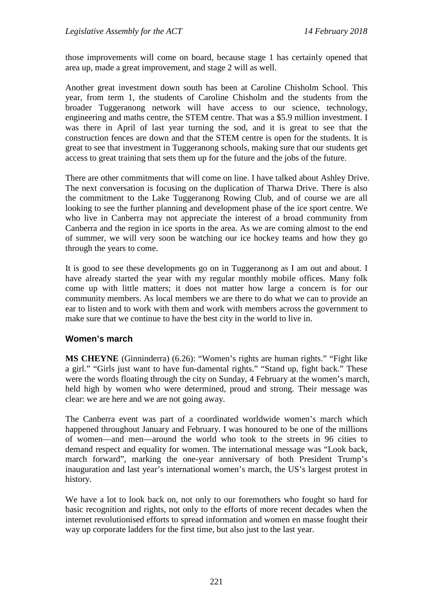those improvements will come on board, because stage 1 has certainly opened that area up, made a great improvement, and stage 2 will as well.

Another great investment down south has been at Caroline Chisholm School. This year, from term 1, the students of Caroline Chisholm and the students from the broader Tuggeranong network will have access to our science, technology, engineering and maths centre, the STEM centre. That was a \$5.9 million investment. I was there in April of last year turning the sod, and it is great to see that the construction fences are down and that the STEM centre is open for the students. It is great to see that investment in Tuggeranong schools, making sure that our students get access to great training that sets them up for the future and the jobs of the future.

There are other commitments that will come on line. I have talked about Ashley Drive. The next conversation is focusing on the duplication of Tharwa Drive. There is also the commitment to the Lake Tuggeranong Rowing Club, and of course we are all looking to see the further planning and development phase of the ice sport centre. We who live in Canberra may not appreciate the interest of a broad community from Canberra and the region in ice sports in the area. As we are coming almost to the end of summer, we will very soon be watching our ice hockey teams and how they go through the years to come.

It is good to see these developments go on in Tuggeranong as I am out and about. I have already started the year with my regular monthly mobile offices. Many folk come up with little matters; it does not matter how large a concern is for our community members. As local members we are there to do what we can to provide an ear to listen and to work with them and work with members across the government to make sure that we continue to have the best city in the world to live in.

#### **Women's march**

**MS CHEYNE** (Ginninderra) (6.26): "Women's rights are human rights." "Fight like a girl." "Girls just want to have fun-damental rights." "Stand up, fight back." These were the words floating through the city on Sunday, 4 February at the women's march, held high by women who were determined, proud and strong. Their message was clear: we are here and we are not going away.

The Canberra event was part of a coordinated worldwide women's march which happened throughout January and February. I was honoured to be one of the millions of women—and men—around the world who took to the streets in 96 cities to demand respect and equality for women. The international message was "Look back, march forward", marking the one-year anniversary of both President Trump's inauguration and last year's international women's march, the US's largest protest in history.

We have a lot to look back on, not only to our foremothers who fought so hard for basic recognition and rights, not only to the efforts of more recent decades when the internet revolutionised efforts to spread information and women en masse fought their way up corporate ladders for the first time, but also just to the last year.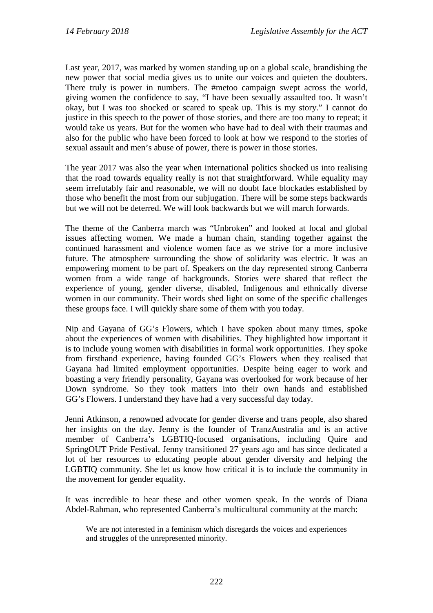Last year, 2017, was marked by women standing up on a global scale, brandishing the new power that social media gives us to unite our voices and quieten the doubters. There truly is power in numbers. The #metoo campaign swept across the world, giving women the confidence to say, "I have been sexually assaulted too. It wasn't okay, but I was too shocked or scared to speak up. This is my story." I cannot do justice in this speech to the power of those stories, and there are too many to repeat; it would take us years. But for the women who have had to deal with their traumas and also for the public who have been forced to look at how we respond to the stories of sexual assault and men's abuse of power, there is power in those stories.

The year 2017 was also the year when international politics shocked us into realising that the road towards equality really is not that straightforward. While equality may seem irrefutably fair and reasonable, we will no doubt face blockades established by those who benefit the most from our subjugation. There will be some steps backwards but we will not be deterred. We will look backwards but we will march forwards.

The theme of the Canberra march was "Unbroken" and looked at local and global issues affecting women. We made a human chain, standing together against the continued harassment and violence women face as we strive for a more inclusive future. The atmosphere surrounding the show of solidarity was electric. It was an empowering moment to be part of. Speakers on the day represented strong Canberra women from a wide range of backgrounds. Stories were shared that reflect the experience of young, gender diverse, disabled, Indigenous and ethnically diverse women in our community. Their words shed light on some of the specific challenges these groups face. I will quickly share some of them with you today.

Nip and Gayana of GG's Flowers, which I have spoken about many times, spoke about the experiences of women with disabilities. They highlighted how important it is to include young women with disabilities in formal work opportunities. They spoke from firsthand experience, having founded GG's Flowers when they realised that Gayana had limited employment opportunities. Despite being eager to work and boasting a very friendly personality, Gayana was overlooked for work because of her Down syndrome. So they took matters into their own hands and established GG's Flowers. I understand they have had a very successful day today.

Jenni Atkinson, a renowned advocate for gender diverse and trans people, also shared her insights on the day. Jenny is the founder of TranzAustralia and is an active member of Canberra's LGBTIQ-focused organisations, including Quire and SpringOUT Pride Festival. Jenny transitioned 27 years ago and has since dedicated a lot of her resources to educating people about gender diversity and helping the LGBTIQ community. She let us know how critical it is to include the community in the movement for gender equality.

It was incredible to hear these and other women speak. In the words of Diana Abdel-Rahman, who represented Canberra's multicultural community at the march:

We are not interested in a feminism which disregards the voices and experiences and struggles of the unrepresented minority.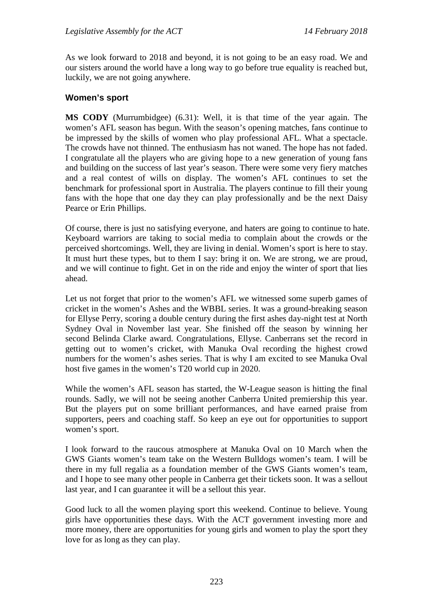As we look forward to 2018 and beyond, it is not going to be an easy road. We and our sisters around the world have a long way to go before true equality is reached but, luckily, we are not going anywhere.

### **Women's sport**

**MS CODY** (Murrumbidgee) (6.31): Well, it is that time of the year again. The women's AFL season has begun. With the season's opening matches, fans continue to be impressed by the skills of women who play professional AFL. What a spectacle. The crowds have not thinned. The enthusiasm has not waned. The hope has not faded. I congratulate all the players who are giving hope to a new generation of young fans and building on the success of last year's season. There were some very fiery matches and a real contest of wills on display. The women's AFL continues to set the benchmark for professional sport in Australia. The players continue to fill their young fans with the hope that one day they can play professionally and be the next Daisy Pearce or Erin Phillips.

Of course, there is just no satisfying everyone, and haters are going to continue to hate. Keyboard warriors are taking to social media to complain about the crowds or the perceived shortcomings. Well, they are living in denial. Women's sport is here to stay. It must hurt these types, but to them I say: bring it on. We are strong, we are proud, and we will continue to fight. Get in on the ride and enjoy the winter of sport that lies ahead.

Let us not forget that prior to the women's AFL we witnessed some superb games of cricket in the women's Ashes and the WBBL series. It was a ground-breaking season for Ellyse Perry, scoring a double century during the first ashes day-night test at North Sydney Oval in November last year. She finished off the season by winning her second Belinda Clarke award. Congratulations, Ellyse. Canberrans set the record in getting out to women's cricket, with Manuka Oval recording the highest crowd numbers for the women's ashes series. That is why I am excited to see Manuka Oval host five games in the women's T20 world cup in 2020.

While the women's AFL season has started, the W-League season is hitting the final rounds. Sadly, we will not be seeing another Canberra United premiership this year. But the players put on some brilliant performances, and have earned praise from supporters, peers and coaching staff. So keep an eye out for opportunities to support women's sport.

I look forward to the raucous atmosphere at Manuka Oval on 10 March when the GWS Giants women's team take on the Western Bulldogs women's team. I will be there in my full regalia as a foundation member of the GWS Giants women's team, and I hope to see many other people in Canberra get their tickets soon. It was a sellout last year, and I can guarantee it will be a sellout this year.

Good luck to all the women playing sport this weekend. Continue to believe. Young girls have opportunities these days. With the ACT government investing more and more money, there are opportunities for young girls and women to play the sport they love for as long as they can play.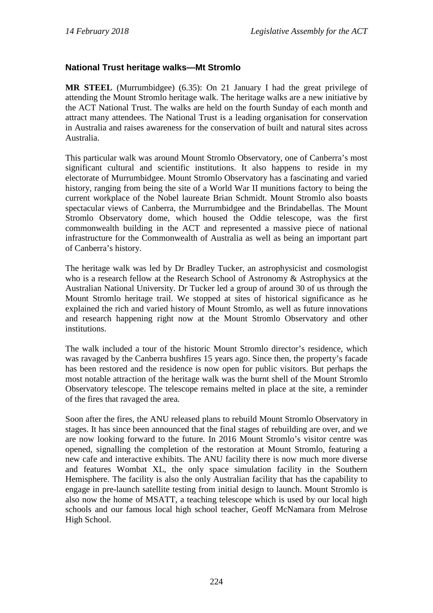# **National Trust heritage walks—Mt Stromlo**

**MR STEEL** (Murrumbidgee) (6.35): On 21 January I had the great privilege of attending the Mount Stromlo heritage walk. The heritage walks are a new initiative by the ACT National Trust. The walks are held on the fourth Sunday of each month and attract many attendees. The National Trust is a leading organisation for conservation in Australia and raises awareness for the conservation of built and natural sites across Australia.

This particular walk was around Mount Stromlo Observatory, one of Canberra's most significant cultural and scientific institutions. It also happens to reside in my electorate of Murrumbidgee. Mount Stromlo Observatory has a fascinating and varied history, ranging from being the site of a World War II munitions factory to being the current workplace of the Nobel laureate Brian Schmidt. Mount Stromlo also boasts spectacular views of Canberra, the Murrumbidgee and the Brindabellas. The Mount Stromlo Observatory dome, which housed the Oddie telescope, was the first commonwealth building in the ACT and represented a massive piece of national infrastructure for the Commonwealth of Australia as well as being an important part of Canberra's history.

The heritage walk was led by Dr Bradley Tucker, an astrophysicist and cosmologist who is a research fellow at the Research School of Astronomy & Astrophysics at the Australian National University. Dr Tucker led a group of around 30 of us through the Mount Stromlo heritage trail. We stopped at sites of historical significance as he explained the rich and varied history of Mount Stromlo, as well as future innovations and research happening right now at the Mount Stromlo Observatory and other institutions.

The walk included a tour of the historic Mount Stromlo director's residence, which was ravaged by the Canberra bushfires 15 years ago. Since then, the property's facade has been restored and the residence is now open for public visitors. But perhaps the most notable attraction of the heritage walk was the burnt shell of the Mount Stromlo Observatory telescope. The telescope remains melted in place at the site, a reminder of the fires that ravaged the area.

Soon after the fires, the ANU released plans to rebuild Mount Stromlo Observatory in stages. It has since been announced that the final stages of rebuilding are over, and we are now looking forward to the future. In 2016 Mount Stromlo's visitor centre was opened, signalling the completion of the restoration at Mount Stromlo, featuring a new cafe and interactive exhibits. The ANU facility there is now much more diverse and features Wombat XL, the only space simulation facility in the Southern Hemisphere. The facility is also the only Australian facility that has the capability to engage in pre-launch satellite testing from initial design to launch. Mount Stromlo is also now the home of MSATT, a teaching telescope which is used by our local high schools and our famous local high school teacher, Geoff McNamara from Melrose High School.